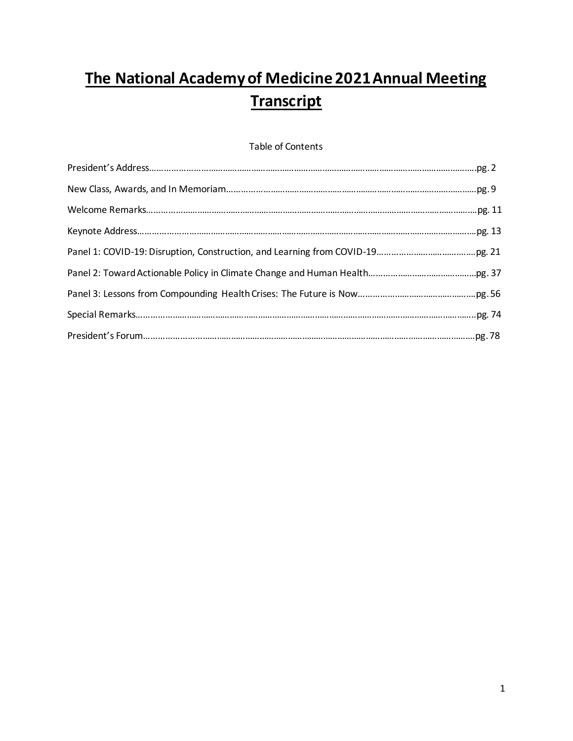# **The National Academy of Medicine 2021 Annual Meeting Transcript**

# Table of Contents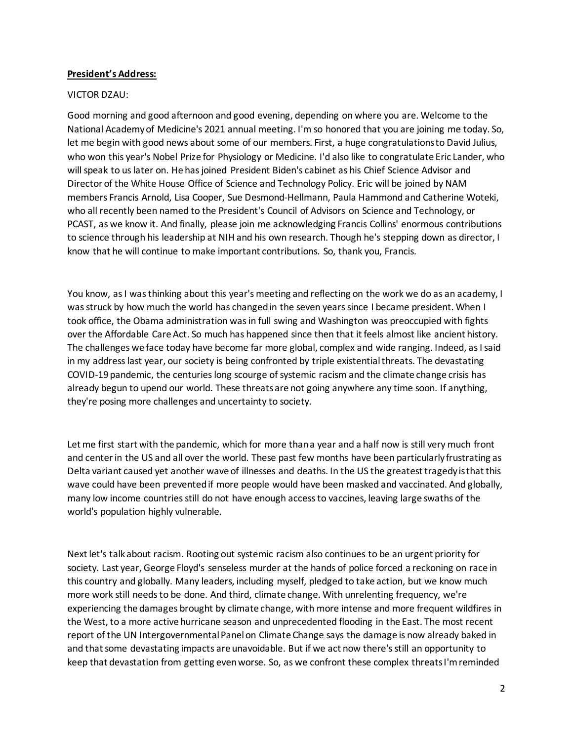# **President's Address:**

## VICTOR DZAU:

Good morning and good afternoon and good evening, depending on where you are. Welcome to the National Academy of Medicine's 2021 annual meeting. I'm so honored that you are joining me today. So, let me begin with good news about some of our members. First, a huge congratulations to David Julius, who won this year's Nobel Prize for Physiology or Medicine. I'd also like to congratulate Eric Lander, who will speak to us later on. He has joined President Biden's cabinet as his Chief Science Advisor and Director of the White House Office of Science and Technology Policy. Eric will be joined by NAM members Francis Arnold, Lisa Cooper, Sue Desmond-Hellmann, Paula Hammond and Catherine Woteki, who all recently been named to the President's Council of Advisors on Science and Technology, or PCAST, as we know it. And finally, please join me acknowledging Francis Collins' enormous contributions to science through his leadership at NIH and his own research. Though he's stepping down as director, I know that he will continue to make important contributions. So, thank you, Francis.

You know, as I was thinking about this year's meeting and reflecting on the work we do as an academy, I was struck by how much the world has changed in the seven years since I became president. When I took office, the Obama administration was in full swing and Washington was preoccupied with fights over the Affordable Care Act. So much has happened since then that it feels almost like ancient history. The challenges we face today have become far more global, complex and wide ranging. Indeed, as I said in my address last year, our society is being confronted by triple existential threats. The devastating COVID-19 pandemic, the centuries long scourge of systemic racism and the climate change crisis has already begun to upend our world. These threats are not going anywhere any time soon. If anything, they're posing more challenges and uncertainty to society.

Let me first start with the pandemic, which for more than a year and a half now is still very much front and center in the US and all over the world. These past few months have been particularly frustrating as Delta variant caused yet another wave of illnesses and deaths. In the US the greatest tragedy is that this wave could have been prevented if more people would have been masked and vaccinated. And globally, many low income countries still do not have enough access to vaccines, leaving large swaths of the world's population highly vulnerable.

Next let's talk about racism. Rooting out systemic racism also continues to be an urgent priority for society. Last year, George Floyd's senseless murder at the hands of police forced a reckoning on race in this country and globally. Many leaders, including myself, pledged to take action, but we know much more work still needs to be done. And third, climate change. With unrelenting frequency, we're experiencing the damages brought by climate change, with more intense and more frequent wildfires in the West, to a more active hurricane season and unprecedented flooding in the East. The most recent report of the UN Intergovernmental Panel on Climate Change says the damage is now already baked in and that some devastating impacts are unavoidable. But if we act now there's still an opportunity to keep that devastation from getting even worse. So, as we confront these complex threats I'm reminded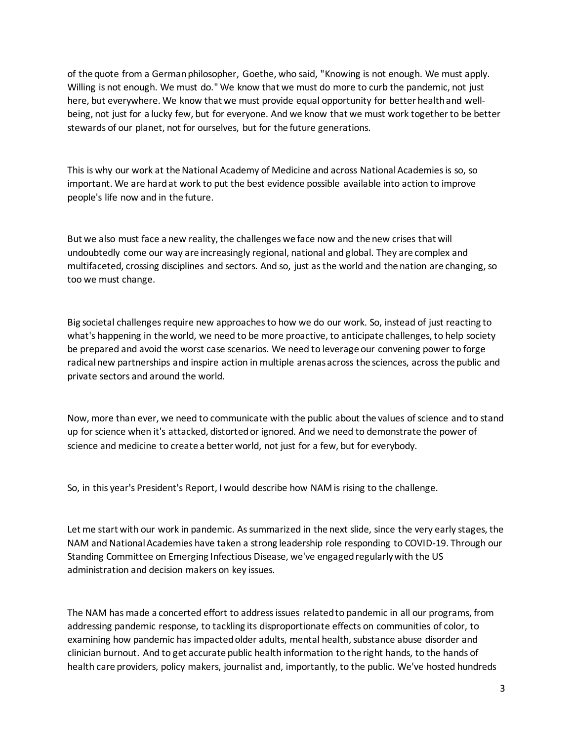of the quote from a German philosopher, Goethe, who said, "Knowing is not enough. We must apply. Willing is not enough. We must do." We know that we must do more to curb the pandemic, not just here, but everywhere. We know that we must provide equal opportunity for better health and wellbeing, not just for a lucky few, but for everyone. And we know that we must work together to be better stewards of our planet, not for ourselves, but for the future generations.

This is why our work at the National Academy of Medicine and across National Academies is so, so important. We are hard at work to put the best evidence possible available into action to improve people's life now and in the future.

But we also must face a new reality, the challenges we face now and the new crises that will undoubtedly come our way are increasingly regional, national and global. They are complex and multifaceted, crossing disciplines and sectors. And so, just as the world and the nation are changing, so too we must change.

Big societal challenges require new approaches to how we do our work. So, instead of just reacting to what's happening in the world, we need to be more proactive, to anticipate challenges, to help society be prepared and avoid the worst case scenarios. We need to leverage our convening power to forge radical new partnerships and inspire action in multiple arenas across the sciences, across the public and private sectors and around the world.

Now, more than ever, we need to communicate with the public about the values of science and to stand up for science when it's attacked, distorted or ignored. And we need to demonstrate the power of science and medicine to create a better world, not just for a few, but for everybody.

So, in this year's President's Report, I would describe how NAM is rising to the challenge.

Let me start with our work in pandemic. As summarized in the next slide, since the very early stages, the NAM and National Academies have taken a strong leadership role responding to COVID-19. Through our Standing Committee on Emerging Infectious Disease, we've engaged regularly with the US administration and decision makers on key issues.

The NAM has made a concerted effort to address issues related to pandemic in all our programs, from addressing pandemic response, to tackling its disproportionate effects on communities of color, to examining how pandemic has impacted older adults, mental health, substance abuse disorder and clinician burnout. And to get accurate public health information to the right hands, to the hands of health care providers, policy makers, journalist and, importantly, to the public. We've hosted hundreds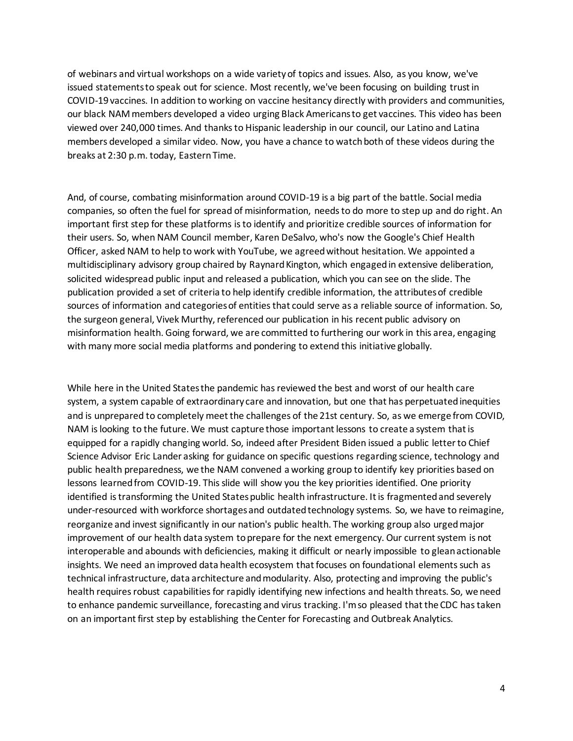of webinars and virtual workshops on a wide variety of topics and issues. Also, as you know, we've issued statements to speak out for science. Most recently, we've been focusing on building trust in COVID-19 vaccines. In addition to working on vaccine hesitancy directly with providers and communities, our black NAM members developed a video urging Black Americans to get vaccines. This video has been viewed over 240,000 times. And thanks to Hispanic leadership in our council, our Latino and Latina members developed a similar video. Now, you have a chance to watch both of these videos during the breaks at 2:30 p.m. today, Eastern Time.

And, of course, combating misinformation around COVID-19 is a big part of the battle. Social media companies, so often the fuel for spread of misinformation, needs to do more to step up and do right. An important first step for these platforms is to identify and prioritize credible sources of information for their users. So, when NAM Council member, Karen DeSalvo, who's now the Google's Chief Health Officer, asked NAM to help to work with YouTube, we agreed without hesitation. We appointed a multidisciplinary advisory group chaired by Raynard Kington, which engaged in extensive deliberation, solicited widespread public input and released a publication, which you can see on the slide. The publication provided a set of criteria to help identify credible information, the attributes of credible sources of information and categories of entities that could serve as a reliable source of information. So, the surgeon general, Vivek Murthy, referenced our publication in his recent public advisory on misinformation health. Going forward, we are committed to furthering our work in this area, engaging with many more social media platforms and pondering to extend this initiative globally.

While here in the United States the pandemic has reviewed the best and worst of our health care system, a system capable of extraordinary care and innovation, but one that has perpetuated inequities and is unprepared to completely meet the challenges of the 21st century. So, as we emerge from COVID, NAM is looking to the future. We must capture those important lessons to create a system that is equipped for a rapidly changing world. So, indeed after President Biden issued a public letter to Chief Science Advisor Eric Lander asking for guidance on specific questions regarding science, technology and public health preparedness, we the NAM convened a working group to identify key priorities based on lessons learned from COVID-19. This slide will show you the key priorities identified. One priority identified is transforming the United States public health infrastructure. It is fragmented and severely under-resourced with workforce shortages and outdatedtechnology systems. So, we have to reimagine, reorganize and invest significantly in our nation's public health. The working group also urged major improvement of our health data system to prepare for the next emergency. Our current system is not interoperable and abounds with deficiencies, making it difficult or nearly impossible to glean actionable insights. We need an improved data health ecosystem that focuses on foundational elements such as technical infrastructure, data architecture and modularity. Also, protecting and improving the public's health requires robust capabilities for rapidly identifying new infections and health threats. So, we need to enhance pandemic surveillance, forecasting and virus tracking. I'm so pleased that the CDC has taken on an important first step by establishing the Center for Forecasting and Outbreak Analytics.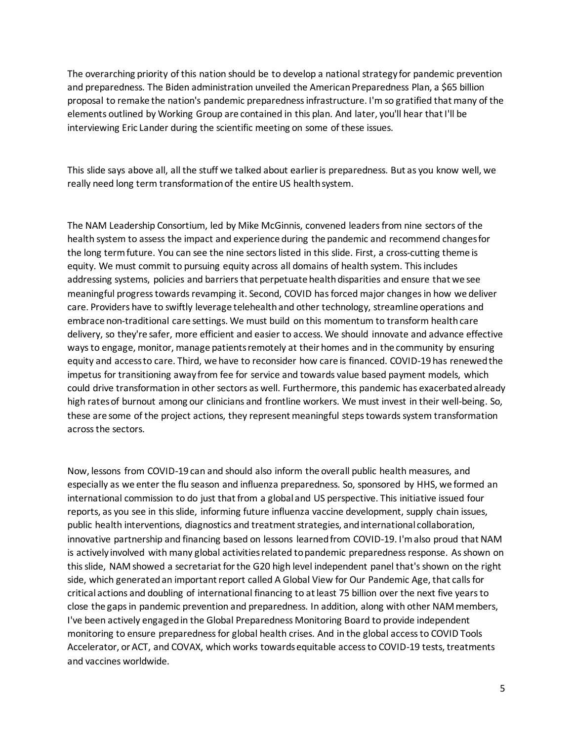The overarching priority of this nation should be to develop a national strategy for pandemic prevention and preparedness. The Biden administration unveiled the American Preparedness Plan, a \$65 billion proposal to remake the nation's pandemic preparedness infrastructure. I'm so gratified that many of the elements outlined by Working Group are contained in this plan. And later, you'll hear that I'll be interviewing Eric Lander during the scientific meeting on some of these issues.

This slide says above all, all the stuff we talked about earlier is preparedness. But as you know well, we really need long term transformation of the entire US health system.

The NAM Leadership Consortium, led by Mike McGinnis, convened leaders from nine sectors of the health system to assess the impact and experience during the pandemic and recommend changes for the long term future. You can see the nine sectors listed in this slide. First, a cross-cutting theme is equity. We must commit to pursuing equity across all domains of health system. This includes addressing systems, policies and barriers that perpetuate health disparities and ensure that we see meaningful progress towards revamping it. Second, COVID has forced major changes in how we deliver care. Providers have to swiftly leverage telehealth and other technology, streamline operations and embrace non-traditional care settings. We must build on this momentum to transform health care delivery, so they're safer, more efficient and easier to access. We should innovate and advance effective ways to engage, monitor, manage patients remotely at their homes and in the community by ensuring equity and access to care. Third, we have to reconsider how care is financed. COVID-19 has renewed the impetus for transitioning away from fee for service and towards value based payment models, which could drive transformation in other sectors as well. Furthermore, this pandemic has exacerbated already high rates of burnout among our clinicians and frontline workers. We must invest in their well-being. So, these are some of the project actions, they represent meaningful steps towards system transformation across the sectors.

Now, lessons from COVID-19 can and should also inform the overall public health measures, and especially as we enter the flu season and influenza preparedness. So, sponsored by HHS, we formed an international commission to do just that from a global and US perspective. This initiative issued four reports, as you see in this slide, informing future influenza vaccine development, supply chain issues, public health interventions, diagnostics and treatment strategies, and international collaboration, innovative partnership and financing based on lessons learned from COVID-19. I'm also proud that NAM is actively involved with many global activities related to pandemic preparedness response. As shown on this slide, NAM showed a secretariat for the G20 high level independent panel that's shown on the right side, which generated an important report called A Global View for Our Pandemic Age, that calls for critical actions and doubling of international financing to at least 75 billion over the next five years to close the gaps in pandemic prevention and preparedness. In addition, along with other NAM members, I've been actively engaged in the Global Preparedness Monitoring Board to provide independent monitoring to ensure preparedness for global health crises. And in the global access to COVID Tools Accelerator, or ACT, and COVAX, which works towards equitable access to COVID-19 tests, treatments and vaccines worldwide.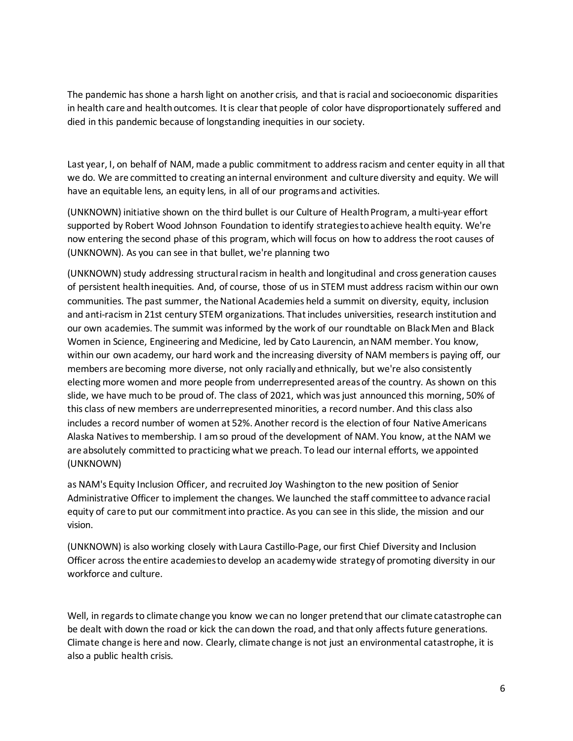The pandemic has shone a harsh light on another crisis, and that is racial and socioeconomic disparities in health care and health outcomes. It is clear that people of color have disproportionately suffered and died in this pandemic because of longstanding inequities in our society.

Last year, I, on behalf of NAM, made a public commitment to address racism and center equity in all that we do. We are committed to creating an internal environment and culture diversity and equity. We will have an equitable lens, an equity lens, in all of our programs and activities.

(UNKNOWN) initiative shown on the third bullet is our Culture of Health Program, a multi-year effort supported by Robert Wood Johnson Foundation to identify strategies to achieve health equity. We're now entering the second phase of this program, which will focus on how to address the root causes of (UNKNOWN). As you can see in that bullet, we're planning two

(UNKNOWN) study addressing structural racism in health and longitudinal and cross generation causes of persistent health inequities. And, of course, those of us in STEM must address racism within our own communities. The past summer, the National Academies held a summit on diversity, equity, inclusion and anti-racism in 21st century STEM organizations. That includes universities, research institution and our own academies. The summit was informed by the work of our roundtable on Black Men and Black Women in Science, Engineering and Medicine, led by Cato Laurencin, an NAM member. You know, within our own academy, our hard work and the increasing diversity of NAM members is paying off, our members are becoming more diverse, not only racially and ethnically, but we're also consistently electing more women and more people from underrepresented areas of the country. As shown on this slide, we have much to be proud of. The class of 2021, which was just announced this morning, 50% of this class of new members are underrepresented minorities, a record number. And this class also includes a record number of women at 52%. Another record is the election of four Native Americans Alaska Natives to membership. I am so proud of the development of NAM. You know, at the NAM we are absolutely committed to practicing what we preach. To lead our internal efforts, we appointed (UNKNOWN)

as NAM's Equity Inclusion Officer, and recruited Joy Washington to the new position of Senior Administrative Officer to implement the changes. We launched the staff committee to advance racial equity of care to put our commitment into practice. As you can see in this slide, the mission and our vision.

(UNKNOWN) is also working closely with Laura Castillo-Page, our first Chief Diversity and Inclusion Officer across the entire academies to develop an academy wide strategy of promoting diversity in our workforce and culture.

Well, in regards to climate change you know we can no longer pretend that our climate catastrophe can be dealt with down the road or kick the can down the road, and that only affects future generations. Climate change is here and now. Clearly, climate change is not just an environmental catastrophe, it is also a public health crisis.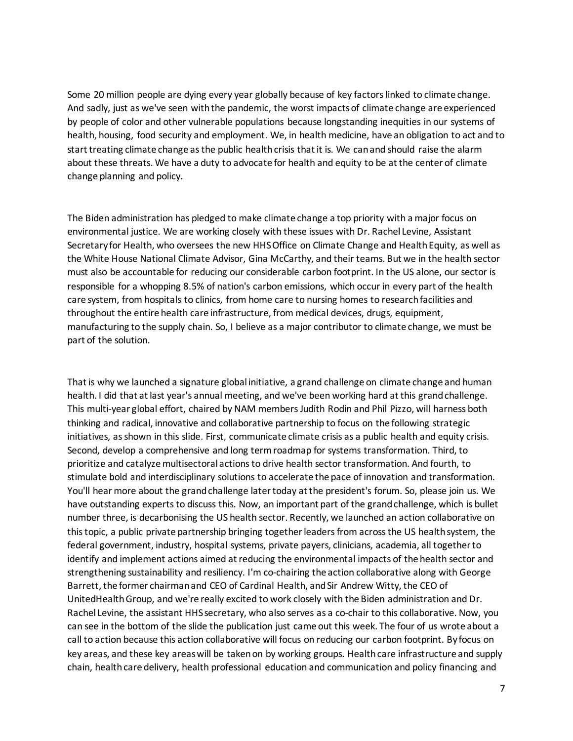Some 20 million people are dying every year globally because of key factors linked to climate change. And sadly, just as we've seen with the pandemic, the worst impacts of climate change are experienced by people of color and other vulnerable populations because longstanding inequities in our systems of health, housing, food security and employment. We, in health medicine, have an obligation to act and to start treating climate change as the public health crisis that it is. We can and should raise the alarm about these threats. We have a duty to advocate for health and equity to be at the center of climate change planning and policy.

The Biden administration has pledged to make climate change a top priority with a major focus on environmental justice. We are working closely with these issues with Dr. Rachel Levine, Assistant Secretary for Health, who oversees the new HHS Office on Climate Change and Health Equity, as well as the White House National Climate Advisor, Gina McCarthy, and their teams. But we in the health sector must also be accountable for reducing our considerable carbon footprint. In the US alone, our sector is responsible for a whopping 8.5% of nation's carbon emissions, which occur in every part of the health care system, from hospitals to clinics, from home care to nursing homes to research facilities and throughout the entire health care infrastructure, from medical devices, drugs, equipment, manufacturing to the supply chain. So, I believe as a major contributor to climate change, we must be part of the solution.

That is why we launched a signature global initiative, a grand challenge on climate change and human health. I did that at last year's annual meeting, and we've been working hard at this grand challenge. This multi-year global effort, chaired by NAM members Judith Rodin and Phil Pizzo, will harness both thinking and radical, innovative and collaborative partnership to focus on the following strategic initiatives, as shown in this slide. First, communicate climate crisis as a public health and equity crisis. Second, develop a comprehensive and long term roadmap for systems transformation. Third, to prioritize and catalyze multisectoral actions to drive health sector transformation. And fourth, to stimulate bold and interdisciplinary solutions to accelerate the pace of innovation and transformation. You'll hear more about the grand challenge later today at the president's forum. So, please join us. We have outstanding experts to discuss this. Now, an important part of the grand challenge, which is bullet number three, is decarbonising the US health sector. Recently, we launched an action collaborative on this topic, a public private partnership bringing together leaders from across the US health system, the federal government, industry, hospital systems, private payers, clinicians, academia, all together to identify and implement actions aimed at reducing the environmental impacts of the health sector and strengthening sustainability and resiliency. I'm co-chairing the action collaborative along with George Barrett, the former chairman and CEO of Cardinal Health, and Sir Andrew Witty, the CEO of UnitedHealth Group, and we're really excited to work closely with the Biden administration and Dr. Rachel Levine, the assistant HHS secretary, who also serves as a co-chair to this collaborative. Now, you can see in the bottom of the slide the publication just came out this week. The four of us wrote about a call to action because this action collaborative will focus on reducing our carbon footprint. By focus on key areas, and these key areas will be taken on by working groups. Health care infrastructure and supply chain, health care delivery, health professional education and communication and policy financing and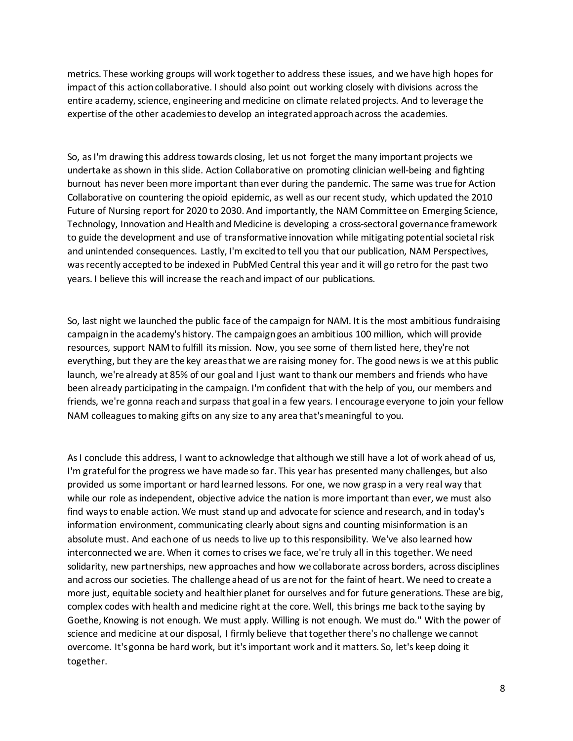metrics. These working groups will work together to address these issues, and we have high hopes for impact of this action collaborative. I should also point out working closely with divisions across the entire academy, science, engineering and medicine on climate related projects. And to leverage the expertise of the other academies to develop an integrated approach across the academies.

So, as I'm drawing this address towards closing, let us not forget the many important projects we undertake as shown in this slide. Action Collaborative on promoting clinician well-being and fighting burnout has never been more important than ever during the pandemic. The same was true for Action Collaborative on countering the opioid epidemic, as well as our recent study, which updated the 2010 Future of Nursing report for 2020 to 2030. And importantly, the NAM Committee on Emerging Science, Technology, Innovation and Health and Medicine is developing a cross-sectoral governance framework to guide the development and use of transformative innovation while mitigating potential societal risk and unintended consequences. Lastly, I'm excited to tell you that our publication, NAM Perspectives, was recently accepted to be indexed in PubMed Central this year and it will go retro for the past two years. I believe this will increase the reach and impact of our publications.

So, last night we launched the public face of the campaign for NAM. It is the most ambitious fundraising campaign in the academy's history. The campaign goes an ambitious 100 million, which will provide resources, support NAM to fulfill its mission. Now, you see some of them listed here, they're not everything, but they are the key areas that we are raising money for. The good news is we at this public launch, we're already at 85% of our goal and I just want to thank our members and friends who have been already participating in the campaign. I'm confident that with the help of you, our members and friends, we're gonna reach and surpass that goal in a few years. I encourage everyone to join your fellow NAM colleagues to making gifts on any size to any area that's meaningful to you.

As I conclude this address, I want to acknowledge that although we still have a lot of work ahead of us, I'm grateful for the progress we have made so far. This year has presented many challenges, but also provided us some important or hard learned lessons. For one, we now grasp in a very real way that while our role as independent, objective advice the nation is more important than ever, we must also find ways to enable action. We must stand up and advocate for science and research, and in today's information environment, communicating clearly about signs and counting misinformation is an absolute must. And each one of us needs to live up to this responsibility. We've also learned how interconnected we are. When it comes to crises we face, we're truly all in this together. We need solidarity, new partnerships, new approaches and how we collaborate across borders, across disciplines and across our societies. The challenge ahead of us are not for the faint of heart. We need to create a more just, equitable society and healthier planet for ourselves and for future generations. These are big, complex codes with health and medicine right at the core. Well, this brings me back to the saying by Goethe, Knowing is not enough. We must apply. Willing is not enough. We must do." With the power of science and medicine at our disposal, I firmly believe that together there's no challenge we cannot overcome. It's gonna be hard work, but it's important work and it matters. So, let's keep doing it together.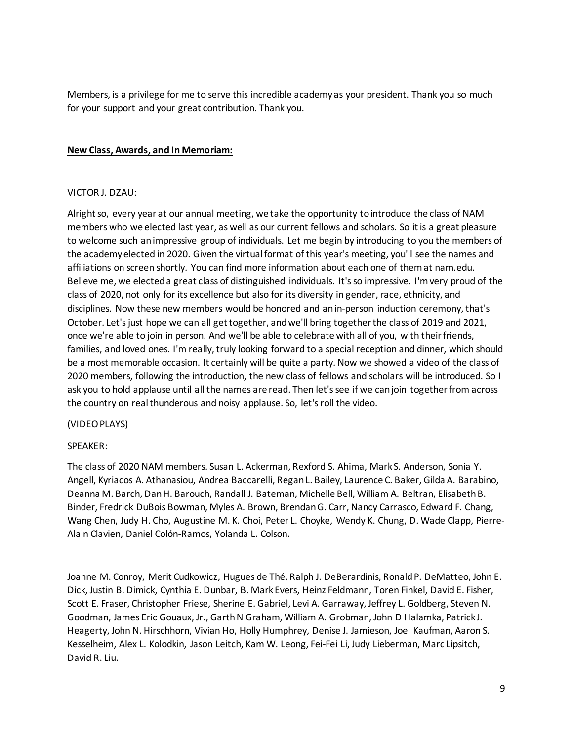Members, is a privilege for me to serve this incredible academy as your president. Thank you so much for your support and your great contribution. Thank you.

# **New Class, Awards, and In Memoriam:**

## VICTOR J. DZAU:

Alright so, every year at our annual meeting, we take the opportunity to introduce the class of NAM members who we elected last year, as well as our current fellows and scholars. So it is a great pleasure to welcome such an impressive group of individuals. Let me begin by introducing to you the members of the academy elected in 2020. Given the virtual format of this year's meeting, you'll see the names and affiliations on screen shortly. You can find more information about each one of them at nam.edu. Believe me, we elected a great class of distinguished individuals. It's so impressive. I'm very proud of the class of 2020, not only for its excellence but also for its diversity in gender, race, ethnicity, and disciplines. Now these new members would be honored and an in-person induction ceremony, that's October. Let's just hope we can all get together, and we'll bring together the class of 2019 and 2021, once we're able to join in person. And we'll be able to celebrate with all of you, with their friends, families, and loved ones. I'm really, truly looking forward to a special reception and dinner, which should be a most memorable occasion. It certainly will be quite a party. Now we showed a video of the class of 2020 members, following the introduction, the new class of fellows and scholars will be introduced. So I ask you to hold applause until all the names are read. Then let's see if we can join together from across the country on real thunderous and noisy applause. So, let's roll the video.

## (VIDEO PLAYS)

## SPEAKER:

The class of 2020 NAM members. Susan L. Ackerman, Rexford S. Ahima, Mark S. Anderson, Sonia Y. Angell, Kyriacos A. Athanasiou, Andrea Baccarelli, Regan L. Bailey, Laurence C. Baker, Gilda A. Barabino, Deanna M. Barch, Dan H. Barouch, Randall J. Bateman, Michelle Bell, William A. Beltran, Elisabeth B. Binder, Fredrick DuBois Bowman, Myles A. Brown, Brendan G. Carr, Nancy Carrasco, Edward F. Chang, Wang Chen, Judy H. Cho, Augustine M. K. Choi, Peter L. Choyke, Wendy K. Chung, D. Wade Clapp, Pierre-Alain Clavien, Daniel Colón-Ramos, Yolanda L. Colson.

Joanne M. Conroy, Merit Cudkowicz, Hugues de Thé, Ralph J. DeBerardinis, Ronald P. DeMatteo, John E. Dick, Justin B. Dimick, Cynthia E. Dunbar, B. Mark Evers, Heinz Feldmann, Toren Finkel, David E. Fisher, Scott E. Fraser, Christopher Friese, Sherine E. Gabriel, Levi A. Garraway, Jeffrey L. Goldberg, Steven N. Goodman, James Eric Gouaux, Jr., Garth N Graham, William A. Grobman, John D Halamka, Patrick J. Heagerty, John N. Hirschhorn, Vivian Ho, Holly Humphrey, Denise J. Jamieson, Joel Kaufman, Aaron S. Kesselheim, Alex L. Kolodkin, Jason Leitch, Kam W. Leong, Fei-Fei Li, Judy Lieberman, Marc Lipsitch, David R. Liu.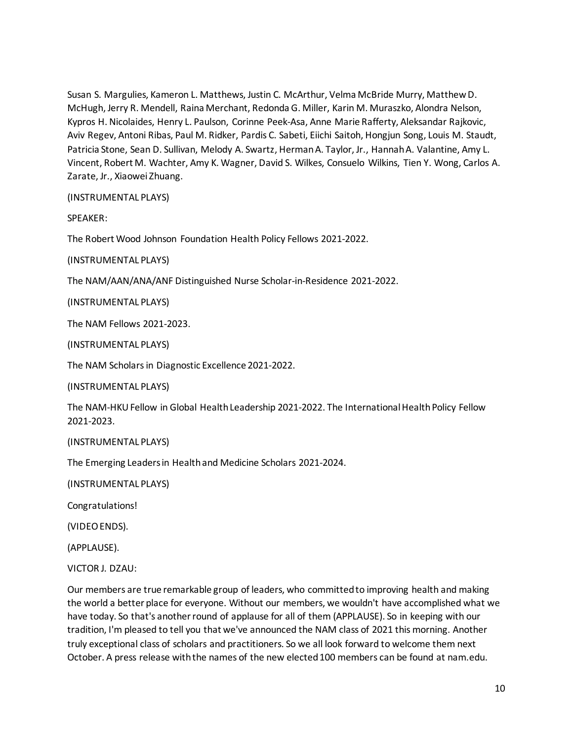Susan S. Margulies, Kameron L. Matthews, Justin C. McArthur, Velma McBride Murry, Matthew D. McHugh, Jerry R. Mendell, Raina Merchant, Redonda G. Miller, Karin M. Muraszko, Alondra Nelson, Kypros H. Nicolaides, Henry L. Paulson, Corinne Peek-Asa, Anne Marie Rafferty, Aleksandar Rajkovic, Aviv Regev, Antoni Ribas, Paul M. Ridker, Pardis C. Sabeti, Eiichi Saitoh, Hongjun Song, Louis M. Staudt, Patricia Stone, Sean D. Sullivan, Melody A. Swartz, Herman A. Taylor, Jr., Hannah A. Valantine, Amy L. Vincent, Robert M. Wachter, Amy K. Wagner, David S. Wilkes, Consuelo Wilkins, Tien Y. Wong, Carlos A. Zarate, Jr., Xiaowei Zhuang.

(INSTRUMENTAL PLAYS)

SPEAKER:

The Robert Wood Johnson Foundation Health Policy Fellows 2021-2022.

(INSTRUMENTAL PLAYS)

The NAM/AAN/ANA/ANF Distinguished Nurse Scholar-in-Residence 2021-2022.

(INSTRUMENTAL PLAYS)

The NAM Fellows 2021-2023.

(INSTRUMENTAL PLAYS)

The NAM Scholars in Diagnostic Excellence 2021-2022.

(INSTRUMENTAL PLAYS)

The NAM-HKU Fellow in Global Health Leadership 2021-2022. The International Health Policy Fellow 2021-2023.

## (INSTRUMENTAL PLAYS)

The Emerging Leaders in Health and Medicine Scholars 2021-2024.

(INSTRUMENTAL PLAYS)

Congratulations!

(VIDEO ENDS).

(APPLAUSE).

VICTOR J. DZAU:

Our members are true remarkable group of leaders, who committed to improving health and making the world a better place for everyone. Without our members, we wouldn't have accomplished what we have today. So that's another round of applause for all of them (APPLAUSE). So in keeping with our tradition, I'm pleased to tell you that we've announced the NAM class of 2021 this morning. Another truly exceptional class of scholars and practitioners. So we all look forward to welcome them next October. A press release with the names of the new elected 100 members can be found at nam.edu.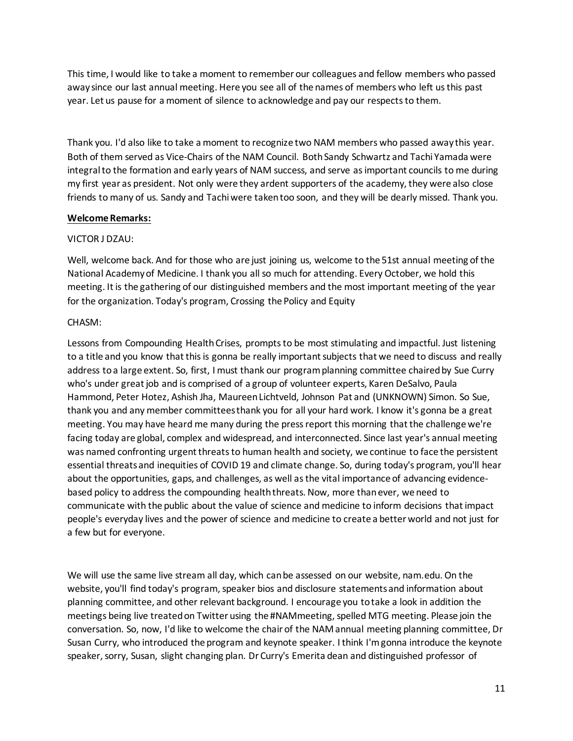This time, I would like to take a moment to remember our colleagues and fellow members who passed away since our last annual meeting. Here you see all of the names of members who left us this past year. Let us pause for a moment of silence to acknowledge and pay our respects to them.

Thank you. I'd also like to take a moment to recognize two NAM members who passed away this year. Both of them served as Vice-Chairs of the NAM Council. Both Sandy Schwartz and Tachi Yamada were integral to the formation and early years of NAM success, and serve as important councils to me during my first year as president. Not only were they ardent supporters of the academy, they were also close friends to many of us. Sandy and Tachi were taken too soon, and they will be dearly missed. Thank you.

# **Welcome Remarks:**

# VICTOR J DZAU:

Well, welcome back. And for those who are just joining us, welcome to the 51st annual meeting of the National Academy of Medicine. I thank you all so much for attending. Every October, we hold this meeting. It is the gathering of our distinguished members and the most important meeting of the year for the organization. Today's program, Crossing the Policy and Equity

# CHASM:

Lessons from Compounding Health Crises, prompts to be most stimulating and impactful. Just listening to a title and you know that this is gonna be really important subjects that we need to discuss and really address to a large extent. So, first, I must thank our program planning committee chaired by Sue Curry who's under great job and is comprised of a group of volunteer experts, Karen DeSalvo, Paula Hammond, Peter Hotez, Ashish Jha, Maureen Lichtveld, Johnson Pat and (UNKNOWN) Simon. So Sue, thank you and any member committees thank you for all your hard work. I know it's gonna be a great meeting. You may have heard me many during the press report this morning that the challenge we're facing today are global, complex and widespread, and interconnected. Since last year's annual meeting was named confronting urgent threats to human health and society, we continue to face the persistent essential threats and inequities of COVID 19 and climate change. So, during today's program, you'll hear about the opportunities, gaps, and challenges, as well as the vital importance of advancing evidencebased policy to address the compounding health threats. Now, more than ever, we need to communicate with the public about the value of science and medicine to inform decisions that impact people's everyday lives and the power of science and medicine to create a better world and not just for a few but for everyone.

We will use the same live stream all day, which can be assessed on our website, nam.edu. On the website, you'll find today's program, speaker bios and disclosure statements and information about planning committee, and other relevant background. I encourage you to take a look in addition the meetings being live treated on Twitter using the #NAMmeeting, spelled MTG meeting. Please join the conversation. So, now, I'd like to welcome the chair of the NAM annual meeting planning committee, Dr Susan Curry, who introduced the program and keynote speaker. I think I'm gonna introduce the keynote speaker, sorry, Susan, slight changing plan. Dr Curry's Emerita dean and distinguished professor of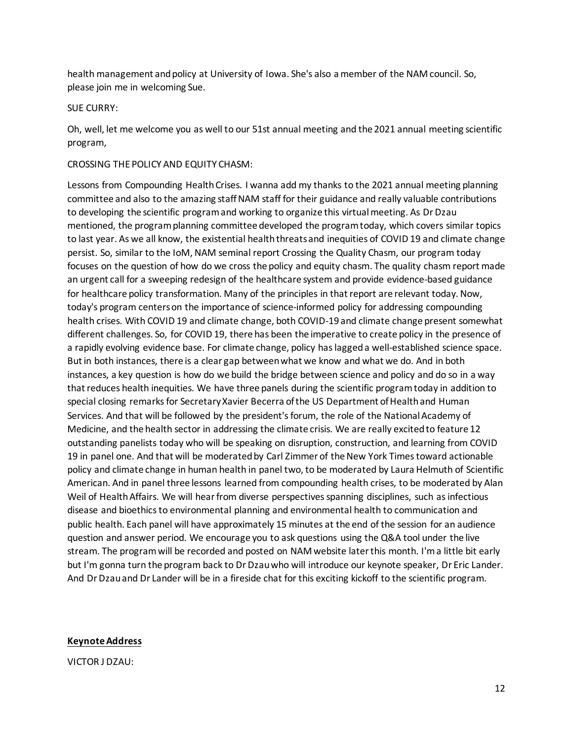health management and policy at University of Iowa. She's also a member of the NAM council. So, please join me in welcoming Sue.

# SUE CURRY:

Oh, well, let me welcome you as well to our 51st annual meeting and the 2021 annual meeting scientific program,

# CROSSING THE POLICY AND EQUITY CHASM:

Lessons from Compounding Health Crises. I wanna add my thanks to the 2021 annual meeting planning committee and also to the amazing staff NAM staff for their guidance and really valuable contributions to developing the scientific program and working to organize this virtual meeting. As Dr Dzau mentioned, the program planning committee developed the program today, which covers similar topics to last year. As we all know, the existential health threats and inequities of COVID 19 and climate change persist. So, similar to the IoM, NAM seminal report Crossing the Quality Chasm, our program today focuses on the question of how do we cross the policy and equity chasm. The quality chasm report made an urgent call for a sweeping redesign of the healthcare system and provide evidence-based guidance for healthcare policy transformation. Many of the principles in that report are relevant today. Now, today's program centers on the importance of science-informed policy for addressing compounding health crises. With COVID 19 and climate change, both COVID-19 and climate change present somewhat different challenges. So, for COVID 19, there has been the imperative to create policy in the presence of a rapidly evolving evidence base. For climate change, policy has lagged a well-established science space. But in both instances, there is a clear gap between what we know and what we do. And in both instances, a key question is how do we build the bridge between science and policy and do so in a way that reduces health inequities. We have three panels during the scientific program today in addition to special closing remarks for Secretary Xavier Becerra of the US Department of Health and Human Services. And that will be followed by the president's forum, the role of the National Academy of Medicine, and the health sector in addressing the climate crisis. We are really excited to feature 12 outstanding panelists today who will be speaking on disruption, construction, and learning from COVID 19 in panel one. And that will be moderated by Carl Zimmer of the New York Times toward actionable policy and climate change in human health in panel two, to be moderated by Laura Helmuth of Scientific American. And in panel three lessons learned from compounding health crises, to be moderated by Alan Weil of Health Affairs. We will hear from diverse perspectives spanning disciplines, such as infectious disease and bioethics to environmental planning and environmental health to communication and public health. Each panel will have approximately 15 minutes at the end of the session for an audience question and answer period. We encourage you to ask questions using the Q&A tool under the live stream. The program will be recorded and posted on NAM website later this month. I'm a little bit early but I'm gonna turn the program back to Dr Dzau who will introduce our keynote speaker, Dr Eric Lander. And Dr Dzau and Dr Lander will be in a fireside chat for this exciting kickoff to the scientific program.

## **Keynote Address**

VICTOR J DZAU: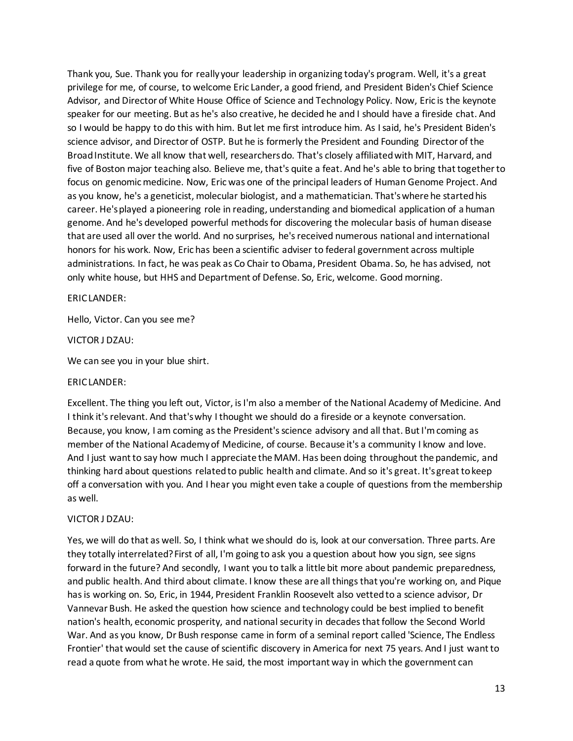Thank you, Sue. Thank you for really your leadership in organizing today's program. Well, it's a great privilege for me, of course, to welcome Eric Lander, a good friend, and President Biden's Chief Science Advisor, and Director of White House Office of Science and Technology Policy. Now, Eric is the keynote speaker for our meeting. But as he's also creative, he decided he and I should have a fireside chat. And so I would be happy to do this with him. But let me first introduce him. As I said, he's President Biden's science advisor, and Director of OSTP. But he is formerly the President and Founding Director of the Broad Institute. We all know that well, researchers do. That's closely affiliated with MIT, Harvard, and five of Boston major teaching also. Believe me, that's quite a feat. And he's able to bring that together to focus on genomic medicine. Now, Eric was one of the principal leaders of Human Genome Project. And as you know, he's a geneticist, molecular biologist, and a mathematician. That's where he started his career. He's played a pioneering role in reading, understanding and biomedical application of a human genome. And he's developed powerful methods for discovering the molecular basis of human disease that are used all over the world. And no surprises, he's received numerous national and international honors for his work. Now, Eric has been a scientific adviser to federal government across multiple administrations. In fact, he was peak as Co Chair to Obama, President Obama. So, he has advised, not only white house, but HHS and Department of Defense. So, Eric, welcome. Good morning.

# ERIC LANDER:

Hello, Victor. Can you see me?

## VICTOR J DZAU:

We can see you in your blue shirt.

## ERIC LANDER:

Excellent. The thing you left out, Victor, is I'm also a member of the National Academy of Medicine. And I think it's relevant. And that's why I thought we should do a fireside or a keynote conversation. Because, you know, I am coming as the President's science advisory and all that. But I'm coming as member of the National Academy of Medicine, of course. Because it's a community I know and love. And I just want to say how much I appreciate the MAM. Has been doing throughout the pandemic, and thinking hard about questions related to public health and climate. And so it's great. It's great to keep off a conversation with you. And I hear you might even take a couple of questions from the membership as well.

# VICTOR J DZAU:

Yes, we will do that as well. So, I think what we should do is, look at our conversation. Three parts. Are they totally interrelated? First of all, I'm going to ask you a question about how you sign, see signs forward in the future? And secondly, I want you to talk a little bit more about pandemic preparedness, and public health. And third about climate. I know these are all things that you're working on, and Pique has is working on. So, Eric, in 1944, President Franklin Roosevelt also vetted to a science advisor, Dr Vannevar Bush. He asked the question how science and technology could be best implied to benefit nation's health, economic prosperity, and national security in decades that follow the Second World War. And as you know, Dr Bush response came in form of a seminal report called 'Science, The Endless Frontier' that would set the cause of scientific discovery in America for next 75 years. And I just want to read a quote from what he wrote. He said, the most important way in which the government can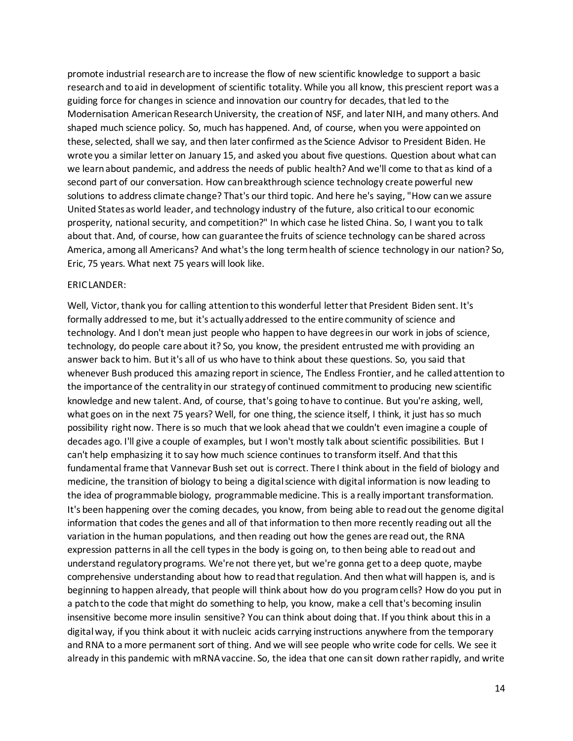promote industrial research are to increase the flow of new scientific knowledge to support a basic research and to aid in development of scientific totality. While you all know, this prescient report was a guiding force for changes in science and innovation our country for decades, that led to the Modernisation American Research University, the creation of NSF, and later NIH, and many others. And shaped much science policy. So, much has happened. And, of course, when you were appointed on these, selected, shall we say, and then later confirmed as the Science Advisor to President Biden. He wrote you a similar letter on January 15, and asked you about five questions. Question about what can we learn about pandemic, and address the needs of public health? And we'll come to that as kind of a second part of our conversation. How can breakthrough science technology create powerful new solutions to address climate change? That's our third topic. And here he's saying, "How can we assure United States as world leader, and technology industry of the future, also critical to our economic prosperity, national security, and competition?" In which case he listed China. So, I want you to talk about that. And, of course, how can guarantee the fruits of science technology can be shared across America, among all Americans? And what's the long term health of science technology in our nation? So, Eric, 75 years. What next 75 years will look like.

## ERIC LANDER:

Well, Victor, thank you for calling attention to this wonderful letter that President Biden sent. It's formally addressed to me, but it's actually addressed to the entire community of science and technology. And I don't mean just people who happen to have degrees in our work in jobs of science, technology, do people care about it? So, you know, the president entrusted me with providing an answer back to him. But it's all of us who have to think about these questions. So, you said that whenever Bush produced this amazing report in science, The Endless Frontier, and he called attention to the importance of the centrality in our strategy of continued commitment to producing new scientific knowledge and new talent. And, of course, that's going to have to continue. But you're asking, well, what goes on in the next 75 years? Well, for one thing, the science itself, I think, it just has so much possibility right now. There is so much that we look ahead that we couldn't even imagine a couple of decades ago. I'll give a couple of examples, but I won't mostly talk about scientific possibilities. But I can't help emphasizing it to say how much science continues to transform itself. And that this fundamental frame that Vannevar Bush set out is correct. There I think about in the field of biology and medicine, the transition of biology to being a digital science with digital information is now leading to the idea of programmable biology, programmable medicine. This is a really important transformation. It's been happening over the coming decades, you know, from being able to read out the genome digital information that codes the genes and all of that information to then more recently reading out all the variation in the human populations, and then reading out how the genes are read out, the RNA expression patterns in all the cell types in the body is going on, to then being able to read out and understand regulatory programs. We're not there yet, but we're gonna get to a deep quote, maybe comprehensive understanding about how to read that regulation. And then what will happen is, and is beginning to happen already, that people will think about how do you program cells? How do you put in a patch to the code that might do something to help, you know, make a cell that's becoming insulin insensitive become more insulin sensitive? You can think about doing that. If you think about this in a digital way, if you think about it with nucleic acids carrying instructions anywhere from the temporary and RNA to a more permanent sort of thing. And we will see people who write code for cells. We see it already in this pandemic with mRNA vaccine. So, the idea that one can sit down rather rapidly, and write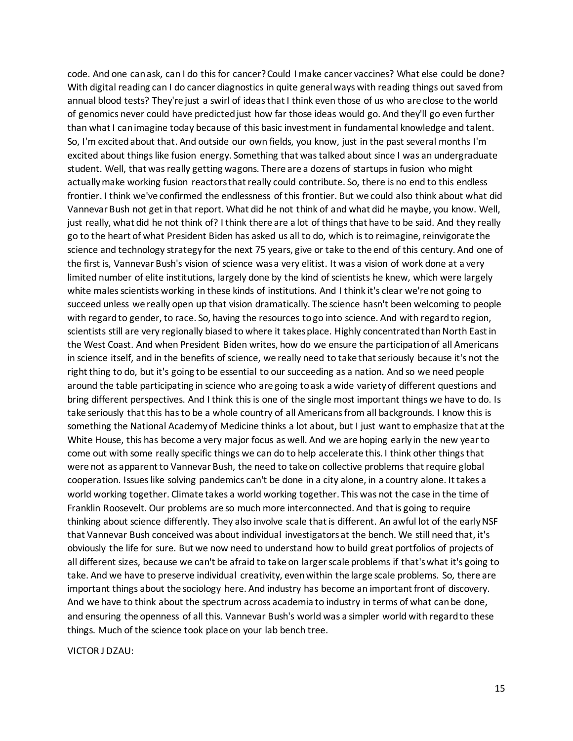code. And one can ask, can I do this for cancer? Could I make cancer vaccines? What else could be done? With digital reading can I do cancer diagnostics in quite general ways with reading things out saved from annual blood tests? They're just a swirl of ideas that I think even those of us who are close to the world of genomics never could have predicted just how far those ideas would go. And they'll go even further than what I can imagine today because of this basic investment in fundamental knowledge and talent. So, I'm excited about that. And outside our own fields, you know, just in the past several months I'm excited about things like fusion energy. Something that was talked about since I was an undergraduate student. Well, that was really getting wagons. There are a dozens of startups in fusion who might actually make working fusion reactors that really could contribute. So, there is no end to this endless frontier. I think we've confirmed the endlessness of this frontier. But we could also think about what did Vannevar Bush not get in that report. What did he not think of and what did he maybe, you know. Well, just really, what did he not think of? I think there are a lot of things that have to be said. And they really go to the heart of what President Biden has asked us all to do, which is to reimagine, reinvigorate the science and technology strategy for the next 75 years, give or take to the end of this century. And one of the first is, Vannevar Bush's vision of science was a very elitist. It was a vision of work done at a very limited number of elite institutions, largely done by the kind of scientists he knew, which were largely white males scientists working in these kinds of institutions. And I think it's clear we're not going to succeed unless we really open up that vision dramatically. The science hasn't been welcoming to people with regard to gender, to race. So, having the resources to go into science. And with regard to region, scientists still are very regionally biased to where it takes place. Highly concentrated than North East in the West Coast. And when President Biden writes, how do we ensure the participation of all Americans in science itself, and in the benefits of science, we really need to take that seriously because it's not the right thing to do, but it's going to be essential to our succeeding as a nation. And so we need people around the table participating in science who are going to ask a wide variety of different questions and bring different perspectives. And I think this is one of the single most important things we have to do. Is take seriously that this has to be a whole country of all Americans from all backgrounds. I know this is something the National Academy of Medicine thinks a lot about, but I just want to emphasize that at the White House, this has become a very major focus as well. And we are hoping early in the new year to come out with some really specific things we can do to help accelerate this. I think other things that were not as apparent to Vannevar Bush, the need to take on collective problems that require global cooperation. Issues like solving pandemics can't be done in a city alone, in a country alone. It takes a world working together. Climate takes a world working together. This was not the case in the time of Franklin Roosevelt. Our problems are so much more interconnected. And that is going to require thinking about science differently. They also involve scale that is different. An awful lot of the early NSF that Vannevar Bush conceived was about individual investigators at the bench. We still need that, it's obviously the life for sure. But we now need to understand how to build great portfolios of projects of all different sizes, because we can't be afraid to take on larger scale problems if that's what it's going to take. And we have to preserve individual creativity, even within the large scale problems. So, there are important things about the sociology here. And industry has become an important front of discovery. And we have to think about the spectrum across academia to industry in terms of what can be done, and ensuring the openness of all this. Vannevar Bush's world was a simpler world with regard to these things. Much of the science took place on your lab bench tree.

VICTOR J DZAU: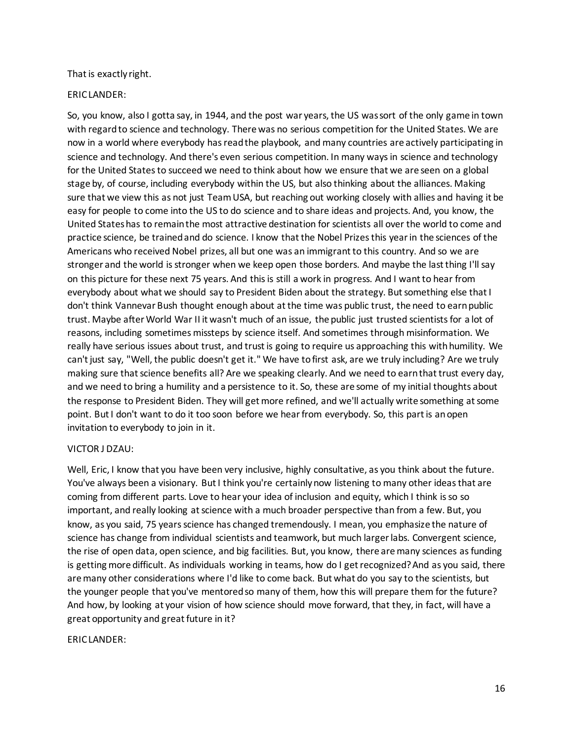## That is exactly right.

# ERIC LANDER:

So, you know, also I gotta say, in 1944, and the post war years, the US was sort of the only game in town with regard to science and technology. There was no serious competition for the United States. We are now in a world where everybody has read the playbook, and many countries are actively participating in science and technology. And there's even serious competition. In many ways in science and technology for the United States to succeed we need to think about how we ensure that we are seen on a global stage by, of course, including everybody within the US, but also thinking about the alliances. Making sure that we view this as not just Team USA, but reaching out working closely with allies and having it be easy for people to come into the US to do science and to share ideas and projects. And, you know, the United States has to remain the most attractive destination for scientists all over the world to come and practice science, be trained and do science. I know that the Nobel Prizes this year in the sciences of the Americans who received Nobel prizes, all but one was an immigrant to this country. And so we are stronger and the world is stronger when we keep open those borders. And maybe the last thing I'll say on this picture for these next 75 years. And this is still a work in progress. And I want to hear from everybody about what we should say to President Biden about the strategy. But something else that I don't think Vannevar Bush thought enough about at the time was public trust, the need to earn public trust. Maybe after World War II it wasn't much of an issue, the public just trusted scientists for a lot of reasons, including sometimes missteps by science itself. And sometimes through misinformation. We really have serious issues about trust, and trust is going to require us approaching this with humility. We can't just say, "Well, the public doesn't get it." We have to first ask, are we truly including? Are we truly making sure that science benefits all? Are we speaking clearly. And we need to earn that trust every day, and we need to bring a humility and a persistence to it. So, these are some of my initial thoughts about the response to President Biden. They will get more refined, and we'll actually write something at some point. But I don't want to do it too soon before we hear from everybody. So, this part is an open invitation to everybody to join in it.

# VICTOR J DZAU:

Well, Eric, I know that you have been very inclusive, highly consultative, as you think about the future. You've always been a visionary. But I think you're certainly now listening to many other ideas that are coming from different parts. Love to hear your idea of inclusion and equity, which I think is so so important, and really looking at science with a much broader perspective than from a few. But, you know, as you said, 75 years science has changed tremendously. I mean, you emphasize the nature of science has change from individual scientists and teamwork, but much larger labs. Convergent science, the rise of open data, open science, and big facilities. But, you know, there are many sciences as funding is getting more difficult. As individuals working in teams, how do I get recognized? And as you said, there are many other considerations where I'd like to come back. But what do you say to the scientists, but the younger people that you've mentored so many of them, how this will prepare them for the future? And how, by looking at your vision of how science should move forward, that they, in fact, will have a great opportunity and great future in it?

# ERIC LANDER: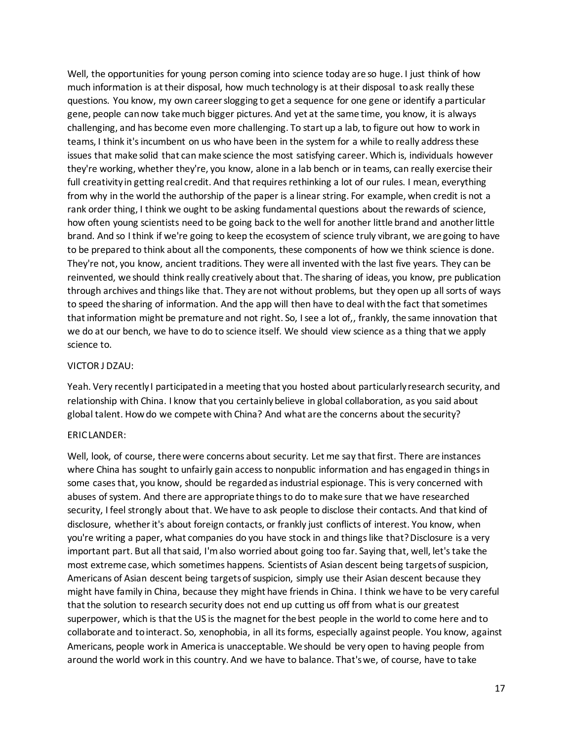Well, the opportunities for young person coming into science today are so huge. I just think of how much information is at their disposal, how much technology is at their disposal to ask really these questions. You know, my own career slogging to get a sequence for one gene or identify a particular gene, people can now take much bigger pictures. And yet at the same time, you know, it is always challenging, and has become even more challenging. To start up a lab, to figure out how to work in teams, I think it's incumbent on us who have been in the system for a while to really address these issues that make solid that can make science the most satisfying career. Which is, individuals however they're working, whether they're, you know, alone in a lab bench or in teams, can really exercise their full creativity in getting real credit. And that requires rethinking a lot of our rules. I mean, everything from why in the world the authorship of the paper is a linear string. For example, when credit is not a rank order thing, I think we ought to be asking fundamental questions about the rewards of science, how often young scientists need to be going back to the well for another little brand and another little brand. And so I think if we're going to keep the ecosystem of science truly vibrant, we are going to have to be prepared to think about all the components, these components of how we think science is done. They're not, you know, ancient traditions. They were all invented with the last five years. They can be reinvented, we should think really creatively about that. The sharing of ideas, you know, pre publication through archives and things like that. They are not without problems, but they open up all sorts of ways to speed the sharing of information. And the app will then have to deal with the fact that sometimes that information might be premature and not right. So, I see a lot of,, frankly, the same innovation that we do at our bench, we have to do to science itself. We should view science as a thing that we apply science to.

## VICTOR J DZAU:

Yeah. Very recently I participated in a meeting that you hosted about particularly research security, and relationship with China. I know that you certainly believe in global collaboration, as you said about global talent. How do we compete with China? And what are the concerns about the security?

## ERIC LANDER:

Well, look, of course, there were concerns about security. Let me say that first. There are instances where China has sought to unfairly gain access to nonpublic information and has engaged in things in some cases that, you know, should be regarded as industrial espionage. This is very concerned with abuses of system. And there are appropriate things to do to make sure that we have researched security, I feel strongly about that. We have to ask people to disclose their contacts. And that kind of disclosure, whether it's about foreign contacts, or frankly just conflicts of interest. You know, when you're writing a paper, what companies do you have stock in and things like that? Disclosure is a very important part. But all that said, I'm also worried about going too far. Saying that, well, let's take the most extreme case, which sometimes happens. Scientists of Asian descent being targets of suspicion, Americans of Asian descent being targets of suspicion, simply use their Asian descent because they might have family in China, because they might have friends in China. I think we have to be very careful that the solution to research security does not end up cutting us off from what is our greatest superpower, which is that the US is the magnet for the best people in the world to come here and to collaborate and to interact. So, xenophobia, in all its forms, especially against people. You know, against Americans, people work in America is unacceptable. We should be very open to having people from around the world work in this country. And we have to balance. That's we, of course, have to take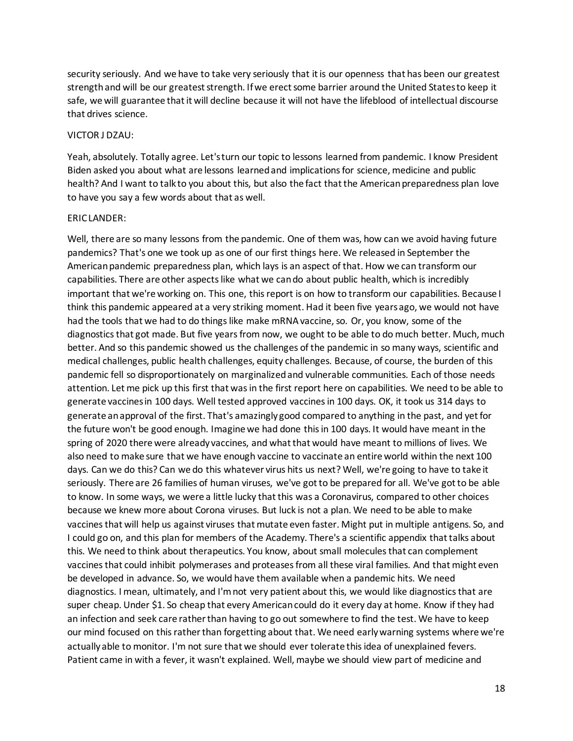security seriously. And we have to take very seriously that it is our openness that has been our greatest strength and will be our greatest strength. If we erect some barrier around the United States to keep it safe, we will guarantee that it will decline because it will not have the lifeblood of intellectual discourse that drives science.

#### VICTOR J DZAU:

Yeah, absolutely. Totally agree. Let's turn our topic to lessons learned from pandemic. I know President Biden asked you about what are lessons learned and implications for science, medicine and public health? And I want to talk to you about this, but also the fact that the American preparedness plan love to have you say a few words about that as well.

## ERIC LANDER:

Well, there are so many lessons from the pandemic. One of them was, how can we avoid having future pandemics? That's one we took up as one of our first things here. We released in September the American pandemic preparedness plan, which lays is an aspect of that. How we can transform our capabilities. There are other aspects like what we can do about public health, which is incredibly important that we're working on. This one, this report is on how to transform our capabilities. Because I think this pandemic appeared at a very striking moment. Had it been five years ago, we would not have had the tools that we had to do things like make mRNA vaccine, so. Or, you know, some of the diagnostics that got made. But five years from now, we ought to be able to do much better. Much, much better. And so this pandemic showed us the challenges of the pandemic in so many ways, scientific and medical challenges, public health challenges, equity challenges. Because, of course, the burden of this pandemic fell so disproportionately on marginalized and vulnerable communities. Each of those needs attention. Let me pick up this first that was in the first report here on capabilities. We need to be able to generate vaccines in 100 days. Well tested approved vaccines in 100 days. OK, it took us 314 days to generate an approval of the first. That's amazingly good compared to anything in the past, and yet for the future won't be good enough. Imagine we had done this in 100 days. It would have meant in the spring of 2020 there were already vaccines, and what that would have meant to millions of lives. We also need to make sure that we have enough vaccine to vaccinate an entire world within the next 100 days. Can we do this? Can we do this whatever virus hits us next? Well, we're going to have to take it seriously. There are 26 families of human viruses, we've got to be prepared for all. We've got to be able to know. In some ways, we were a little lucky that this was a Coronavirus, compared to other choices because we knew more about Corona viruses. But luck is not a plan. We need to be able to make vaccines that will help us against viruses that mutate even faster. Might put in multiple antigens. So, and I could go on, and this plan for members of the Academy. There's a scientific appendix that talks about this. We need to think about therapeutics. You know, about small molecules that can complement vaccines that could inhibit polymerases and proteases from all these viral families. And that might even be developed in advance. So, we would have them available when a pandemic hits. We need diagnostics. I mean, ultimately, and I'm not very patient about this, we would like diagnostics that are super cheap. Under \$1. So cheap that every American could do it every day at home. Know if they had an infection and seek care rather than having to go out somewhere to find the test. We have to keep our mind focused on this rather than forgetting about that. We need early warning systems where we're actually able to monitor. I'm not sure that we should ever tolerate this idea of unexplained fevers. Patient came in with a fever, it wasn't explained. Well, maybe we should view part of medicine and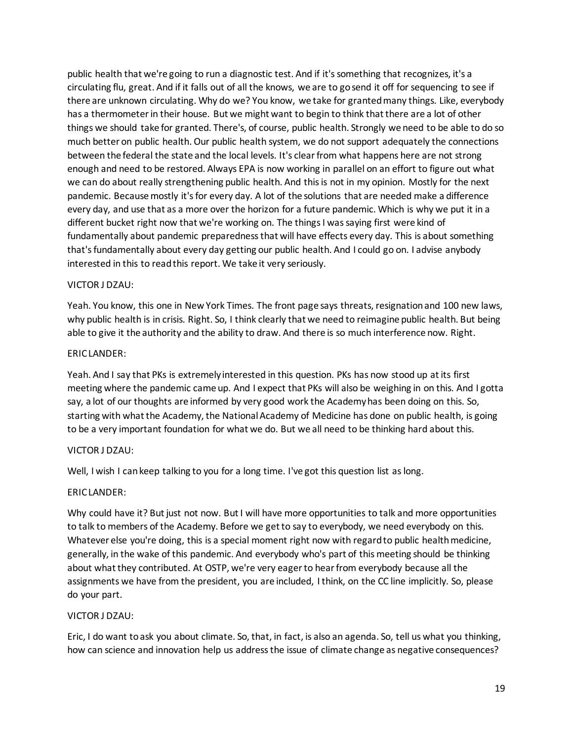public health that we're going to run a diagnostic test. And if it's something that recognizes, it's a circulating flu, great. And if it falls out of all the knows, we are to go send it off for sequencing to see if there are unknown circulating. Why do we? You know, we take for granted many things. Like, everybody has a thermometer in their house. But we might want to begin to think that there are a lot of other things we should take for granted. There's, of course, public health. Strongly we need to be able to do so much better on public health. Our public health system, we do not support adequately the connections between the federal the state and the local levels. It's clear from what happens here are not strong enough and need to be restored. Always EPA is now working in parallel on an effort to figure out what we can do about really strengthening public health. And this is not in my opinion. Mostly for the next pandemic. Because mostly it's for every day. A lot of the solutions that are needed make a difference every day, and use that as a more over the horizon for a future pandemic. Which is why we put it in a different bucket right now that we're working on. The things I was saying first were kind of fundamentally about pandemic preparedness that will have effects every day. This is about something that's fundamentally about every day getting our public health. And I could go on. I advise anybody interested in this to read this report. We take it very seriously.

# VICTOR J DZAU:

Yeah. You know, this one in New York Times. The front page says threats, resignation and 100 new laws, why public health is in crisis. Right. So, I think clearly that we need to reimagine public health. But being able to give it the authority and the ability to draw. And there is so much interference now. Right.

## ERIC LANDER:

Yeah. And I say that PKs is extremely interested in this question. PKs has now stood up at its first meeting where the pandemic came up. And I expect that PKs will also be weighing in on this. And I gotta say, a lot of our thoughts are informed by very good work the Academy has been doing on this. So, starting with what the Academy, the National Academy of Medicine has done on public health, is going to be a very important foundation for what we do. But we all need to be thinking hard about this.

# VICTOR J DZAU:

Well, I wish I can keep talking to you for a long time. I've got this question list as long.

## ERIC LANDER:

Why could have it? But just not now. But I will have more opportunities to talk and more opportunities to talk to members of the Academy. Before we get to say to everybody, we need everybody on this. Whatever else you're doing, this is a special moment right now with regard to public health medicine, generally, in the wake of this pandemic. And everybody who's part of this meeting should be thinking about what they contributed. At OSTP, we're very eager to hear from everybody because all the assignments we have from the president, you are included, I think, on the CC line implicitly. So, please do your part.

## VICTOR J DZAU:

Eric, I do want to ask you about climate. So, that, in fact, is also an agenda. So, tell us what you thinking, how can science and innovation help us address the issue of climate change as negative consequences?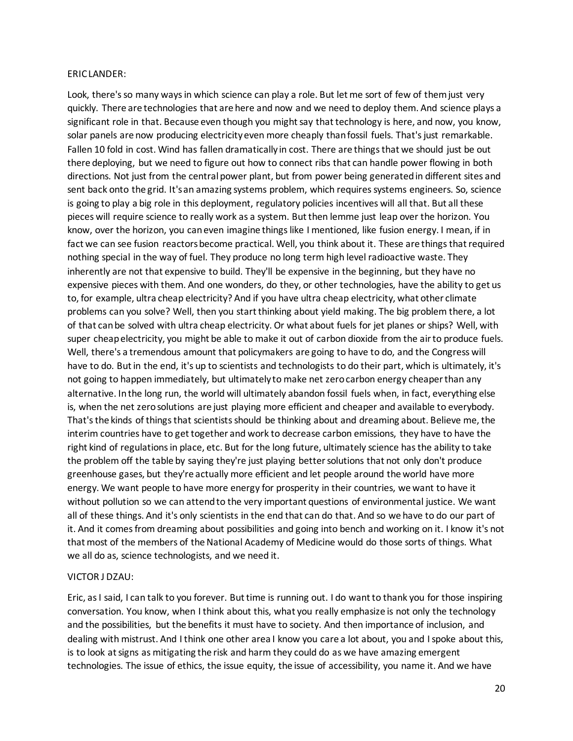#### ERIC LANDER:

Look, there's so many ways in which science can play a role. But let me sort of few of them just very quickly. There are technologies that are here and now and we need to deploy them. And science plays a significant role in that. Because even though you might say that technology is here, and now, you know, solar panels are now producing electricity even more cheaply than fossil fuels. That's just remarkable. Fallen 10 fold in cost. Wind has fallen dramatically in cost. There are things that we should just be out there deploying, but we need to figure out how to connect ribs that can handle power flowing in both directions. Not just from the central power plant, but from power being generated in different sites and sent back onto the grid. It's an amazing systems problem, which requires systems engineers. So, science is going to play a big role in this deployment, regulatory policies incentives will all that. But all these pieces will require science to really work as a system. But then lemme just leap over the horizon. You know, over the horizon, you can even imagine things like I mentioned, like fusion energy. I mean, if in fact we can see fusion reactors become practical. Well, you think about it. These are things that required nothing special in the way of fuel. They produce no long term high level radioactive waste. They inherently are not that expensive to build. They'll be expensive in the beginning, but they have no expensive pieces with them. And one wonders, do they, or other technologies, have the ability to get us to, for example, ultra cheap electricity? And if you have ultra cheap electricity, what other climate problems can you solve? Well, then you start thinking about yield making. The big problem there, a lot of that can be solved with ultra cheap electricity. Or what about fuels for jet planes or ships? Well, with super cheap electricity, you might be able to make it out of carbon dioxide from the air to produce fuels. Well, there's a tremendous amount that policymakers are going to have to do, and the Congress will have to do. But in the end, it's up to scientists and technologists to do their part, which is ultimately, it's not going to happen immediately, but ultimately to make net zero carbon energy cheaper than any alternative. In the long run, the world will ultimately abandon fossil fuels when, in fact, everything else is, when the net zero solutions are just playing more efficient and cheaper and available to everybody. That's the kinds of things that scientists should be thinking about and dreaming about. Believe me, the interim countries have to get together and work to decrease carbon emissions, they have to have the right kind of regulations in place, etc. But for the long future, ultimately science has the ability to take the problem off the table by saying they're just playing better solutions that not only don't produce greenhouse gases, but they're actually more efficient and let people around the world have more energy. We want people to have more energy for prosperity in their countries, we want to have it without pollution so we can attend to the very important questions of environmental justice. We want all of these things. And it's only scientists in the end that can do that. And so we have to do our part of it. And it comes from dreaming about possibilities and going into bench and working on it. I know it's not that most of the members of the National Academy of Medicine would do those sorts of things. What we all do as, science technologists, and we need it.

## VICTOR J DZAU:

Eric, as I said, I can talk to you forever. But time is running out. I do want to thank you for those inspiring conversation. You know, when I think about this, what you really emphasize is not only the technology and the possibilities, but the benefits it must have to society. And then importance of inclusion, and dealing with mistrust. And I think one other area I know you care a lot about, you and I spoke about this, is to look at signs as mitigating the risk and harm they could do as we have amazing emergent technologies. The issue of ethics, the issue equity, the issue of accessibility, you name it. And we have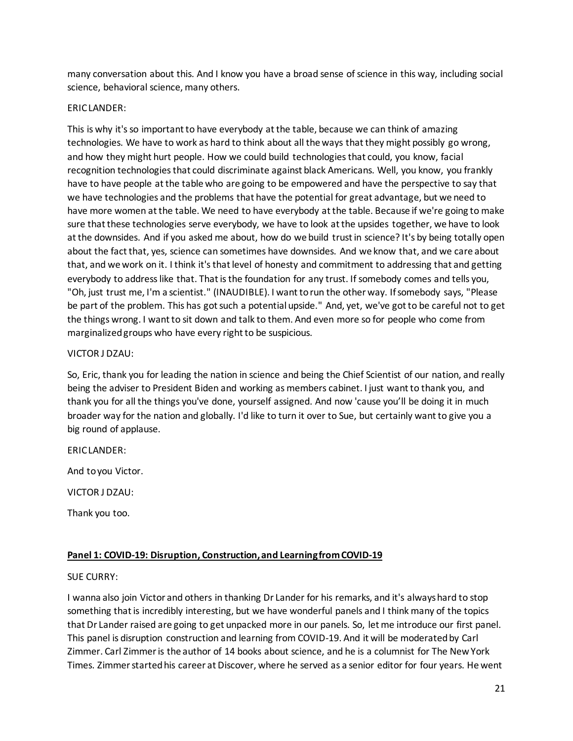many conversation about this. And I know you have a broad sense of science in this way, including social science, behavioral science, many others.

# ERIC LANDER:

This is why it's so important to have everybody at the table, because we can think of amazing technologies. We have to work as hard to think about all the ways that they might possibly go wrong, and how they might hurt people. How we could build technologies that could, you know, facial recognition technologies that could discriminate against black Americans. Well, you know, you frankly have to have people at the table who are going to be empowered and have the perspective to say that we have technologies and the problems that have the potential for great advantage, but we need to have more women at the table. We need to have everybody at the table. Because if we're going to make sure that these technologies serve everybody, we have to look at the upsides together, we have to look at the downsides. And if you asked me about, how do we build trust in science? It's by being totally open about the fact that, yes, science can sometimes have downsides. And we know that, and we care about that, and we work on it. I think it's that level of honesty and commitment to addressing that and getting everybody to address like that. That is the foundation for any trust. If somebody comes and tells you, "Oh, just trust me, I'm a scientist." (INAUDIBLE). I want to run the other way. If somebody says, "Please be part of the problem. This has got such a potential upside." And, yet, we've got to be careful not to get the things wrong. I want to sit down and talk to them. And even more so for people who come from marginalized groups who have every right to be suspicious.

# VICTOR J DZAU:

So, Eric, thank you for leading the nation in science and being the Chief Scientist of our nation, and really being the adviser to President Biden and working as members cabinet. I just want to thank you, and thank you for all the things you've done, yourself assigned. And now 'cause you'll be doing it in much broader way for the nation and globally. I'd like to turn it over to Sue, but certainly want to give you a big round of applause.

FRICIANDER:

And to you Victor.

VICTOR J DZAU:

Thank you too.

# **Panel 1: COVID-19: Disruption, Construction, and Learning from COVID-19**

# SUE CURRY:

I wanna also join Victor and others in thanking Dr Lander for his remarks, and it's always hard to stop something that is incredibly interesting, but we have wonderful panels and I think many of the topics that Dr Lander raised are going to get unpacked more in our panels. So, let me introduce our first panel. This panel is disruption construction and learning from COVID-19. And it will be moderated by Carl Zimmer. Carl Zimmer is the author of 14 books about science, and he is a columnist for The New York Times. Zimmer started his career at Discover, where he served as a senior editor for four years. He went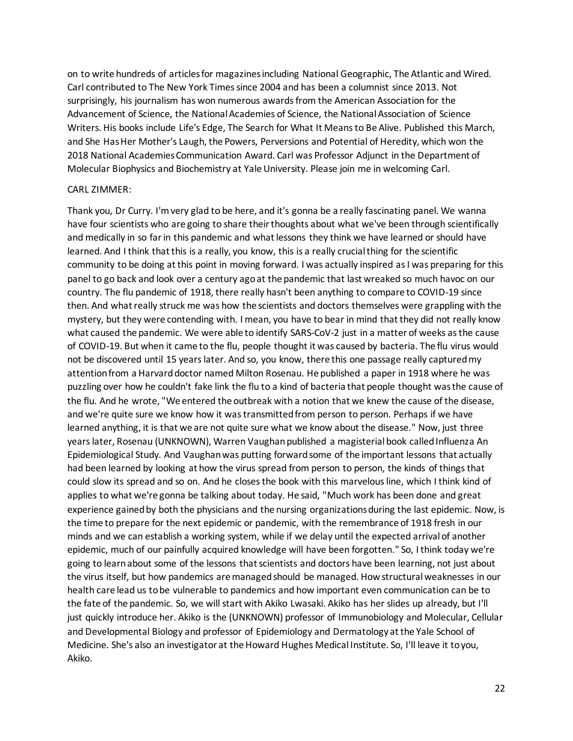on to write hundreds of articles for magazines including National Geographic, The Atlantic and Wired. Carl contributed to The New York Times since 2004 and has been a columnist since 2013. Not surprisingly, his journalism has won numerous awards from the American Association for the Advancement of Science, the National Academies of Science, the National Association of Science Writers. His books include Life's Edge, The Search for What It Means to Be Alive. Published this March, and She Has Her Mother's Laugh, the Powers, Perversions and Potential of Heredity, which won the 2018 National Academies Communication Award. Carl was Professor Adjunct in the Department of Molecular Biophysics and Biochemistry at Yale University. Please join me in welcoming Carl.

#### CARL ZIMMER:

Thank you, Dr Curry. I'm very glad to be here, and it's gonna be a really fascinating panel. We wanna have four scientists who are going to share their thoughts about what we've been through scientifically and medically in so far in this pandemic and what lessons they think we have learned or should have learned. And I think that this is a really, you know, this is a really crucial thing for the scientific community to be doing at this point in moving forward. I was actually inspired as I was preparing for this panel to go back and look over a century ago at the pandemic that last wreaked so much havoc on our country. The flu pandemic of 1918, there really hasn't been anything to compare to COVID-19 since then. And what really struck me was how the scientists and doctors themselves were grappling with the mystery, but they were contending with. I mean, you have to bear in mind that they did not really know what caused the pandemic. We were able to identify SARS-CoV-2 just in a matter of weeks as the cause of COVID-19. But when it came to the flu, people thought it was caused by bacteria. The flu virus would not be discovered until 15 years later. And so, you know, there this one passage really captured my attention from a Harvard doctor named Milton Rosenau. He published a paper in 1918 where he was puzzling over how he couldn't fake link the flu to a kind of bacteria that people thought was the cause of the flu. And he wrote, "We entered the outbreak with a notion that we knew the cause of the disease, and we're quite sure we know how it was transmitted from person to person. Perhaps if we have learned anything, it is that we are not quite sure what we know about the disease." Now, just three years later, Rosenau (UNKNOWN), Warren Vaughan published a magisterial book called Influenza An Epidemiological Study. And Vaughan was putting forward some of the important lessons that actually had been learned by looking at how the virus spread from person to person, the kinds of things that could slow its spread and so on. And he closes the book with this marvelous line, which I think kind of applies to what we're gonna be talking about today. He said, "Much work has been done and great experience gained by both the physicians and the nursing organizations during the last epidemic. Now, is the time to prepare for the next epidemic or pandemic, with the remembrance of 1918 fresh in our minds and we can establish a working system, while if we delay until the expected arrival of another epidemic, much of our painfully acquired knowledge will have been forgotten." So, I think today we're going to learn about some of the lessons that scientists and doctors have been learning, not just about the virus itself, but how pandemics are managed should be managed. How structural weaknesses in our health care lead us to be vulnerable to pandemics and how important even communication can be to the fate of the pandemic. So, we will start with Akiko Lwasaki. Akiko has her slides up already, but I'll just quickly introduce her. Akiko is the (UNKNOWN) professor of Immunobiology and Molecular, Cellular and Developmental Biology and professor of Epidemiology and Dermatology at the Yale School of Medicine. She's also an investigator at the Howard Hughes Medical Institute. So, I'll leave it to you, Akiko.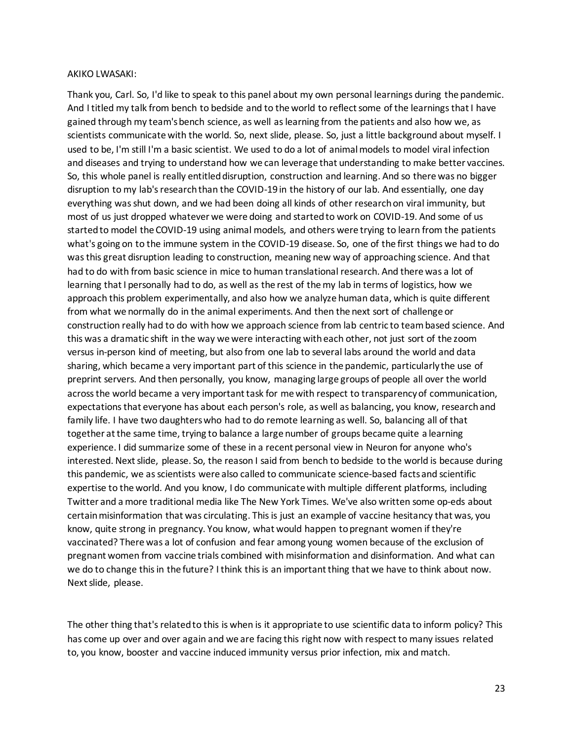#### AKIKO LWASAKI:

Thank you, Carl. So, I'd like to speak to this panel about my own personal learnings during the pandemic. And I titled my talk from bench to bedside and to the world to reflect some of the learnings that I have gained through my team'sbench science, as well as learning from the patients and also how we, as scientists communicate with the world. So, next slide, please. So, just a little background about myself. I used to be, I'm still I'm a basic scientist. We used to do a lot of animalmodels to model viral infection and diseases and trying to understand how we can leverage that understanding to make better vaccines. So, this whole panel is really entitled disruption, construction and learning. And so there was no bigger disruption to my lab's research than the COVID-19 in the history of our lab. And essentially, one day everything was shut down, and we had been doing all kinds of other research on viral immunity, but most of us just dropped whatever we were doing and started to work on COVID-19. And some of us started to model the COVID-19 using animal models, and others were trying to learn from the patients what's going on to the immune system in the COVID-19 disease. So, one of the first things we had to do was this great disruption leading to construction, meaning new way of approaching science. And that had to do with from basic science in mice to human translational research. And there was a lot of learning that I personally had to do, as well as the rest of the my lab in terms of logistics, how we approach this problem experimentally, and also how we analyze human data, which is quite different from what we normally do in the animal experiments. And then the next sort of challenge or construction really had to do with how we approach science from lab centric to team based science. And this was a dramatic shift in the way we were interacting with each other, not just sort of the zoom versus in-person kind of meeting, but also from one lab to several labs around the world and data sharing, which became a very important part of this science in the pandemic, particularly the use of preprint servers. And then personally, you know, managing large groups of people all over the world across the world became a very important task for me with respect to transparency of communication, expectations that everyone has about each person's role, as well as balancing, you know, research and family life. I have two daughters who had to do remote learning as well. So, balancing all of that together at the same time, trying to balance a large number of groups became quite a learning experience. I did summarize some of these in a recent personal view in Neuron for anyone who's interested. Next slide, please. So, the reason I said from bench to bedside to the world is because during this pandemic, we as scientists were also called to communicate science-based facts and scientific expertise to the world. And you know, I do communicate with multiple different platforms, including Twitter and a more traditional media like The New York Times. We've also written some op-eds about certain misinformation that was circulating. This is just an example of vaccine hesitancy that was, you know, quite strong in pregnancy. You know, what would happen to pregnant women if they're vaccinated? There was a lot of confusion and fear among young women because of the exclusion of pregnant women from vaccine trials combined with misinformation and disinformation. And what can we do to change this in the future? I think this is an important thing that we have to think about now. Next slide, please.

The other thing that's related to this is when is it appropriate to use scientific data to inform policy? This has come up over and over again and we are facing this right now with respect to many issues related to, you know, booster and vaccine induced immunity versus prior infection, mix and match.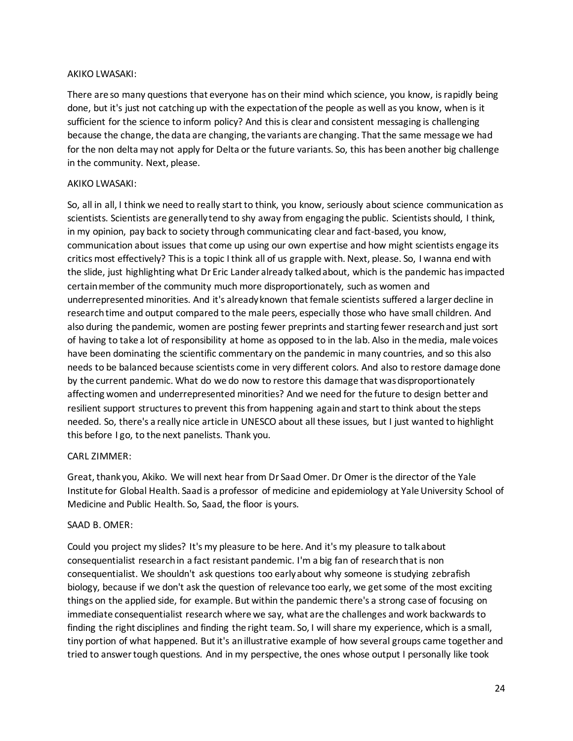# AKIKO LWASAKI:

There are so many questions that everyone has on their mind which science, you know, is rapidly being done, but it's just not catching up with the expectation of the people as well as you know, when is it sufficient for the science to inform policy? And this is clear and consistent messaging is challenging because the change, the data are changing, the variants are changing. That the same message we had for the non delta may not apply for Delta or the future variants. So, this has been another big challenge in the community. Next, please.

# AKIKO LWASAKI:

So, all in all, I think we need to really start to think, you know, seriously about science communication as scientists. Scientists are generally tend to shy away from engaging the public. Scientists should, I think, in my opinion, pay back to society through communicating clear and fact-based, you know, communication about issues that come up using our own expertise and how might scientists engage its critics most effectively? This is a topic I think all of us grapple with. Next, please. So, I wanna end with the slide, just highlighting what Dr Eric Lander already talked about, which is the pandemic has impacted certain member of the community much more disproportionately, such as women and underrepresented minorities. And it's already known that female scientists suffered a larger decline in research time and output compared to the male peers, especially those who have small children. And also during the pandemic, women are posting fewer preprints and starting fewer research and just sort of having to take a lot of responsibility at home as opposed to in the lab. Also in the media, male voices have been dominating the scientific commentary on the pandemic in many countries, and so this also needs to be balanced because scientists come in very different colors. And also to restore damage done by the current pandemic. What do we do now to restore this damage that was disproportionately affecting women and underrepresented minorities? And we need for the future to design better and resilient support structures to prevent this from happening again and start to think about the steps needed. So, there's a really nice article in UNESCO about all these issues, but I just wanted to highlight this before I go, to the next panelists. Thank you.

# CARL ZIMMER:

Great, thank you, Akiko. We will next hear from Dr Saad Omer. Dr Omer is the director of the Yale Institute for Global Health. Saad is a professor of medicine and epidemiology at Yale University School of Medicine and Public Health. So, Saad, the floor is yours.

## SAAD B. OMER:

Could you project my slides? It's my pleasure to be here. And it's my pleasure to talk about consequentialist research in a fact resistant pandemic. I'm a big fan of research that is non consequentialist. We shouldn't ask questions too early about why someone is studying zebrafish biology, because if we don't ask the question of relevance too early, we get some of the most exciting things on the applied side, for example. But within the pandemic there's a strong case of focusing on immediate consequentialist research where we say, what are the challenges and work backwards to finding the right disciplines and finding the right team. So, I will share my experience, which is a small, tiny portion of what happened. But it's an illustrative example of how several groups came together and tried to answer tough questions. And in my perspective, the ones whose output I personally like took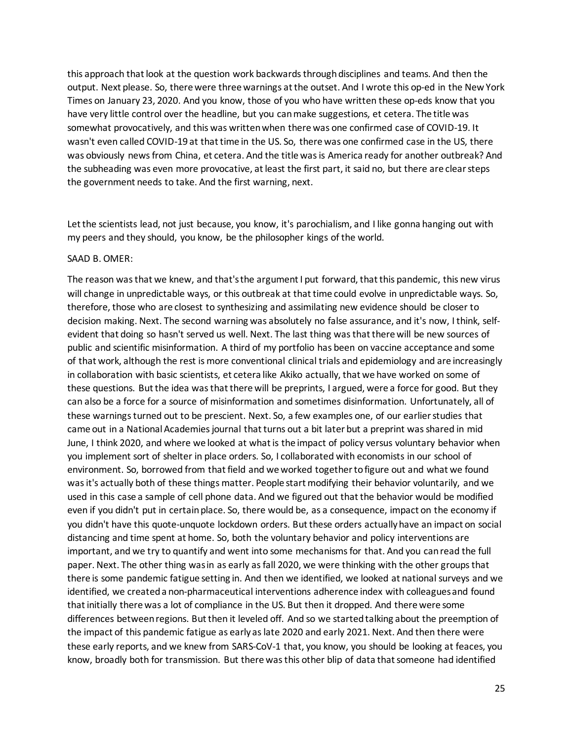this approach that look at the question work backwards through disciplines and teams. And then the output. Next please. So, there were three warnings at the outset. And I wrote this op-ed in the New York Times on January 23, 2020. And you know, those of you who have written these op-eds know that you have very little control over the headline, but you can make suggestions, et cetera. The title was somewhat provocatively, and this was written when there was one confirmed case of COVID-19. It wasn't even called COVID-19 at that time in the US. So, there was one confirmed case in the US, there was obviously news from China, et cetera. And the title was is America ready for another outbreak? And the subheading was even more provocative, at least the first part, it said no, but there are clear steps the government needs to take. And the first warning, next.

Let the scientists lead, not just because, you know, it's parochialism, and I like gonna hanging out with my peers and they should, you know, be the philosopher kings of the world.

#### SAAD B. OMER:

The reason was that we knew, and that's the argument I put forward, that this pandemic, this new virus will change in unpredictable ways, or this outbreak at that time could evolve in unpredictable ways. So, therefore, those who are closest to synthesizing and assimilating new evidence should be closer to decision making. Next. The second warning was absolutely no false assurance, and it's now, I think, selfevident that doing so hasn't served us well. Next. The last thing was that there will be new sources of public and scientific misinformation. A third of my portfolio has been on vaccine acceptance and some of that work, although the rest is more conventional clinical trials and epidemiology and are increasingly in collaboration with basic scientists, et cetera like Akiko actually, that we have worked on some of these questions. But the idea was that there will be preprints, I argued, were a force for good. But they can also be a force for a source of misinformation and sometimes disinformation. Unfortunately, all of these warnings turned out to be prescient. Next. So, a few examples one, of our earlier studies that came out in a National Academies journal that turns out a bit later but a preprint was shared in mid June, I think 2020, and where we looked at what is the impact of policy versus voluntary behavior when you implement sort of shelter in place orders. So, I collaborated with economists in our school of environment. So, borrowed from that field and we worked together to figure out and what we found was it's actually both of these things matter. People start modifying their behavior voluntarily, and we used in this case a sample of cell phone data. And we figured out that the behavior would be modified even if you didn't put in certain place. So, there would be, as a consequence, impact on the economy if you didn't have this quote-unquote lockdown orders. But these orders actually have an impact on social distancing and time spent at home. So, both the voluntary behavior and policy interventions are important, and we try to quantify and went into some mechanisms for that. And you can read the full paper. Next. The other thing was in as early as fall 2020, we were thinking with the other groups that there is some pandemic fatigue setting in. And then we identified, we looked at national surveys and we identified, we created a non-pharmaceutical interventions adherence index with colleagues and found that initially there was a lot of compliance in the US. But then it dropped. And there were some differences between regions. But then it leveled off. And so we started talking about the preemption of the impact of this pandemic fatigue as early as late 2020 and early 2021. Next. And then there were these early reports, and we knew from SARS-CoV-1 that, you know, you should be looking at feaces, you know, broadly both for transmission. But there was this other blip of data that someone had identified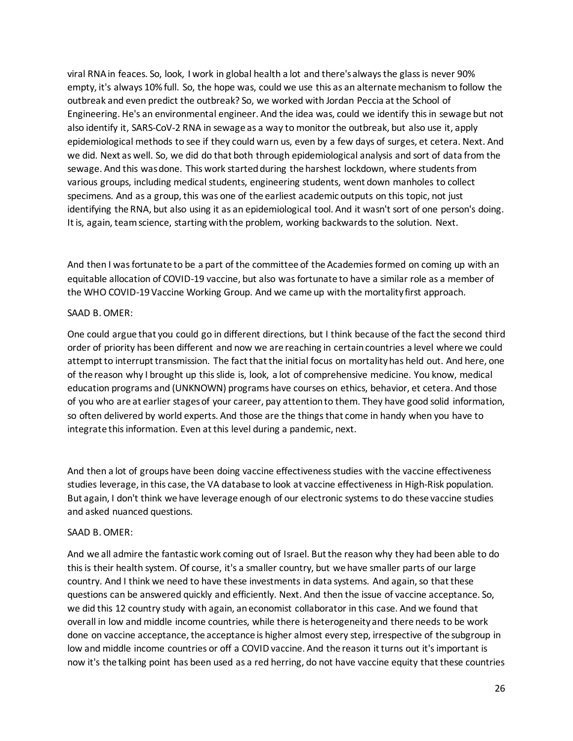viral RNA in feaces. So, look, I work in global health a lot and there's always the glass is never 90% empty, it's always 10% full. So, the hope was, could we use this as an alternate mechanism to follow the outbreak and even predict the outbreak? So, we worked with Jordan Peccia at the School of Engineering. He's an environmental engineer. And the idea was, could we identify this in sewage but not also identify it, SARS-CoV-2 RNA in sewage as a way to monitor the outbreak, but also use it, apply epidemiological methods to see if they could warn us, even by a few days of surges, et cetera. Next. And we did. Next as well. So, we did do that both through epidemiological analysis and sort of data from the sewage. And this was done. This work started during the harshest lockdown, where students from various groups, including medical students, engineering students, went down manholes to collect specimens. And as a group, this was one of the earliest academic outputs on this topic, not just identifying the RNA, but also using it as an epidemiological tool. And it wasn't sort of one person's doing. It is, again, team science, starting with the problem, working backwards to the solution. Next.

And then I was fortunate to be a part of the committee of the Academies formed on coming up with an equitable allocation of COVID-19 vaccine, but also was fortunate to have a similar role as a member of the WHO COVID-19 Vaccine Working Group. And we came up with the mortality first approach.

# SAAD B. OMER:

One could argue that you could go in different directions, but I think because of the fact the second third order of priority has been different and now we are reaching in certain countries a level where we could attempt to interrupt transmission. The fact that the initial focus on mortality has held out. And here, one of the reason why I brought up this slide is, look, a lot of comprehensive medicine. You know, medical education programs and (UNKNOWN) programs have courses on ethics, behavior, et cetera. And those of you who are at earlier stagesof your career, pay attention to them. They have good solid information, so often delivered by world experts. And those are the things that come in handy when you have to integrate this information. Even at this level during a pandemic, next.

And then a lot of groups have been doing vaccine effectiveness studies with the vaccine effectiveness studies leverage, in this case, the VA database to look at vaccine effectiveness in High-Risk population. But again, I don't think we have leverage enough of our electronic systems to do these vaccine studies and asked nuanced questions.

## SAAD B. OMER:

And we all admire the fantastic work coming out of Israel. But the reason why they had been able to do this is their health system. Of course, it's a smaller country, but we have smaller parts of our large country. And I think we need to have these investments in data systems. And again, so that these questions can be answered quickly and efficiently. Next. And then the issue of vaccine acceptance. So, we did this 12 country study with again, an economist collaborator in this case. And we found that overall in low and middle income countries, while there is heterogeneity and there needs to be work done on vaccine acceptance, the acceptance is higher almost every step, irrespective of the subgroup in low and middle income countries or off a COVID vaccine. And the reason it turns out it's important is now it's the talking point has been used as a red herring, do not have vaccine equity that these countries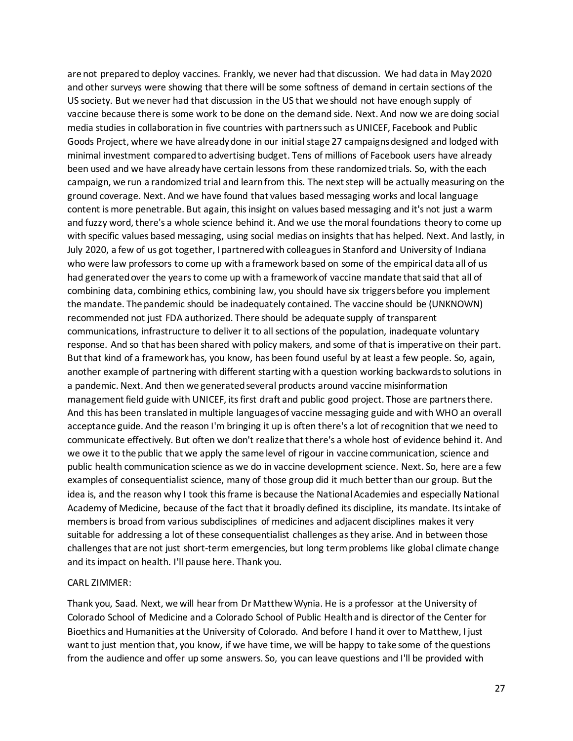are not prepared to deploy vaccines. Frankly, we never had that discussion. We had data in May 2020 and other surveys were showing that there will be some softness of demand in certain sections of the US society. But we never had that discussion in the US that we should not have enough supply of vaccine because there is some work to be done on the demand side. Next. And now we are doing social media studies in collaboration in five countries with partners such as UNICEF, Facebook and Public Goods Project, where we have already done in our initial stage 27 campaigns designed and lodged with minimal investment compared to advertising budget. Tens of millions of Facebook users have already been used and we have already have certain lessons from these randomized trials. So, with the each campaign, we run a randomized trial and learn from this. The next step will be actually measuring on the ground coverage. Next. And we have found that values based messaging works and local language content is more penetrable. But again, this insight on values based messaging and it's not just a warm and fuzzy word, there's a whole science behind it. And we use the moral foundations theory to come up with specific values based messaging, using social medias on insights that has helped. Next. And lastly, in July 2020, a few of us got together, I partnered with colleagues in Stanford and University of Indiana who were law professors to come up with a framework based on some of the empirical data all of us had generated over the years to come up with a framework of vaccine mandate that said that all of combining data, combining ethics, combining law, you should have six triggers before you implement the mandate. The pandemic should be inadequately contained. The vaccine should be (UNKNOWN) recommended not just FDA authorized. There should be adequate supply of transparent communications, infrastructure to deliver it to all sections of the population, inadequate voluntary response. And so that has been shared with policy makers, and some of that is imperative on their part. But that kind of a framework has, you know, has been found useful by at least a few people. So, again, another example of partnering with different starting with a question working backwards to solutions in a pandemic. Next. And then we generated several products around vaccine misinformation management field guide with UNICEF, its first draft and public good project. Those are partners there. And this has been translated in multiple languages of vaccine messaging guide and with WHO an overall acceptance guide. And the reason I'm bringing it up is often there's a lot of recognition that we need to communicate effectively. But often we don't realize that there's a whole host of evidence behind it. And we owe it to the public that we apply the same level of rigour in vaccine communication, science and public health communication science as we do in vaccine development science. Next. So, here are a few examples of consequentialist science, many of those group did it much better than our group. But the idea is, and the reason why I took this frame is because the National Academies and especially National Academy of Medicine, because of the fact that it broadly defined its discipline, its mandate. Its intake of members is broad from various subdisciplines of medicines and adjacent disciplines makes it very suitable for addressing a lot of these consequentialist challenges as they arise. And in between those challenges that are not just short-term emergencies, but long term problems like global climate change and its impact on health. I'll pause here. Thank you.

#### CARL ZIMMER:

Thank you, Saad. Next, we will hear from Dr Matthew Wynia. He is a professor at the University of Colorado School of Medicine and a Colorado School of Public Health and is director of the Center for Bioethics and Humanities at the University of Colorado. And before I hand it over to Matthew, I just want to just mention that, you know, if we have time, we will be happy to take some of the questions from the audience and offer up some answers. So, you can leave questions and I'll be provided with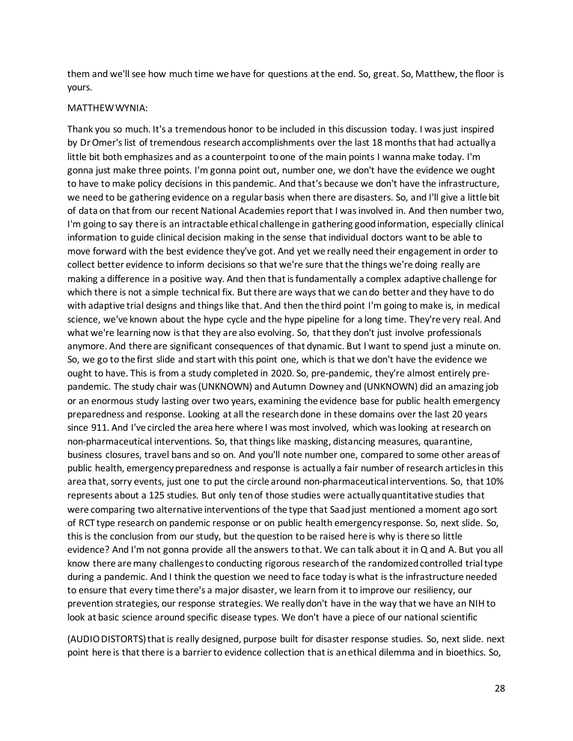them and we'll see how much time we have for questions at the end. So, great. So, Matthew, the floor is yours.

#### MATTHEW WYNIA:

Thank you so much. It's a tremendous honor to be included in this discussion today. I was just inspired by Dr Omer's list of tremendous research accomplishments over the last 18 months that had actually a little bit both emphasizes and as a counterpoint to one of the main points I wanna make today. I'm gonna just make three points. I'm gonna point out, number one, we don't have the evidence we ought to have to make policy decisions in this pandemic. And that's because we don't have the infrastructure, we need to be gathering evidence on a regular basis when there are disasters. So, and I'll give a little bit of data on that from our recent National Academies report that I was involved in. And then number two, I'm going to say there is an intractable ethical challenge in gathering good information, especially clinical information to guide clinical decision making in the sense that individual doctors want to be able to move forward with the best evidence they've got. And yet we really need their engagement in order to collect better evidence to inform decisions so that we're sure that the things we're doing really are making a difference in a positive way. And then that is fundamentally a complex adaptive challenge for which there is not a simple technical fix. But there are ways that we can do better and they have to do with adaptive trial designs and things like that. And then the third point I'm going to make is, in medical science, we've known about the hype cycle and the hype pipeline for a long time. They're very real. And what we're learning now is that they are also evolving. So, that they don't just involve professionals anymore. And there are significant consequences of that dynamic. But I want to spend just a minute on. So, we go to the first slide and start with this point one, which is that we don't have the evidence we ought to have. This is from a study completed in 2020. So, pre-pandemic, they're almost entirely prepandemic. The study chair was (UNKNOWN) and Autumn Downey and (UNKNOWN) did an amazing job or an enormous study lasting over two years, examining the evidence base for public health emergency preparedness and response. Looking at all the research done in these domains over the last 20 years since 911. And I've circled the area here where I was most involved, which was looking at research on non-pharmaceutical interventions. So, that things like masking, distancing measures, quarantine, business closures, travel bans and so on. And you'll note number one, compared to some other areas of public health, emergency preparedness and response is actually a fair number of research articles in this area that, sorry events, just one to put the circle around non-pharmaceutical interventions. So, that 10% represents about a 125 studies. But only ten of those studies were actually quantitative studies that were comparing two alternative interventions of the type that Saad just mentioned a moment ago sort of RCT type research on pandemic response or on public health emergency response. So, next slide. So, this is the conclusion from our study, but the question to be raised here is why is there so little evidence? And I'm not gonna provide all the answers to that. We can talk about it in Q and A. But you all know there are many challenges to conducting rigorous research of the randomized controlled trial type during a pandemic. And I think the question we need to face today is what is the infrastructure needed to ensure that every time there's a major disaster, we learn from it to improve our resiliency, our prevention strategies, our response strategies. We really don't have in the way that we have an NIH to look at basic science around specific disease types. We don't have a piece of our national scientific

(AUDIO DISTORTS) that is really designed, purpose built for disaster response studies. So, next slide. next point here is that there is a barrier to evidence collection that is an ethical dilemma and in bioethics. So,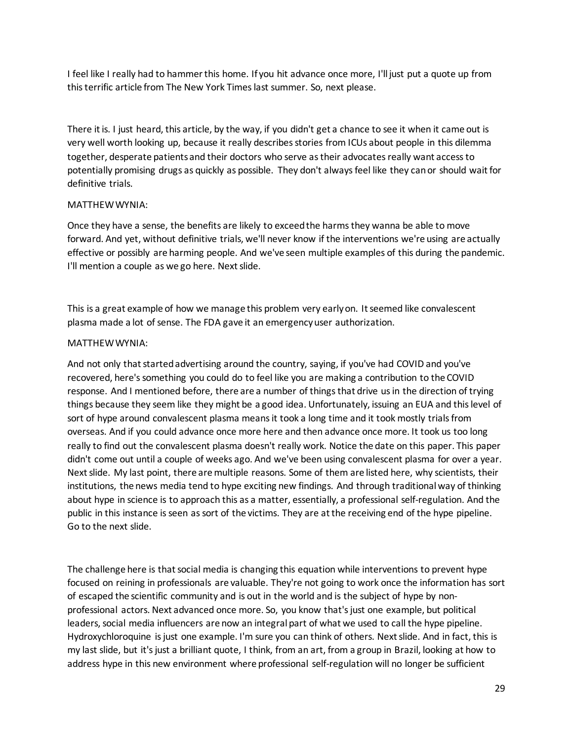I feel like I really had to hammer this home. If you hit advance once more, I'll just put a quote up from this terrific article from The New York Timeslast summer. So, next please.

There it is. I just heard, this article, by the way, if you didn't get a chance to see it when it came out is very well worth looking up, because it really describes stories from ICUs about people in this dilemma together, desperate patients and their doctors who serve as their advocates really want access to potentially promising drugs as quickly as possible. They don't always feel like they can or should wait for definitive trials.

# MATTHEW WYNIA:

Once they have a sense, the benefits are likely to exceed the harms they wanna be able to move forward. And yet, without definitive trials, we'll never know if the interventions we're using are actually effective or possibly are harming people. And we've seen multiple examples of this during the pandemic. I'll mention a couple as we go here. Next slide.

This is a great example of how we manage this problem very early on. It seemed like convalescent plasma made a lot of sense. The FDA gave it an emergency user authorization.

# MATTHEW WYNIA:

And not only that started advertising around the country, saying, if you've had COVID and you've recovered, here's something you could do to feel like you are making a contribution to the COVID response. And I mentioned before, there are a number of things that drive us in the direction of trying things because they seem like they might be a good idea. Unfortunately, issuing an EUA and this level of sort of hype around convalescent plasma means it took a long time and it took mostly trials from overseas. And if you could advance once more here and then advance once more. It took us too long really to find out the convalescent plasma doesn't really work. Notice the date on this paper. This paper didn't come out until a couple of weeks ago. And we've been using convalescent plasma for over a year. Next slide. My last point, there are multiple reasons. Some of them are listed here, why scientists, their institutions, the news media tend to hype exciting new findings. And through traditional way of thinking about hype in science is to approach this as a matter, essentially, a professional self-regulation. And the public in this instance is seen as sort of the victims. They are at the receiving end of the hype pipeline. Go to the next slide.

The challenge here is that social media is changing this equation while interventions to prevent hype focused on reining in professionals are valuable. They're not going to work once the information has sort of escaped the scientific community and is out in the world and is the subject of hype by nonprofessional actors. Next advanced once more. So, you know that's just one example, but political leaders, social media influencers are now an integral part of what we used to call the hype pipeline. Hydroxychloroquine is just one example. I'm sure you can think of others. Next slide. And in fact, this is my last slide, but it's just a brilliant quote, I think, from an art, from a group in Brazil, looking at how to address hype in this new environment where professional self-regulation will no longer be sufficient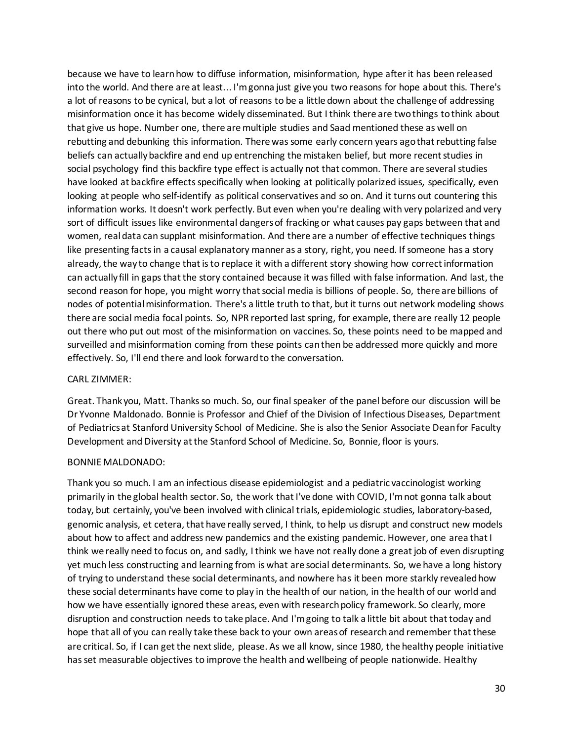because we have to learn how to diffuse information, misinformation, hype after it has been released into the world. And there are at least... I'm gonna just give you two reasons for hope about this. There's a lot of reasons to be cynical, but a lot of reasons to be a little down about the challenge of addressing misinformation once it has become widely disseminated. But I think there are two things to think about that give us hope. Number one, there are multiple studies and Saad mentioned these as well on rebutting and debunking this information. There was some early concern years ago that rebutting false beliefs can actually backfire and end up entrenching the mistaken belief, but more recent studies in social psychology find this backfire type effect is actually not that common. There are several studies have looked at backfire effects specifically when looking at politically polarized issues, specifically, even looking at people who self-identify as political conservatives and so on. And it turns out countering this information works. It doesn't work perfectly. But even when you're dealing with very polarized and very sort of difficult issues like environmental dangers of fracking or what causes pay gaps between that and women, real data can supplant misinformation. And there are a number of effective techniques things like presenting facts in a causal explanatory manner as a story, right, you need. If someone has a story already, the way to change that is to replace it with a different story showing how correct information can actually fill in gaps that the story contained because it was filled with false information. And last, the second reason for hope, you might worry that social media is billions of people. So, there are billions of nodes of potential misinformation. There's a little truth to that, but it turns out network modeling shows there are social media focal points. So, NPR reported last spring, for example, there are really 12 people out there who put out most of the misinformation on vaccines. So, these points need to be mapped and surveilled and misinformation coming from these points can then be addressed more quickly and more effectively. So, I'll end there and look forward to the conversation.

## CARL ZIMMER:

Great. Thank you, Matt. Thanks so much. So, our final speaker of the panel before our discussion will be Dr Yvonne Maldonado. Bonnie is Professor and Chief of the Division of Infectious Diseases, Department of Pediatrics at Stanford University School of Medicine. She is also the Senior Associate Dean for Faculty Development and Diversity at the Stanford School of Medicine. So, Bonnie, floor is yours.

# BONNIE MALDONADO:

Thank you so much. I am an infectious disease epidemiologist and a pediatric vaccinologist working primarily in the global health sector. So, the work that I've done with COVID, I'm not gonna talk about today, but certainly, you've been involved with clinical trials, epidemiologic studies, laboratory-based, genomic analysis, et cetera, that have really served, I think, to help us disrupt and construct new models about how to affect and address new pandemics and the existing pandemic. However, one area that I think we really need to focus on, and sadly, I think we have not really done a great job of even disrupting yet much less constructing and learning from is what are social determinants. So, we have a long history of trying to understand these social determinants, and nowhere has it been more starkly revealed how these social determinants have come to play in the health of our nation, in the health of our world and how we have essentially ignored these areas, even with research policy framework. So clearly, more disruption and construction needs to take place. And I'm going to talk a little bit about that today and hope that all of you can really take these back to your own areas of research and remember that these are critical. So, if I can get the next slide, please. As we all know, since 1980, the healthy people initiative has set measurable objectives to improve the health and wellbeing of people nationwide. Healthy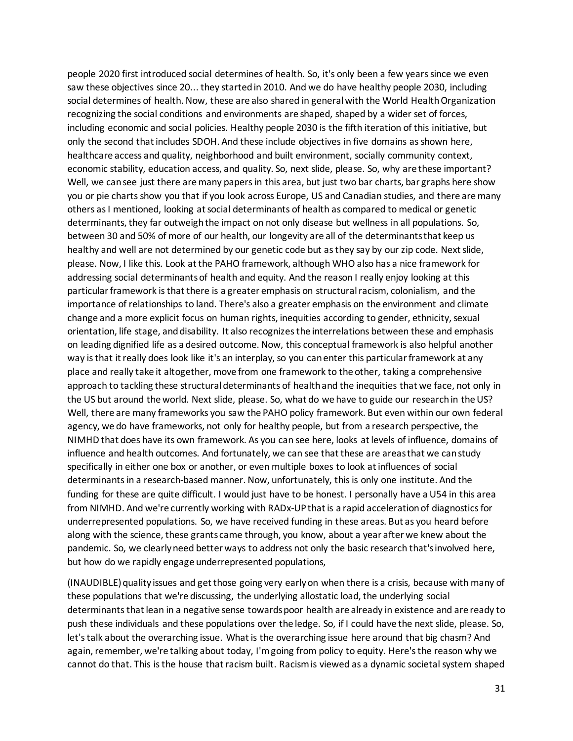people 2020 first introduced social determines of health. So, it's only been a few years since we even saw these objectives since 20... they started in 2010. And we do have healthy people 2030, including social determines of health. Now, these are also shared in general with the World Health Organization recognizing the social conditions and environments are shaped, shaped by a wider set of forces, including economic and social policies. Healthy people 2030 is the fifth iteration of this initiative, but only the second that includes SDOH. And these include objectives in five domains as shown here, healthcare access and quality, neighborhood and built environment, socially community context, economic stability, education access, and quality. So, next slide, please. So, why are these important? Well, we can see just there are many papers in this area, but just two bar charts, bar graphs here show you or pie charts show you that if you look across Europe, US and Canadian studies, and there are many others as I mentioned, looking at social determinants of health as compared to medical or genetic determinants, they far outweigh the impact on not only disease but wellness in all populations. So, between 30 and 50% of more of our health, our longevity are all of the determinants that keep us healthy and well are not determined by our genetic code but as they say by our zip code. Next slide, please. Now, I like this. Look at the PAHO framework, although WHO also has a nice framework for addressing social determinants of health and equity. And the reason I really enjoy looking at this particular framework is that there is a greater emphasis on structural racism, colonialism, and the importance of relationships to land. There's also a greater emphasis on the environment and climate change and a more explicit focus on human rights, inequities according to gender, ethnicity, sexual orientation, life stage, and disability. It also recognizes the interrelations between these and emphasis on leading dignified life as a desired outcome. Now, this conceptual framework is also helpful another way is that it really does look like it's an interplay, so you can enter this particular framework at any place and really take it altogether, move from one framework to the other, taking a comprehensive approach to tackling these structural determinants of health and the inequities that we face, not only in the US but around the world. Next slide, please. So, what do we have to guide our research in the US? Well, there are many frameworks you saw the PAHO policy framework. But even within our own federal agency, we do have frameworks, not only for healthy people, but from a research perspective, the NIMHD that does have its own framework. As you can see here, looks at levels of influence, domains of influence and health outcomes. And fortunately, we can see that these are areas that we can study specifically in either one box or another, or even multiple boxes to look at influences of social determinants in a research-based manner. Now, unfortunately, this is only one institute. And the funding for these are quite difficult. I would just have to be honest. I personally have a U54 in this area from NIMHD. And we're currently working with RADx-UP that is a rapid acceleration of diagnostics for underrepresented populations. So, we have received funding in these areas. But as you heard before along with the science, these grants came through, you know, about a year after we knew about the pandemic. So, we clearly need better ways to address not only the basic research that's involved here, but how do we rapidly engage underrepresented populations,

(INAUDIBLE) quality issues and get those going very early on when there is a crisis, because with many of these populations that we're discussing, the underlying allostatic load, the underlying social determinants that lean in a negative sense towards poor health are already in existence and are ready to push these individuals and these populations over the ledge. So, if I could have the next slide, please. So, let's talk about the overarching issue. What is the overarching issue here around that big chasm? And again, remember, we're talking about today, I'm going from policy to equity. Here's the reason why we cannot do that. This is the house that racism built. Racism is viewed as a dynamic societal system shaped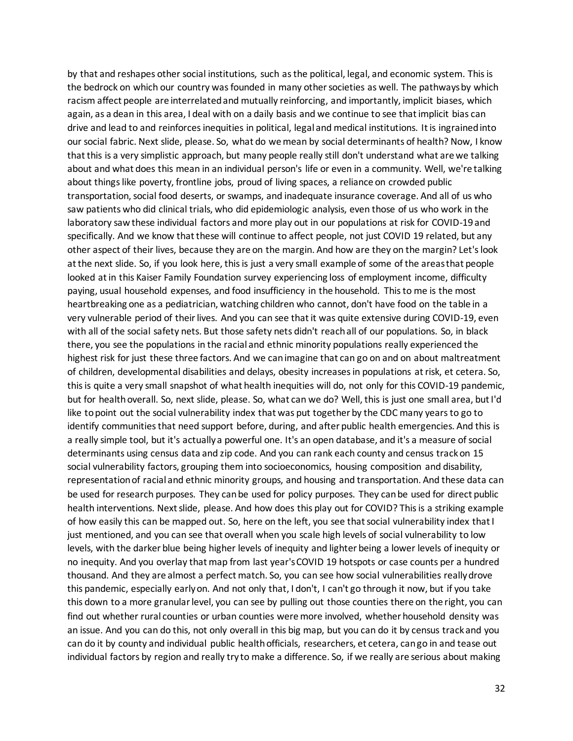by that and reshapes other social institutions, such as the political, legal, and economic system. This is the bedrock on which our country was founded in many other societies as well. The pathways by which racism affect people are interrelated and mutually reinforcing, and importantly, implicit biases, which again, as a dean in this area, I deal with on a daily basis and we continue to see that implicit bias can drive and lead to and reinforces inequities in political, legal and medical institutions. It is ingrained into our social fabric. Next slide, please. So, what do we mean by social determinants of health? Now, I know that this is a very simplistic approach, but many people really still don't understand what are we talking about and what does this mean in an individual person's life or even in a community. Well, we're talking about things like poverty, frontline jobs, proud of living spaces, a reliance on crowded public transportation, social food deserts, or swamps, and inadequate insurance coverage. And all of us who saw patients who did clinical trials, who did epidemiologic analysis, even those of us who work in the laboratory saw these individual factors and more play out in our populations at risk for COVID-19 and specifically. And we know that these will continue to affect people, not just COVID 19 related, but any other aspect of their lives, because they are on the margin. And how are they on the margin? Let's look at the next slide. So, if you look here, this is just a very small example of some of the areas that people looked at in this Kaiser Family Foundation survey experiencing loss of employment income, difficulty paying, usual household expenses, and food insufficiency in the household. This to me is the most heartbreaking one as a pediatrician, watching children who cannot, don't have food on the table in a very vulnerable period of their lives. And you can see that it was quite extensive during COVID-19, even with all of the social safety nets. But those safety nets didn't reach all of our populations. So, in black there, you see the populations in the racial and ethnic minority populations really experienced the highest risk for just these three factors. And we can imagine that can go on and on about maltreatment of children, developmental disabilities and delays, obesity increases in populations at risk, et cetera. So, this is quite a very small snapshot of what health inequities will do, not only for this COVID-19 pandemic, but for health overall. So, next slide, please. So, what can we do? Well, this is just one small area, but I'd like to point out the social vulnerability index that was put together by the CDC many years to go to identify communities that need support before, during, and after public health emergencies. And this is a really simple tool, but it's actually a powerful one. It's an open database, and it's a measure of social determinants using census data and zip code. And you can rank each county and census track on 15 social vulnerability factors, grouping them into socioeconomics, housing composition and disability, representation of racial and ethnic minority groups, and housing and transportation. And these data can be used for research purposes. They can be used for policy purposes. They can be used for direct public health interventions. Next slide, please. And how does this play out for COVID? This is a striking example of how easily this can be mapped out. So, here on the left, you see that social vulnerability index that I just mentioned, and you can see that overall when you scale high levels of social vulnerability to low levels, with the darker blue being higher levels of inequity and lighter being a lower levels of inequity or no inequity. And you overlay that map from last year's COVID 19 hotspots or case counts per a hundred thousand. And they are almost a perfect match. So, you can see how social vulnerabilities really drove this pandemic, especially early on. And not only that, I don't, I can't go through it now, but if you take this down to a more granular level, you can see by pulling out those counties there on the right, you can find out whether rural counties or urban counties were more involved, whether household density was an issue. And you can do this, not only overall in this big map, but you can do it by census track and you can do it by county and individual public health officials, researchers, et cetera, can go in and tease out individual factors by region and really try to make a difference. So, if we really are serious about making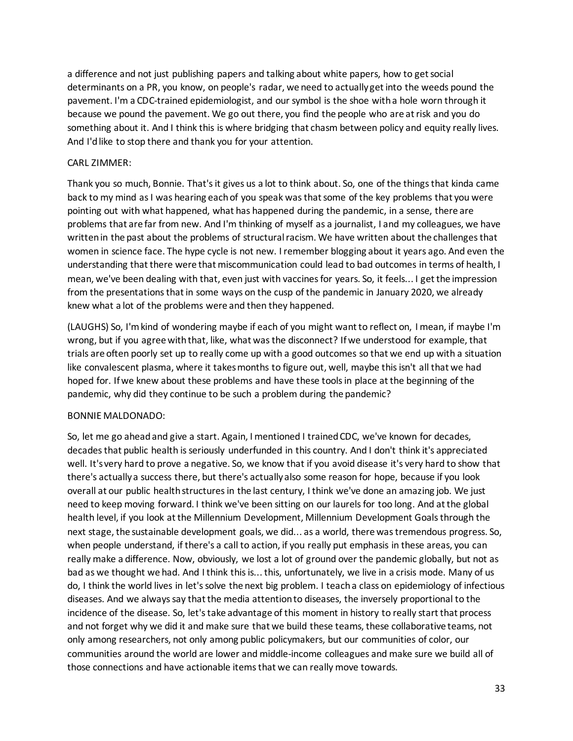a difference and not just publishing papers and talking about white papers, how to get social determinants on a PR, you know, on people's radar, we need to actually get into the weeds pound the pavement. I'm a CDC-trained epidemiologist, and our symbol is the shoe with a hole worn through it because we pound the pavement. We go out there, you find the people who are at risk and you do something about it. And I think this is where bridging that chasm between policy and equity really lives. And I'd like to stop there and thank you for your attention.

# CARL ZIMMER:

Thank you so much, Bonnie. That's it gives us a lot to think about. So, one of the things that kinda came back to my mind as I was hearing each of you speak was that some of the key problems that you were pointing out with what happened, what has happened during the pandemic, in a sense, there are problems that are far from new. And I'm thinking of myself as a journalist, I and my colleagues, we have written in the past about the problems of structural racism. We have written about the challenges that women in science face. The hype cycle is not new. I remember blogging about it years ago. And even the understanding that there were that miscommunication could lead to bad outcomes in terms of health, I mean, we've been dealing with that, even just with vaccines for years. So, it feels... I get the impression from the presentations that in some ways on the cusp of the pandemic in January 2020, we already knew what a lot of the problems were and then they happened.

(LAUGHS) So, I'm kind of wondering maybe if each of you might want to reflect on, I mean, if maybe I'm wrong, but if you agree with that, like, what was the disconnect? If we understood for example, that trials are often poorly set up to really come up with a good outcomes so that we end up with a situation like convalescent plasma, where it takes months to figure out, well, maybe this isn't all that we had hoped for. If we knew about these problems and have these tools in place at the beginning of the pandemic, why did they continue to be such a problem during the pandemic?

# BONNIE MALDONADO:

So, let me go ahead and give a start. Again, I mentioned I trained CDC, we've known for decades, decades that public health is seriously underfunded in this country. And I don't think it's appreciated well. It's very hard to prove a negative. So, we know that if you avoid disease it's very hard to show that there's actually a success there, but there's actually also some reason for hope, because if you look overall at our public health structures in the last century, I think we've done an amazing job. We just need to keep moving forward. I think we've been sitting on our laurels for too long. And at the global health level, if you look at the Millennium Development, Millennium Development Goals through the next stage, the sustainable development goals, we did... as a world, there was tremendous progress. So, when people understand, if there's a call to action, if you really put emphasis in these areas, you can really make a difference. Now, obviously, we lost a lot of ground over the pandemic globally, but not as bad as we thought we had. And I think this is... this, unfortunately, we live in a crisis mode. Many of us do, I think the world lives in let's solve the next big problem. I teach a class on epidemiology of infectious diseases. And we always say that the media attention to diseases, the inversely proportional to the incidence of the disease. So, let's take advantage of this moment in history to really start that process and not forget why we did it and make sure that we build these teams, these collaborative teams, not only among researchers, not only among public policymakers, but our communities of color, our communities around the world are lower and middle-income colleagues and make sure we build all of those connections and have actionable items that we can really move towards.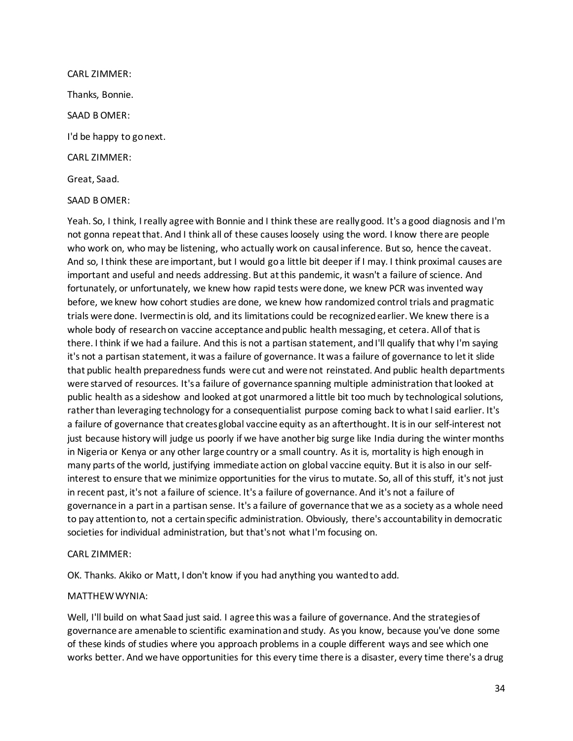CARL ZIMMER: Thanks, Bonnie. SAAD B OMER: I'd be happy to go next. CARL ZIMMER: Great, Saad.

SAAD B OMER:

Yeah. So, I think, I really agree with Bonnie and I think these are really good. It's a good diagnosis and I'm not gonna repeat that. And I think all of these causes loosely using the word. I know there are people who work on, who may be listening, who actually work on causal inference. But so, hence the caveat. And so, I think these are important, but I would go a little bit deeper if I may. I think proximal causes are important and useful and needs addressing. But at this pandemic, it wasn't a failure of science. And fortunately, or unfortunately, we knew how rapid tests were done, we knew PCR was invented way before, we knew how cohort studies are done, we knew how randomized control trials and pragmatic trials were done. Ivermectin is old, and its limitations could be recognized earlier. We knew there is a whole body of research on vaccine acceptance and public health messaging, et cetera. All of that is there. I think if we had a failure. And this is not a partisan statement, and I'll qualify that why I'm saying it's not a partisan statement, it was a failure of governance. It was a failure of governance to let it slide that public health preparedness funds were cut and were not reinstated. And public health departments were starved of resources. It's a failure of governance spanning multiple administration that looked at public health as a sideshow and looked at got unarmored a little bit too much by technological solutions, rather than leveraging technology for a consequentialist purpose coming back to what I said earlier. It's a failure of governance that creates global vaccine equity as an afterthought. It is in our self-interest not just because history will judge us poorly if we have another big surge like India during the winter months in Nigeria or Kenya or any other large country or a small country. As it is, mortality is high enough in many parts of the world, justifying immediate action on global vaccine equity. But it is also in our selfinterest to ensure that we minimize opportunities for the virus to mutate. So, all of this stuff, it's not just in recent past, it's not a failure of science. It's a failure of governance. And it's not a failure of governance in a part in a partisan sense. It's a failure of governance that we as a society as a whole need to pay attention to, not a certain specific administration. Obviously, there's accountability in democratic societies for individual administration, but that's not what I'm focusing on.

# CARL ZIMMER:

OK. Thanks. Akiko or Matt, I don't know if you had anything you wanted to add.

# MATTHEW WYNIA:

Well, I'll build on what Saad just said. I agree this was a failure of governance. And the strategies of governance are amenable to scientific examination and study. As you know, because you've done some of these kinds of studies where you approach problems in a couple different ways and see which one works better. And we have opportunities for this every time there is a disaster, every time there's a drug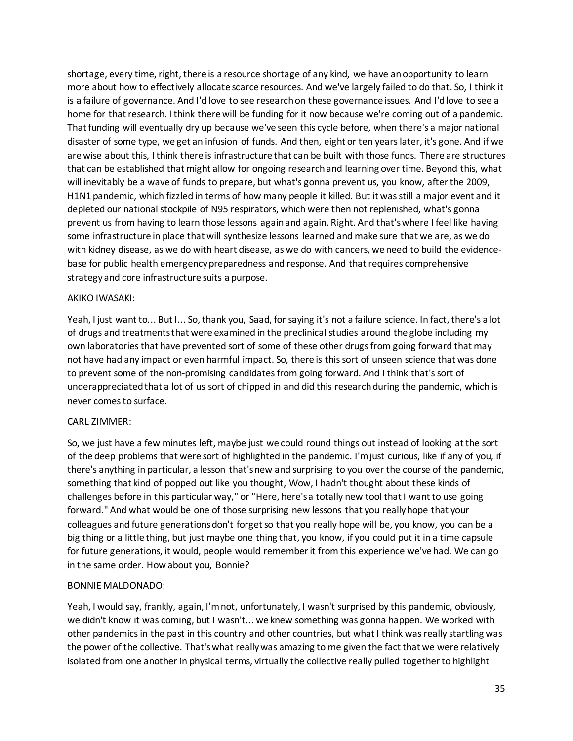shortage, every time, right, there is a resource shortage of any kind, we have an opportunity to learn more about how to effectively allocate scarce resources. And we've largely failed to do that. So, I think it is a failure of governance. And I'd love to see research on these governance issues. And I'd love to see a home for that research. I think there will be funding for it now because we're coming out of a pandemic. That funding will eventually dry up because we've seen this cycle before, when there's a major national disaster of some type, we get an infusion of funds. And then, eight or ten years later, it's gone. And if we are wise about this, I think there is infrastructure that can be built with those funds. There are structures that can be established that might allow for ongoing research and learning over time. Beyond this, what will inevitably be a wave of funds to prepare, but what's gonna prevent us, you know, after the 2009, H1N1 pandemic, which fizzled in terms of how many people it killed. But it was still a major event and it depleted our national stockpile of N95 respirators, which were then not replenished, what's gonna prevent us from having to learn those lessons again and again. Right. And that's where I feel like having some infrastructure in place that will synthesize lessons learned and make sure that we are, as we do with kidney disease, as we do with heart disease, as we do with cancers, we need to build the evidencebase for public health emergency preparedness and response. And that requires comprehensive strategy and core infrastructure suits a purpose.

# AKIKO IWASAKI:

Yeah, I just want to... But I... So, thank you, Saad, for saying it's not a failure science. In fact, there's a lot of drugs and treatments that were examined in the preclinical studies around the globe including my own laboratories that have prevented sort of some of these other drugs from going forward that may not have had any impact or even harmful impact. So, there is this sort of unseen science that was done to prevent some of the non-promising candidates from going forward. And I think that's sort of underappreciated that a lot of us sort of chipped in and did this research during the pandemic, which is never comes to surface.

# CARL ZIMMER:

So, we just have a few minutes left, maybe just we could round things out instead of looking at the sort of the deep problems that were sort of highlighted in the pandemic. I'm just curious, like if any of you, if there's anything in particular, a lesson that's new and surprising to you over the course of the pandemic, something that kind of popped out like you thought, Wow, I hadn't thought about these kinds of challenges before in this particular way," or "Here, here's a totally new tool that I want to use going forward." And what would be one of those surprising new lessons that you really hope that your colleagues and future generations don't forget so that you really hope will be, you know, you can be a big thing or a little thing, but just maybe one thing that, you know, if you could put it in a time capsule for future generations, it would, people would remember it from this experience we've had. We can go in the same order. How about you, Bonnie?

# BONNIE MALDONADO:

Yeah, I would say, frankly, again, I'm not, unfortunately, I wasn't surprised by this pandemic, obviously, we didn't know it was coming, but I wasn't... we knew something was gonna happen. We worked with other pandemics in the past in this country and other countries, but what I think was really startling was the power of the collective. That's what really was amazing to me given the fact that we were relatively isolated from one another in physical terms, virtually the collective really pulled together to highlight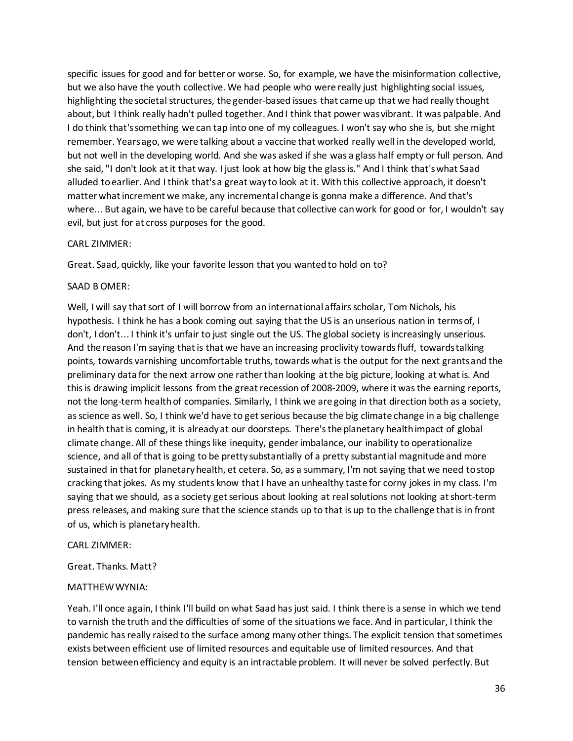specific issues for good and for better or worse. So, for example, we have the misinformation collective, but we also have the youth collective. We had people who were really just highlighting social issues, highlighting the societal structures, the gender-based issues that came up that we had really thought about, but I think really hadn't pulled together. And I think that power was vibrant. It was palpable. And I do think that's something we can tap into one of my colleagues. I won't say who she is, but she might remember. Years ago, we were talking about a vaccine that worked really well in the developed world, but not well in the developing world. And she was asked if she was a glass half empty or full person. And she said, "I don't look at it that way. I just look at how big the glass is." And I think that's what Saad alluded to earlier. And I think that's a great way to look at it. With this collective approach, it doesn't matter what increment we make, any incremental change is gonna make a difference. And that's where... But again, we have to be careful because that collective can work for good or for, I wouldn't say evil, but just for at cross purposes for the good.

## CARL ZIMMER:

Great. Saad, quickly, like your favorite lesson that you wanted to hold on to?

## SAAD B OMER:

Well, I will say that sort of I will borrow from an international affairs scholar, Tom Nichols, his hypothesis. I think he has a book coming out saying that the US is an unserious nation in terms of, I don't, I don't... I think it's unfair to just single out the US. The global society is increasingly unserious. And the reason I'm saying that is that we have an increasing proclivity towards fluff, towards talking points, towards varnishing uncomfortable truths, towards what is the output for the next grants and the preliminary data for the next arrow one rather than looking at the big picture, looking at what is. And this is drawing implicit lessons from the great recession of 2008-2009, where it was the earning reports, not the long-term health of companies. Similarly, I think we are going in that direction both as a society, as science as well. So, I think we'd have to get serious because the big climate change in a big challenge in health that is coming, it is already at our doorsteps. There's the planetary health impact of global climate change. All of these things like inequity, gender imbalance, our inability to operationalize science, and all of that is going to be pretty substantially of a pretty substantial magnitude and more sustained in that for planetary health, et cetera. So, as a summary, I'm not saying that we need to stop cracking that jokes. As my students know that I have an unhealthy taste for corny jokes in my class. I'm saying that we should, as a society get serious about looking at real solutions not looking at short-term press releases, and making sure that the science stands up to that is up to the challenge that is in front of us, which is planetary health.

## CARL ZIMMER:

# Great. Thanks. Matt?

# MATTHEW WYNIA:

Yeah. I'll once again, I think I'll build on what Saad has just said. I think there is a sense in which we tend to varnish the truth and the difficulties of some of the situations we face. And in particular, I think the pandemic has really raised to the surface among many other things. The explicit tension that sometimes exists between efficient use of limited resources and equitable use of limited resources. And that tension between efficiency and equity is an intractable problem. It will never be solved perfectly. But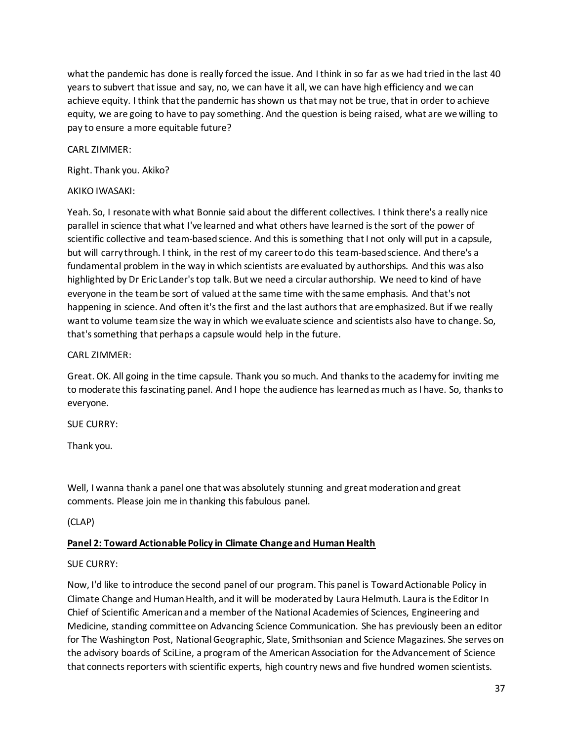what the pandemic has done is really forced the issue. And I think in so far as we had tried in the last 40 years to subvert that issue and say, no, we can have it all, we can have high efficiency and we can achieve equity. I think that the pandemic has shown us that may not be true, that in order to achieve equity, we are going to have to pay something. And the question is being raised, what are we willing to pay to ensure a more equitable future?

CARL ZIMMER:

Right. Thank you. Akiko?

## AKIKO IWASAKI:

Yeah. So, I resonate with what Bonnie said about the different collectives. I think there's a really nice parallel in science that what I've learned and what others have learned is the sort of the power of scientific collective and team-based science. And this is something that I not only will put in a capsule, but will carry through. I think, in the rest of my career to do this team-based science. And there's a fundamental problem in the way in which scientists are evaluated by authorships. And this was also highlighted by Dr Eric Lander's top talk. But we need a circular authorship. We need to kind of have everyone in the team be sort of valued at the same time with the same emphasis. And that's not happening in science. And often it's the first and the last authors that are emphasized. But if we really want to volume team size the way in which we evaluate science and scientists also have to change. So, that's something that perhaps a capsule would help in the future.

## CARL ZIMMER:

Great. OK. All going in the time capsule. Thank you so much. And thanks to the academy for inviting me to moderate this fascinating panel. And I hope the audience has learned as much as I have. So, thanks to everyone.

SUE CURRY:

Thank you.

Well, I wanna thank a panel one that was absolutely stunning and great moderation and great comments. Please join me in thanking this fabulous panel.

(CLAP)

# **Panel 2: Toward Actionable Policy in Climate Change and Human Health**

# SUE CURRY:

Now, I'd like to introduce the second panel of our program. This panel is Toward Actionable Policy in Climate Change and Human Health, and it will be moderated by Laura Helmuth. Laura is the Editor In Chief of Scientific American and a member of the National Academies of Sciences, Engineering and Medicine, standing committee on Advancing Science Communication. She has previously been an editor for The Washington Post, National Geographic, Slate, Smithsonian and Science Magazines. She serves on the advisory boards of SciLine, a program of the American Association for the Advancement of Science that connects reporters with scientific experts, high country news and five hundred women scientists.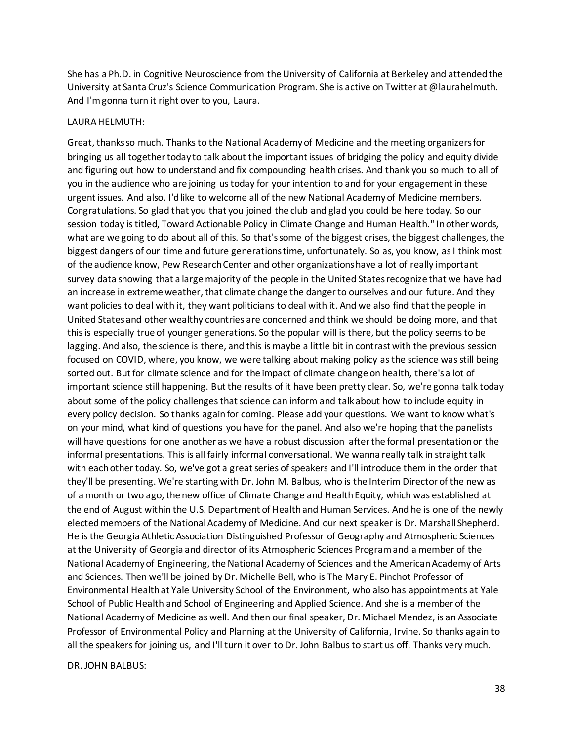She has a Ph.D. in Cognitive Neuroscience from the University of California at Berkeley and attended the University at Santa Cruz's Science Communication Program. She is active on Twitter at @laurahelmuth. And I'm gonna turn it right over to you, Laura.

#### LAURA HELMUTH:

Great, thanks so much. Thanks to the National Academy of Medicine and the meeting organizers for bringing us all together today to talk about the important issues of bridging the policy and equity divide and figuring out how to understand and fix compounding health crises. And thank you so much to all of you in the audience who are joining us today for your intention to and for your engagement in these urgent issues. And also, I'd like to welcome all of the new National Academy of Medicine members. Congratulations. So glad that you that you joined the club and glad you could be here today. So our session today is titled, Toward Actionable Policy in Climate Change and Human Health." In other words, what are we going to do about all of this. So that's some of the biggest crises, the biggest challenges, the biggest dangers of our time and future generations time, unfortunately. So as, you know, as I think most of the audience know, Pew Research Center and other organizations have a lot of really important survey data showing that a large majority of the people in the United States recognize that we have had an increase in extreme weather, that climate change the danger to ourselves and our future. And they want policies to deal with it, they want politicians to deal with it. And we also find that the people in United States and other wealthy countries are concerned and think we should be doing more, and that this is especially true of younger generations. So the popular will is there, but the policy seems to be lagging. And also, the science is there, and this is maybe a little bit in contrast with the previous session focused on COVID, where, you know, we were talking about making policy as the science was still being sorted out. But for climate science and for the impact of climate change on health, there's a lot of important science still happening. But the results of it have been pretty clear. So, we're gonna talk today about some of the policy challenges that science can inform and talk about how to include equity in every policy decision. So thanks again for coming. Please add your questions. We want to know what's on your mind, what kind of questions you have for the panel. And also we're hoping that the panelists will have questions for one another as we have a robust discussion after the formal presentation or the informal presentations. This is all fairly informal conversational. We wanna really talk in straight talk with each other today. So, we've got a great series of speakers and I'll introduce them in the order that they'll be presenting. We're starting with Dr. John M. Balbus, who is the Interim Director of the new as of a month or two ago, the new office of Climate Change and Health Equity, which was established at the end of August within the U.S. Department of Health and Human Services. And he is one of the newly elected members of the National Academy of Medicine. And our next speaker is Dr. Marshall Shepherd. He is the Georgia Athletic Association Distinguished Professor of Geography and Atmospheric Sciences at the University of Georgia and director of its Atmospheric Sciences Program and a member of the National Academy of Engineering, the National Academy of Sciences and the American Academy of Arts and Sciences. Then we'll be joined by Dr. Michelle Bell, who is The Mary E. Pinchot Professor of Environmental Health at Yale University School of the Environment, who also has appointments at Yale School of Public Health and School of Engineering and Applied Science. And she is a member of the National Academy of Medicine as well. And then our final speaker, Dr. Michael Mendez, is an Associate Professor of Environmental Policy and Planning at the University of California, Irvine. So thanks again to all the speakers for joining us, and I'll turn it over to Dr. John Balbus to start us off. Thanks very much.

DR. JOHN BALBUS: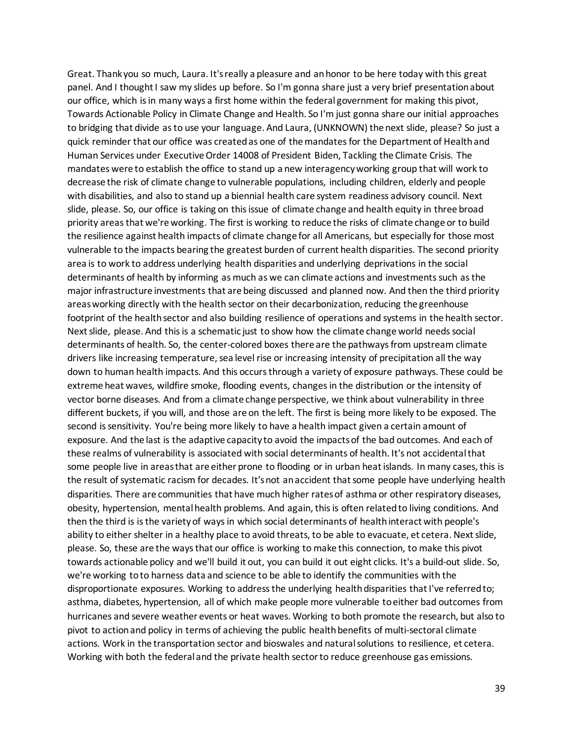Great. Thank you so much, Laura. It's really a pleasure and an honor to be here today with this great panel. And I thought I saw my slides up before. So I'm gonna share just a very brief presentation about our office, which is in many ways a first home within the federal government for making this pivot, Towards Actionable Policy in Climate Change and Health. So I'm just gonna share our initial approaches to bridging that divide as to use your language. And Laura, (UNKNOWN) the next slide, please? So just a quick reminder that our office was created as one of the mandates for the Department of Health and Human Services under Executive Order 14008 of President Biden, Tackling the Climate Crisis. The mandates were to establish the office to stand up a new interagency working group that will work to decrease the risk of climate change to vulnerable populations, including children, elderly and people with disabilities, and also to stand up a biennial health care system readiness advisory council. Next slide, please. So, our office is taking on this issue of climate change and health equity in three broad priority areas that we're working. The first is working to reduce the risks of climate change or to build the resilience against health impacts of climate change for all Americans, but especially for those most vulnerable to the impacts bearing the greatest burden of current health disparities. The second priority area is to work to address underlying health disparities and underlying deprivations in the social determinants of health by informing as much as we can climate actions and investments such as the major infrastructure investments that are being discussed and planned now. And then the third priority areas working directly with the health sector on their decarbonization, reducing the greenhouse footprint of the health sector and also building resilience of operations and systems in the health sector. Next slide, please. And this is a schematic just to show how the climate change world needs social determinants of health. So, the center-colored boxes there are the pathways from upstream climate drivers like increasing temperature, sea level rise or increasing intensity of precipitation all the way down to human health impacts. And this occurs through a variety of exposure pathways. These could be extreme heat waves, wildfire smoke, flooding events, changes in the distribution or the intensity of vector borne diseases. And from a climate change perspective, we think about vulnerability in three different buckets, if you will, and those are on the left. The first is being more likely to be exposed. The second is sensitivity. You're being more likely to have a health impact given a certain amount of exposure. And the last is the adaptive capacity to avoid the impacts of the bad outcomes. And each of these realms of vulnerability is associated with social determinants of health. It's not accidental that some people live in areas that are either prone to flooding or in urban heat islands. In many cases, this is the result of systematic racism for decades. It's not an accident that some people have underlying health disparities. There are communities that have much higher rates of asthma or other respiratory diseases, obesity, hypertension, mental health problems. And again, this is often related to living conditions. And then the third is is the variety of ways in which social determinants of health interact with people's ability to either shelter in a healthy place to avoid threats, to be able to evacuate, et cetera. Next slide, please. So, these are the ways that our office is working to make this connection, to make this pivot towards actionable policy and we'll build it out, you can build it out eight clicks. It's a build-out slide. So, we're working to to harness data and science to be able to identify the communities with the disproportionate exposures. Working to address the underlying health disparities that I've referred to; asthma, diabetes, hypertension, all of which make people more vulnerable to either bad outcomes from hurricanes and severe weather events or heat waves. Working to both promote the research, but also to pivot to action and policy in terms of achieving the public health benefits of multi-sectoral climate actions. Work in the transportation sector and bioswales and natural solutions to resilience, et cetera. Working with both the federal and the private health sector to reduce greenhouse gas emissions.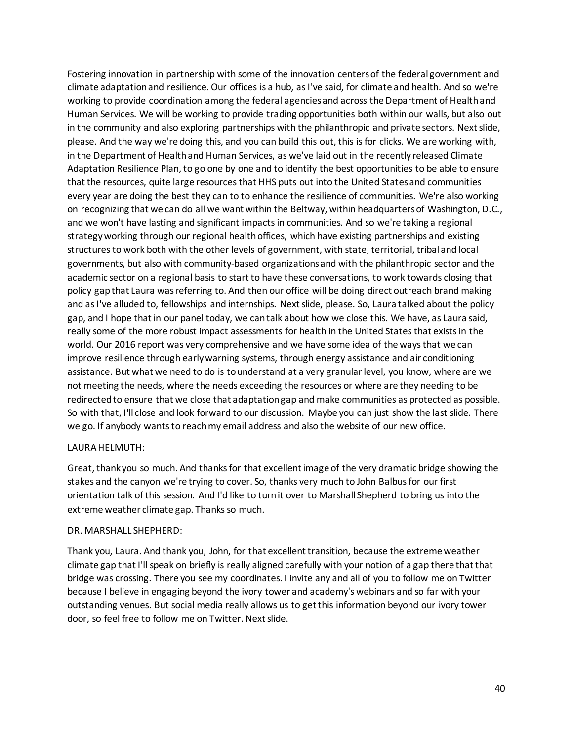Fostering innovation in partnership with some of the innovation centers of the federal government and climate adaptation and resilience. Our offices is a hub, as I've said, for climate and health. And so we're working to provide coordination among the federal agencies and across the Department of Health and Human Services. We will be working to provide trading opportunities both within our walls, but also out in the community and also exploring partnerships with the philanthropic and private sectors. Next slide, please. And the way we're doing this, and you can build this out, this is for clicks. We are working with, in the Department of Health and Human Services, as we've laid out in the recently released Climate Adaptation Resilience Plan, to go one by one and to identify the best opportunities to be able to ensure that the resources, quite large resources that HHS puts out into the United States and communities every year are doing the best they can to to enhance the resilience of communities. We're also working on recognizing that we can do all we want within the Beltway, within headquarters of Washington, D.C., and we won't have lasting and significant impacts in communities. And so we're taking a regional strategy working through our regional health offices, which have existing partnerships and existing structures to work both with the other levels of government, with state, territorial, tribal and local governments, but also with community-based organizations and with the philanthropic sector and the academic sector on a regional basis to start to have these conversations, to work towards closing that policy gap that Laura was referring to. And then our office will be doing direct outreach brand making and as I've alluded to, fellowships and internships. Next slide, please. So, Laura talked about the policy gap, and I hope that in our panel today, we can talk about how we close this. We have, as Laura said, really some of the more robust impact assessments for health in the United States that exists in the world. Our 2016 report was very comprehensive and we have some idea of the ways that we can improve resilience through early warning systems, through energy assistance and air conditioning assistance. But what we need to do is to understand at a very granular level, you know, where are we not meeting the needs, where the needs exceeding the resources or where are they needing to be redirected to ensure that we close that adaptation gap and make communities as protected as possible. So with that, I'll close and look forward to our discussion. Maybe you can just show the last slide. There we go. If anybody wants to reach my email address and also the website of our new office.

## LAURA HELMUTH:

Great, thank you so much. And thanks for that excellent image of the very dramatic bridge showing the stakes and the canyon we're trying to cover. So, thanks very much to John Balbus for our first orientation talk of this session. And I'd like to turn it over to Marshall Shepherd to bring us into the extreme weather climate gap. Thanks so much.

### DR. MARSHALL SHEPHERD:

Thank you, Laura. And thank you, John, for that excellent transition, because the extreme weather climate gap that I'll speak on briefly is really aligned carefully with your notion of a gap there that that bridge was crossing. There you see my coordinates. I invite any and all of you to follow me on Twitter because I believe in engaging beyond the ivory tower and academy's webinars and so far with your outstanding venues. But social media really allows us to get this information beyond our ivory tower door, so feel free to follow me on Twitter. Next slide.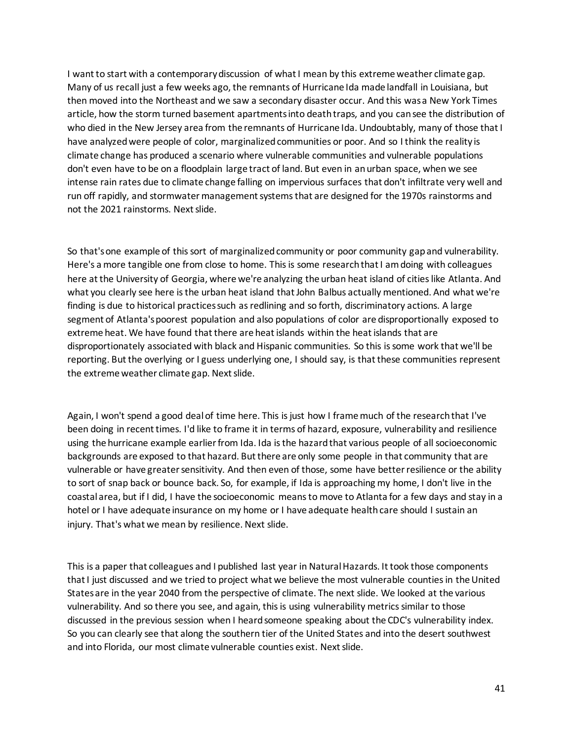I want to start with a contemporary discussion of what I mean by this extreme weather climate gap. Many of us recall just a few weeks ago, the remnants of Hurricane Ida made landfall in Louisiana, but then moved into the Northeast and we saw a secondary disaster occur. And this was a New York Times article, how the storm turned basement apartments into death traps, and you can see the distribution of who died in the New Jersey area from the remnants of Hurricane Ida. Undoubtably, many of those that I have analyzed were people of color, marginalized communities or poor. And so I think the reality is climate change has produced a scenario where vulnerable communities and vulnerable populations don't even have to be on a floodplain large tract of land. But even in an urban space, when we see intense rain rates due to climate change falling on impervious surfaces that don't infiltrate very well and run off rapidly, and stormwater management systems that are designed for the 1970s rainstorms and not the 2021 rainstorms. Next slide.

So that's one example of this sort of marginalized community or poor community gap and vulnerability. Here's a more tangible one from close to home. This is some research that I am doing with colleagues here at the University of Georgia, where we're analyzing the urban heat island of cities like Atlanta. And what you clearly see here is the urban heat island that John Balbus actually mentioned. And what we're finding is due to historical practices such as redlining and so forth, discriminatory actions. A large segment of Atlanta's poorest population and also populations of color are disproportionally exposed to extreme heat. We have found that there are heat islands within the heat islands that are disproportionately associated with black and Hispanic communities. So this is some work that we'll be reporting. But the overlying or I guess underlying one, I should say, is that these communities represent the extreme weather climate gap. Next slide.

Again, I won't spend a good deal of time here. This is just how I frame much of the research that I've been doing in recent times. I'd like to frame it in terms of hazard, exposure, vulnerability and resilience using the hurricane example earlier from Ida. Ida is the hazard that various people of all socioeconomic backgrounds are exposed to that hazard. But there are only some people in that community that are vulnerable or have greater sensitivity. And then even of those, some have better resilience or the ability to sort of snap back or bounce back. So, for example, if Ida is approaching my home, I don't live in the coastal area, but if I did, I have the socioeconomic means to move to Atlanta for a few days and stay in a hotel or I have adequate insurance on my home or I have adequate health care should I sustain an injury. That's what we mean by resilience. Next slide.

This is a paper that colleagues and I published last year in Natural Hazards. It took those components that I just discussed and we tried to project what we believe the most vulnerable counties in the United States are in the year 2040 from the perspective of climate. The next slide. We looked at the various vulnerability. And so there you see, and again, this is using vulnerability metrics similar to those discussed in the previous session when I heard someone speaking about the CDC's vulnerability index. So you can clearly see that along the southern tier of the United States and into the desert southwest and into Florida, our most climate vulnerable counties exist. Next slide.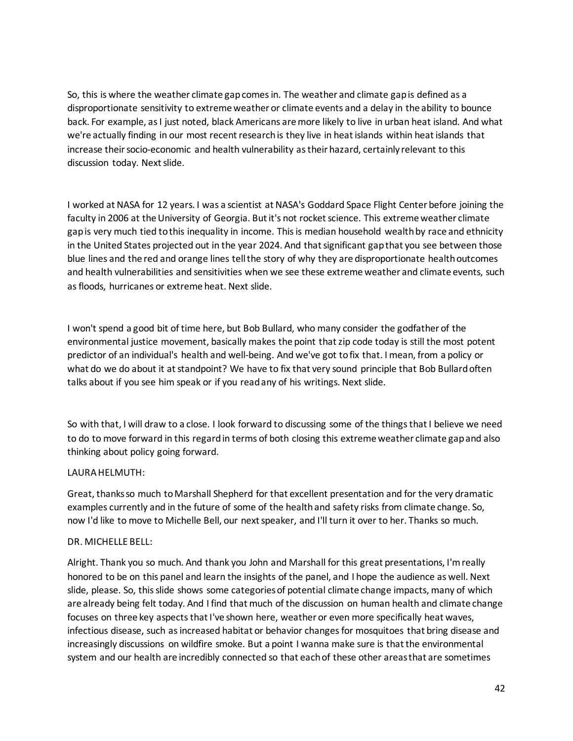So, this is where the weather climate gap comes in. The weather and climate gap is defined as a disproportionate sensitivity to extreme weather or climate events and a delay in the ability to bounce back. For example, as I just noted, black Americans are more likely to live in urban heat island. And what we're actually finding in our most recent research is they live in heat islands within heat islands that increase their socio-economic and health vulnerability as their hazard, certainly relevant to this discussion today. Next slide.

I worked at NASA for 12 years. I was a scientist at NASA's Goddard Space Flight Center before joining the faculty in 2006 at the University of Georgia. But it's not rocket science. This extreme weather climate gap is very much tied to this inequality in income. This is median household wealth by race and ethnicity in the United States projected out in the year 2024. And that significant gap that you see between those blue lines and the red and orange lines tell the story of why they are disproportionate health outcomes and health vulnerabilities and sensitivities when we see these extreme weather and climate events, such as floods, hurricanes or extreme heat. Next slide.

I won't spend a good bit of time here, but Bob Bullard, who many consider the godfather of the environmental justice movement, basically makes the point that zip code today is still the most potent predictor of an individual's health and well-being. And we've got to fix that. I mean, from a policy or what do we do about it at standpoint? We have to fix that very sound principle that Bob Bullard often talks about if you see him speak or if you read any of his writings. Next slide.

So with that, I will draw to a close. I look forward to discussing some of the things that I believe we need to do to move forward in this regard in terms of both closing this extreme weather climate gap and also thinking about policy going forward.

## LAURA HELMUTH:

Great, thanks so much to Marshall Shepherd for that excellent presentation and for the very dramatic examples currently and in the future of some of the health and safety risks from climate change. So, now I'd like to move to Michelle Bell, our next speaker, and I'll turn it over to her. Thanks so much.

## DR. MICHELLE BELL:

Alright. Thank you so much. And thank you John and Marshall for this great presentations, I'm really honored to be on this panel and learn the insights of the panel, and I hope the audience as well. Next slide, please. So, this slide shows some categories of potential climate change impacts, many of which are already being felt today. And I find that much of the discussion on human health and climate change focuses on three key aspects that I've shown here, weather or even more specifically heat waves, infectious disease, such as increased habitat or behavior changesfor mosquitoes that bring disease and increasingly discussions on wildfire smoke. But a point I wanna make sure is that the environmental system and our health are incredibly connected so that each of these other areas that are sometimes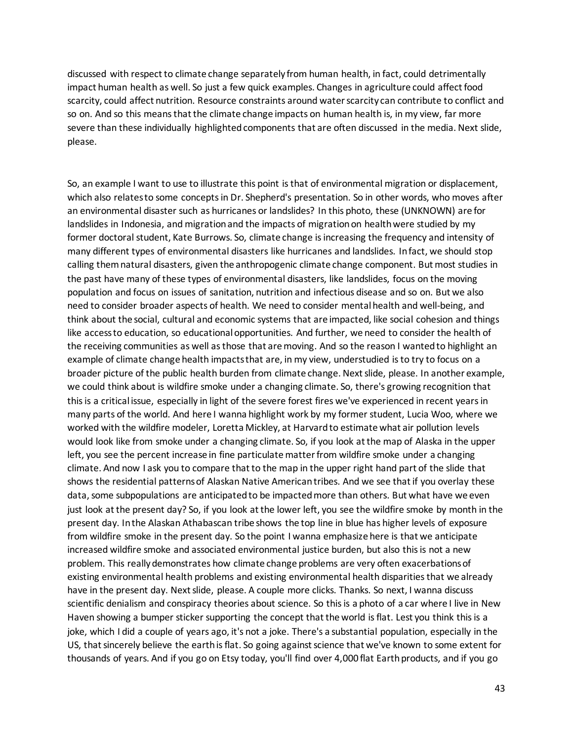discussed with respect to climate change separately from human health, in fact, could detrimentally impact human health as well. So just a few quick examples. Changes in agriculture could affect food scarcity, could affect nutrition. Resource constraints around water scarcity can contribute to conflict and so on. And so this means that the climate change impacts on human health is, in my view, far more severe than these individually highlighted components that are often discussed in the media. Next slide, please.

So, an example I want to use to illustrate this point is that of environmental migration or displacement, which also relates to some concepts in Dr. Shepherd's presentation. So in other words, who moves after an environmental disaster such as hurricanes or landslides? In this photo, these (UNKNOWN) are for landslides in Indonesia, and migration and the impacts of migration on health were studied by my former doctoral student, Kate Burrows. So, climate change is increasing the frequency and intensity of many different types of environmental disasters like hurricanes and landslides. In fact, we should stop calling them natural disasters, given the anthropogenic climate change component. But most studies in the past have many of these types of environmental disasters, like landslides, focus on the moving population and focus on issues of sanitation, nutrition and infectious disease and so on. But we also need to consider broader aspects of health. We need to consider mental health and well-being, and think about the social, cultural and economic systems that are impacted, like social cohesion and things like access to education, so educational opportunities. And further, we need to consider the health of the receiving communities as well as those that are moving. And so the reason I wanted to highlight an example of climate change health impacts that are, in my view, understudied is to try to focus on a broader picture of the public health burden from climate change. Next slide, please. In another example, we could think about is wildfire smoke under a changing climate. So, there's growing recognition that this is a critical issue, especially in light of the severe forest fires we've experienced in recent years in many parts of the world. And here I wanna highlight work by my former student, Lucia Woo, where we worked with the wildfire modeler, Loretta Mickley, at Harvard to estimate what air pollution levels would look like from smoke under a changing climate. So, if you look at the map of Alaska in the upper left, you see the percent increase in fine particulate matter from wildfire smoke under a changing climate. And now I ask you to compare that to the map in the upper right hand part of the slide that shows the residential patterns of Alaskan Native American tribes. And we see that if you overlay these data, some subpopulations are anticipated to be impacted more than others. But what have we even just look at the present day? So, if you look at the lower left, you see the wildfire smoke by month in the present day. In the Alaskan Athabascan tribe shows the top line in blue has higher levels of exposure from wildfire smoke in the present day. So the point I wanna emphasize here is that we anticipate increased wildfire smoke and associated environmental justice burden, but also this is not a new problem. This really demonstrates how climate change problems are very often exacerbations of existing environmental health problems and existing environmental health disparities that we already have in the present day. Next slide, please. A couple more clicks. Thanks. So next, I wanna discuss scientific denialism and conspiracy theories about science. So this is a photo of a car where I live in New Haven showing a bumper sticker supporting the concept that the world is flat. Lest you think this is a joke, which I did a couple of years ago, it's not a joke. There's a substantial population, especially in the US, that sincerely believe the earth is flat. So going against science that we've known to some extent for thousands of years. And if you go on Etsy today, you'll find over 4,000 flat Earth products, and if you go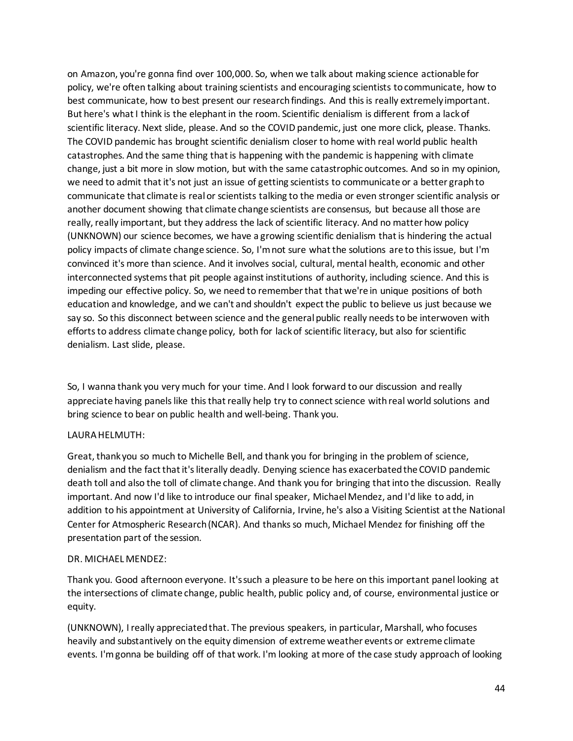on Amazon, you're gonna find over 100,000. So, when we talk about making science actionable for policy, we're often talking about training scientists and encouraging scientists to communicate, how to best communicate, how to best present our research findings. And this is really extremely important. But here's what I think is the elephant in the room. Scientific denialism is different from a lack of scientific literacy. Next slide, please. And so the COVID pandemic, just one more click, please. Thanks. The COVID pandemic has brought scientific denialism closer to home with real world public health catastrophes. And the same thing that is happening with the pandemic is happening with climate change, just a bit more in slow motion, but with the same catastrophic outcomes. And so in my opinion, we need to admit that it's not just an issue of getting scientists to communicate or a better graph to communicate that climate is real or scientists talking to the media or even stronger scientific analysis or another document showing that climate change scientists are consensus, but because all those are really, really important, but they address the lack of scientific literacy. And no matter how policy (UNKNOWN) our science becomes, we have a growing scientific denialism that is hindering the actual policy impacts of climate change science. So, I'm not sure what the solutions are to this issue, but I'm convinced it's more than science. And it involves social, cultural, mental health, economic and other interconnected systems that pit people against institutions of authority, including science. And this is impeding our effective policy. So, we need to remember that that we're in unique positions of both education and knowledge, and we can't and shouldn't expect the public to believe us just because we say so. So this disconnect between science and the general public really needs to be interwoven with efforts to address climate change policy, both for lack of scientific literacy, but also for scientific denialism. Last slide, please.

So, I wanna thank you very much for your time. And I look forward to our discussion and really appreciate having panels like this that really help try to connect science with real world solutions and bring science to bear on public health and well-being. Thank you.

## LAURA HELMUTH:

Great, thank you so much to Michelle Bell, and thank you for bringing in the problem of science, denialism and the fact that it's literally deadly. Denying science has exacerbated the COVID pandemic death toll and also the toll of climate change. And thank you for bringing that into the discussion. Really important. And now I'd like to introduce our final speaker, Michael Mendez, and I'd like to add, in addition to his appointment at University of California, Irvine, he's also a Visiting Scientist at the National Center for Atmospheric Research (NCAR). And thanks so much, Michael Mendez for finishing off the presentation part of the session.

## DR. MICHAEL MENDEZ:

Thank you. Good afternoon everyone. It's such a pleasure to be here on this important panel looking at the intersections of climate change, public health, public policy and, of course, environmental justice or equity.

(UNKNOWN), I really appreciated that. The previous speakers, in particular, Marshall, who focuses heavily and substantively on the equity dimension of extreme weather events or extreme climate events. I'm gonna be building off of that work. I'm looking at more of the case study approach of looking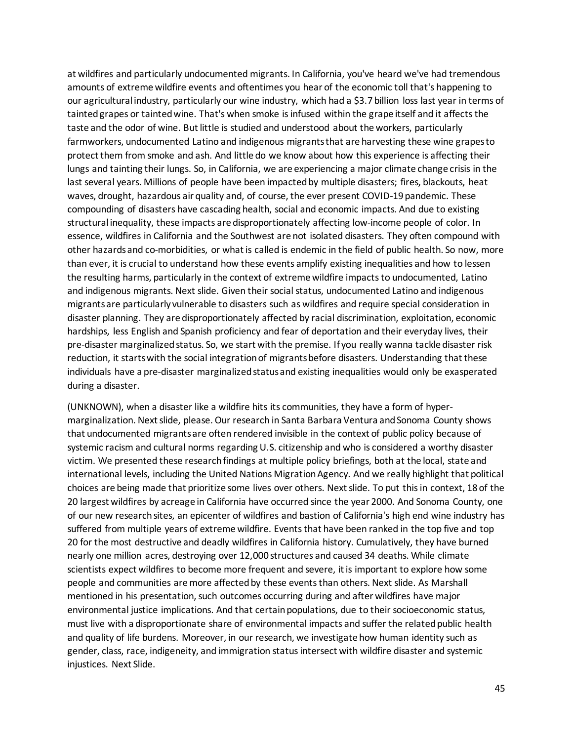at wildfires and particularly undocumented migrants. In California, you've heard we've had tremendous amounts of extreme wildfire events and oftentimes you hear of the economic toll that's happening to our agricultural industry, particularly our wine industry, which had a \$3.7 billion loss last year in terms of tainted grapes or tainted wine. That's when smoke is infused within the grape itself and it affects the taste and the odor of wine. But little is studied and understood about the workers, particularly farmworkers, undocumented Latino and indigenous migrants that are harvesting these wine grapes to protect them from smoke and ash. And little do we know about how this experience is affecting their lungs and tainting their lungs. So, in California, we are experiencing a major climate change crisis in the last several years. Millions of people have been impacted by multiple disasters; fires, blackouts, heat waves, drought, hazardous air quality and, of course, the ever present COVID-19 pandemic. These compounding of disasters have cascading health, social and economic impacts. And due to existing structural inequality, these impacts are disproportionately affecting low-income people of color. In essence, wildfires in California and the Southwest are not isolated disasters. They often compound with other hazards and co-morbidities, or what is called is endemic in the field of public health. So now, more than ever, it is crucial to understand how these events amplify existing inequalities and how to lessen the resulting harms, particularly in the context of extreme wildfire impacts to undocumented, Latino and indigenous migrants. Next slide. Given their social status, undocumented Latino and indigenous migrants are particularly vulnerable to disasters such as wildfires and require special consideration in disaster planning. They are disproportionately affected by racial discrimination, exploitation, economic hardships, less English and Spanish proficiency and fear of deportation and their everyday lives, their pre-disaster marginalized status. So, we start with the premise. If you really wanna tackle disaster risk reduction, it starts with the social integration of migrants before disasters. Understanding that these individuals have a pre-disaster marginalized status and existing inequalities would only be exasperated during a disaster.

(UNKNOWN), when a disaster like a wildfire hits its communities, they have a form of hypermarginalization. Next slide, please. Our research in Santa Barbara Ventura and Sonoma County shows that undocumented migrants are often rendered invisible in the context of public policy because of systemic racism and cultural norms regarding U.S. citizenship and who is considered a worthy disaster victim. We presented these research findings at multiple policy briefings, both at the local, state and international levels, including the United Nations Migration Agency. And we really highlight that political choices are being made that prioritize some lives over others. Next slide. To put this in context, 18 of the 20 largest wildfires by acreage in California have occurred since the year 2000. And Sonoma County, one of our new research sites, an epicenter of wildfires and bastion of California's high end wine industry has suffered from multiple years of extreme wildfire. Events that have been ranked in the top five and top 20 for the most destructive and deadly wildfires in California history. Cumulatively, they have burned nearly one million acres, destroying over 12,000 structures and caused 34 deaths. While climate scientists expect wildfires to become more frequent and severe, it is important to explore how some people and communities are more affected by these events than others. Next slide. As Marshall mentioned in his presentation, such outcomes occurring during and after wildfires have major environmental justice implications. And that certain populations, due to their socioeconomic status, must live with a disproportionate share of environmental impacts and suffer the related public health and quality of life burdens. Moreover, in our research, we investigate how human identity such as gender, class, race, indigeneity, and immigration status intersect with wildfire disaster and systemic injustices. Next Slide.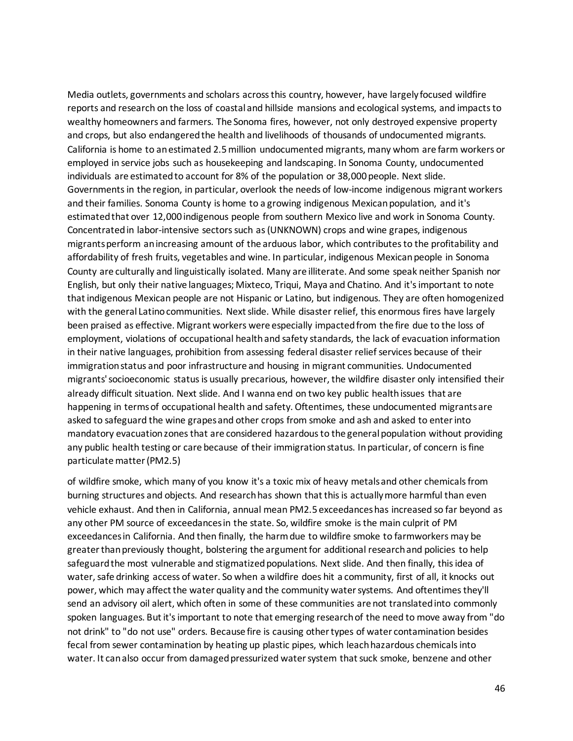Media outlets, governments and scholars across this country, however, have largely focused wildfire reports and research on the loss of coastal and hillside mansions and ecological systems, and impacts to wealthy homeowners and farmers. The Sonoma fires, however, not only destroyed expensive property and crops, but also endangered the health and livelihoods of thousands of undocumented migrants. California is home to an estimated 2.5 million undocumented migrants, many whom are farm workers or employed in service jobs such as housekeeping and landscaping. In Sonoma County, undocumented individuals are estimated to account for 8% of the population or 38,000 people. Next slide. Governments in the region, in particular, overlook the needs of low-income indigenous migrant workers and their families. Sonoma County is home to a growing indigenous Mexican population, and it's estimated that over 12,000 indigenous people from southern Mexico live and work in Sonoma County. Concentrated in labor-intensive sectors such as (UNKNOWN) crops and wine grapes, indigenous migrants perform an increasing amount of the arduous labor, which contributes to the profitability and affordability of fresh fruits, vegetables and wine. In particular, indigenous Mexican people in Sonoma County are culturally and linguistically isolated. Many are illiterate. And some speak neither Spanish nor English, but only their native languages; Mixteco, Triqui, Maya and Chatino. And it's important to note that indigenous Mexican people are not Hispanic or Latino, but indigenous. They are often homogenized with the general Latino communities. Next slide. While disaster relief, this enormous fires have largely been praised as effective. Migrant workers were especially impacted from the fire due to the loss of employment, violations of occupational health and safety standards, the lack of evacuation information in their native languages, prohibition from assessing federal disaster relief services because of their immigration status and poor infrastructure and housing in migrant communities. Undocumented migrants' socioeconomic status is usually precarious, however, the wildfire disaster only intensified their already difficult situation. Next slide. And I wanna end on two key public health issues that are happening in terms of occupational health and safety. Oftentimes, these undocumented migrants are asked to safeguard the wine grapes and other crops from smoke and ash and asked to enter into mandatory evacuation zones that are considered hazardous to the general population without providing any public health testing or care because of their immigration status. In particular, of concern is fine particulate matter (PM2.5)

of wildfire smoke, which many of you know it's a toxic mix of heavy metals and other chemicals from burning structures and objects. And research has shown that this is actually more harmful than even vehicle exhaust. And then in California, annual mean PM2.5 exceedances has increased so far beyond as any other PM source of exceedances in the state. So, wildfire smoke is the main culprit of PM exceedances in California. And then finally, the harm due to wildfire smoke to farmworkers may be greater than previously thought, bolstering the argument for additional research and policies to help safeguard the most vulnerable and stigmatized populations. Next slide. And then finally, this idea of water, safe drinking access of water. So when a wildfire does hit a community, first of all, it knocks out power, which may affect the water quality and the community water systems. And oftentimes they'll send an advisory oil alert, which often in some of these communities are not translated into commonly spoken languages. But it's important to note that emerging research of the need to move away from "do not drink" to "do not use" orders. Because fire is causing other types of water contamination besides fecal from sewer contamination by heating up plastic pipes, which leach hazardous chemicals into water. It can also occur from damaged pressurized water system that suck smoke, benzene and other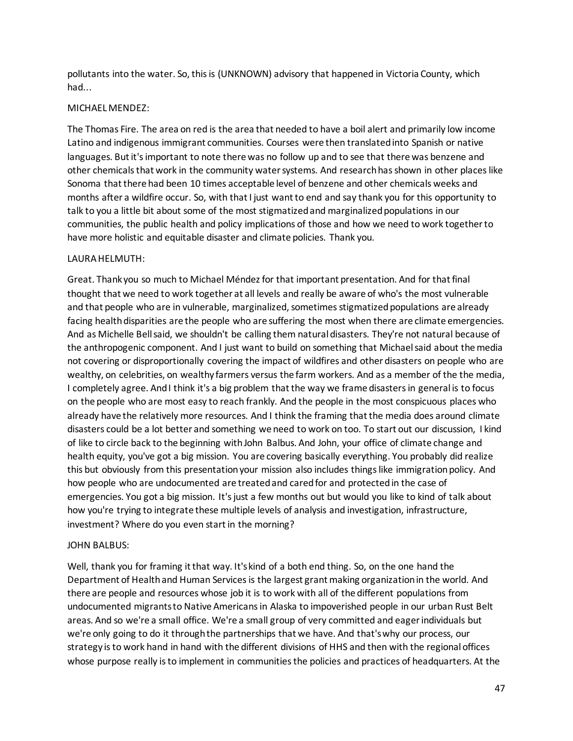pollutants into the water. So, this is (UNKNOWN) advisory that happened in Victoria County, which had...

## MICHAEL MENDEZ:

The Thomas Fire. The area on red is the area that needed to have a boil alert and primarily low income Latino and indigenous immigrant communities. Courses were then translated into Spanish or native languages. But it's important to note there was no follow up and to see that there was benzene and other chemicals that work in the community water systems. And research has shown in other places like Sonoma that there had been 10 times acceptable level of benzene and other chemicals weeks and months after a wildfire occur. So, with that I just want to end and say thank you for this opportunity to talk to you a little bit about some of the most stigmatized and marginalized populations in our communities, the public health and policy implications of those and how we need to work together to have more holistic and equitable disaster and climate policies. Thank you.

## LAURA HELMUTH:

Great. Thank you so much to Michael Méndez for that important presentation. And for that final thought that we need to work together at all levels and really be aware of who's the most vulnerable and that people who are in vulnerable, marginalized, sometimes stigmatized populations are already facing health disparities are the people who are suffering the most when there are climate emergencies. And as Michelle Bell said, we shouldn't be calling them natural disasters. They're not natural because of the anthropogenic component. And I just want to build on something that Michael said about the media not covering or disproportionally covering the impact of wildfires and other disasters on people who are wealthy, on celebrities, on wealthy farmers versus the farm workers. And as a member of the the media, I completely agree. And I think it's a big problem that the way we frame disasters in general is to focus on the people who are most easy to reach frankly. And the people in the most conspicuous places who already have the relatively more resources. And I think the framing that the media does around climate disasters could be a lot better and something we need to work on too. To start out our discussion, I kind of like to circle back to the beginning with John Balbus. And John, your office of climate change and health equity, you've got a big mission. You are covering basically everything. You probably did realize this but obviously from this presentation your mission also includes things like immigration policy. And how people who are undocumented are treated and cared for and protected in the case of emergencies. You got a big mission. It's just a few months out but would you like to kind of talk about how you're trying to integrate these multiple levels of analysis and investigation, infrastructure, investment? Where do you even start in the morning?

## JOHN BALBUS:

Well, thank you for framing it that way. It's kind of a both end thing. So, on the one hand the Department of Health and Human Services is the largest grant making organization in the world. And there are people and resources whose job it is to work with all of the different populations from undocumented migrants to Native Americans in Alaska to impoverished people in our urban Rust Belt areas. And so we're a small office. We're a small group of very committed and eager individuals but we're only going to do it through the partnerships that we have. And that's why our process, our strategy is to work hand in hand with the different divisions of HHS and then with the regional offices whose purpose really is to implement in communities the policies and practices of headquarters. At the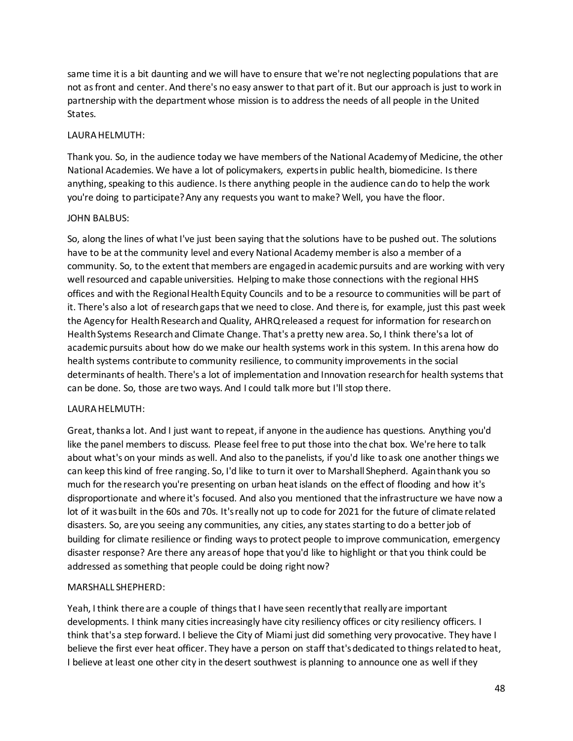same time it is a bit daunting and we will have to ensure that we're not neglecting populations that are not as front and center. And there's no easy answer to that part of it. But our approach is just to work in partnership with the department whose mission is to address the needs of all people in the United States.

## LAURA HELMUTH:

Thank you. So, in the audience today we have members of the National Academy of Medicine, the other National Academies. We have a lot of policymakers, experts in public health, biomedicine. Is there anything, speaking to this audience. Is there anything people in the audience can do to help the work you're doing to participate? Any any requests you want to make? Well, you have the floor.

## JOHN BALBUS:

So, along the lines of what I've just been saying that the solutions have to be pushed out. The solutions have to be at the community level and every National Academy member is also a member of a community. So, to the extent that members are engaged in academic pursuits and are working with very well resourced and capable universities. Helping to make those connections with the regional HHS offices and with the Regional Health Equity Councils and to be a resource to communities will be part of it. There's also a lot of research gaps that we need to close. And there is, for example, just this past week the Agency for Health Research and Quality, AHRQ released a request for information for research on Health Systems Research and Climate Change. That's a pretty new area. So, I think there's a lot of academic pursuits about how do we make our health systems work in this system. In this arena how do health systems contribute to community resilience, to community improvements in the social determinants of health. There's a lot of implementation and Innovation research for health systems that can be done. So, those are two ways. And I could talk more but I'll stop there.

## LAURA HELMUTH:

Great, thanks a lot. And I just want to repeat, if anyone in the audience has questions. Anything you'd like the panel members to discuss. Please feel free to put those into the chat box. We're here to talk about what's on your minds as well. And also to the panelists, if you'd like to ask one another things we can keep this kind of free ranging. So, I'd like to turn it over to Marshall Shepherd. Again thank you so much for the research you're presenting on urban heat islands on the effect of flooding and how it's disproportionate and where it's focused. And also you mentioned that the infrastructure we have now a lot of it was built in the 60s and 70s. It's really not up to code for 2021 for the future of climate related disasters. So, are you seeing any communities, any cities, any states starting to do a better job of building for climate resilience or finding ways to protect people to improve communication, emergency disaster response? Are there any areas of hope that you'd like to highlight or that you think could be addressed as something that people could be doing right now?

# MARSHALL SHEPHERD:

Yeah, I think there are a couple of things that I have seen recently that really are important developments. I think many cities increasingly have city resiliency offices or city resiliency officers. I think that's a step forward. I believe the City of Miami just did something very provocative. They have I believe the first ever heat officer. They have a person on staff that's dedicated to things related to heat, I believe at least one other city in the desert southwest is planning to announce one as well if they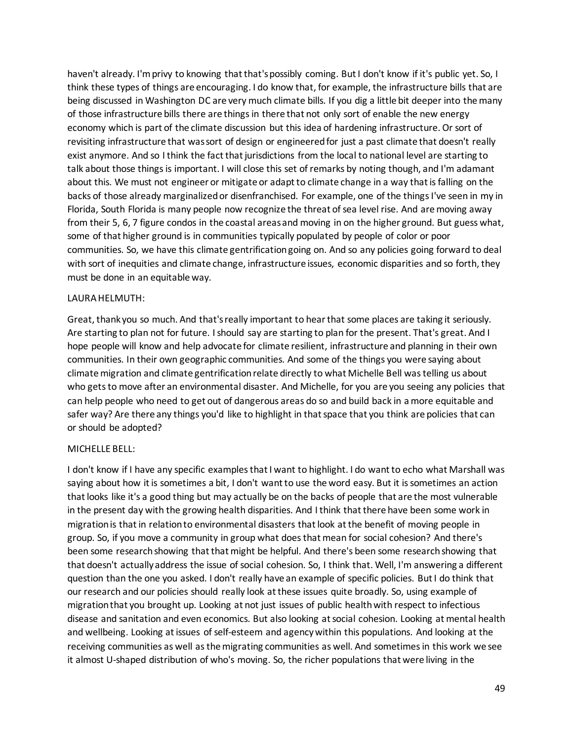haven't already. I'm privy to knowing that that's possibly coming. But I don't know if it's public yet. So, I think these types of things are encouraging. I do know that, for example, the infrastructure bills that are being discussed in Washington DC are very much climate bills. If you dig a little bit deeper into the many of those infrastructure bills there are things in there that not only sort of enable the new energy economy which is part of the climate discussion but this idea of hardening infrastructure. Or sort of revisiting infrastructure that was sort of design or engineered for just a past climate that doesn't really exist anymore. And so I think the fact that jurisdictions from the local to national level are starting to talk about those things is important. I will close this set of remarks by noting though, and I'm adamant about this. We must not engineer or mitigate or adapt to climate change in a way that is falling on the backs of those already marginalized or disenfranchised. For example, one of the things I've seen in my in Florida, South Florida is many people now recognize the threat of sea level rise. And are moving away from their 5, 6, 7 figure condos in the coastal areas and moving in on the higher ground. But guess what, some of that higher ground is in communities typically populated by people of color or poor communities. So, we have this climate gentrification going on. And so any policies going forward to deal with sort of inequities and climate change, infrastructure issues, economic disparities and so forth, they must be done in an equitable way.

### LAURA HELMUTH:

Great, thank you so much. And that'sreally important to hear that some places are taking it seriously. Are starting to plan not for future. I should say are starting to plan for the present. That's great. And I hope people will know and help advocate for climate resilient, infrastructure and planning in their own communities. In their own geographic communities. And some of the things you were saying about climate migration and climate gentrification relate directly to what Michelle Bell was telling us about who gets to move after an environmental disaster. And Michelle, for you are you seeing any policies that can help people who need to get out of dangerous areas do so and build back in a more equitable and safer way? Are there any things you'd like to highlight in that space that you think are policies that can or should be adopted?

## MICHELLE BELL:

I don't know if I have any specific examples that I want to highlight. I do want to echo what Marshall was saying about how it is sometimes a bit, I don't want to use the word easy. But it is sometimes an action that looks like it's a good thing but may actually be on the backs of people that are the most vulnerable in the present day with the growing health disparities. And I think that there have been some work in migration is that in relation to environmental disasters that look at the benefit of moving people in group. So, if you move a community in group what does that mean for social cohesion? And there's been some research showing that that might be helpful. And there's been some research showing that that doesn't actually address the issue of social cohesion. So, I think that. Well, I'm answering a different question than the one you asked. I don't really have an example of specific policies. But I do think that our research and our policies should really look at these issues quite broadly. So, using example of migration that you brought up. Looking at not just issues of public health with respect to infectious disease and sanitation and even economics. But also looking at social cohesion. Looking at mental health and wellbeing. Looking at issues of self-esteem and agency within this populations. And looking at the receiving communities as well as the migrating communities as well. And sometimes in this work we see it almost U-shaped distribution of who's moving. So, the richer populations that were living in the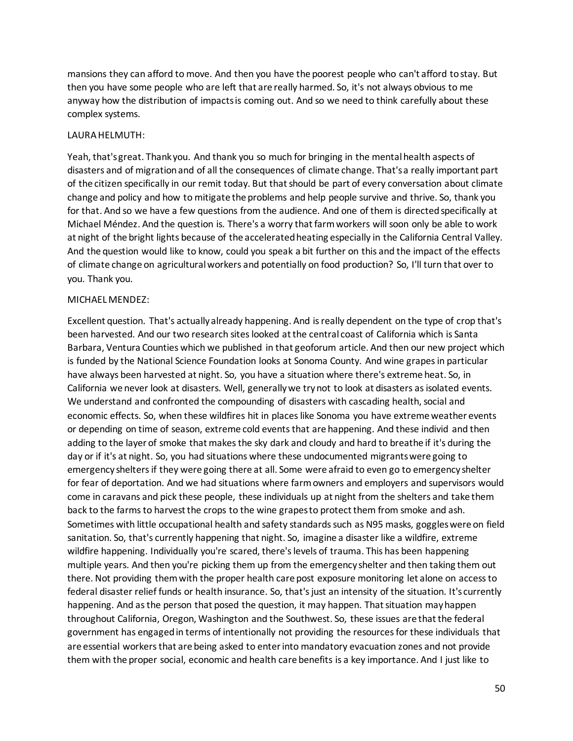mansions they can afford to move. And then you have the poorest people who can't afford to stay. But then you have some people who are left that are really harmed. So, it's not always obvious to me anyway how the distribution of impacts is coming out. And so we need to think carefully about these complex systems.

### LAURA HELMUTH:

Yeah, that's great. Thank you. And thank you so much for bringing in the mental health aspects of disasters and of migration and of all the consequences of climate change. That's a really important part of the citizen specifically in our remit today. But that should be part of every conversation about climate change and policy and how to mitigate the problems and help people survive and thrive. So, thank you for that. And so we have a few questions from the audience. And one of them is directed specifically at Michael Méndez. And the question is. There's a worry that farm workers will soon only be able to work at night of the bright lights because of the accelerated heating especially in the California Central Valley. And the question would like to know, could you speak a bit further on this and the impact of the effects of climate change on agricultural workers and potentially on food production? So, I'll turn that over to you. Thank you.

### MICHAEL MENDEZ:

Excellent question. That's actually already happening. And is really dependent on the type of crop that's been harvested. And our two research sites looked at the central coast of California which is Santa Barbara, Ventura Counties which we published in that geoforum article. And then our new project which is funded by the National Science Foundation looks at Sonoma County. And wine grapes in particular have always been harvested at night. So, you have a situation where there's extreme heat. So, in California we never look at disasters. Well, generally we try not to look at disasters as isolated events. We understand and confronted the compounding of disasters with cascading health, social and economic effects. So, when these wildfires hit in places like Sonoma you have extreme weather events or depending on time of season, extreme cold events that are happening. And these individ and then adding to the layer of smoke that makes the sky dark and cloudy and hard to breathe if it's during the day or if it's at night. So, you had situations where these undocumented migrants were going to emergency shelters if they were going there at all. Some were afraid to even go to emergency shelter for fear of deportation. And we had situations where farm owners and employers and supervisors would come in caravans and pick these people, these individuals up at night from the shelters and take them back to the farms to harvest the crops to the wine grapes to protect them from smoke and ash. Sometimes with little occupational health and safety standards such as N95 masks, goggles were on field sanitation. So, that's currently happening that night. So, imagine a disaster like a wildfire, extreme wildfire happening. Individually you're scared, there's levels of trauma. This has been happening multiple years. And then you're picking them up from the emergency shelter and then taking them out there. Not providing them with the proper health care post exposure monitoring let alone on access to federal disaster relief funds or health insurance. So, that's just an intensity of the situation. It's currently happening. And as the person that posed the question, it may happen. That situation may happen throughout California, Oregon, Washington and the Southwest. So, these issues are that the federal government has engaged in terms of intentionally not providing the resources for these individuals that are essential workers that are being asked to enterinto mandatory evacuation zones and not provide them with the proper social, economic and health care benefits is a key importance. And I just like to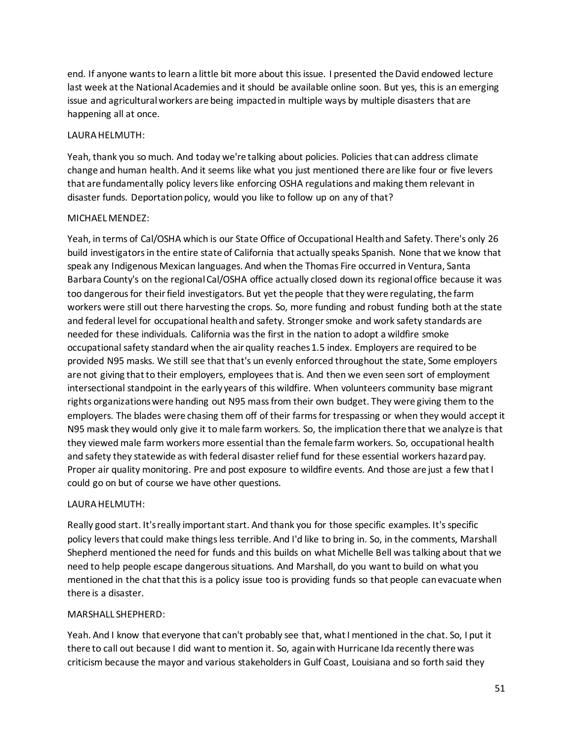end. If anyone wants to learn a little bit more about this issue. I presented the David endowed lecture last week at the National Academies and it should be available online soon. But yes, this is an emerging issue and agricultural workers are being impacted in multiple ways by multiple disasters that are happening all at once.

## LAURA HELMUTH:

Yeah, thank you so much. And today we're talking about policies. Policies that can address climate change and human health. And it seems like what you just mentioned there are like four or five levers that are fundamentally policy levers like enforcing OSHA regulations and making them relevant in disaster funds. Deportation policy, would you like to follow up on any of that?

## MICHAEL MENDEZ:

Yeah, in terms of Cal/OSHA which is our State Office of Occupational Health and Safety. There's only 26 build investigators in the entire state of California that actually speaks Spanish. None that we know that speak any Indigenous Mexican languages. And when the Thomas Fire occurred in Ventura, Santa Barbara County's on the regional Cal/OSHA office actually closed down its regional office because it was too dangerous for their field investigators. But yet the people that they were regulating, the farm workers were still out there harvesting the crops. So, more funding and robust funding both at the state and federal level for occupational health and safety. Stronger smoke and work safety standards are needed for these individuals. California was the first in the nation to adopt a wildfire smoke occupational safety standard when the air quality reaches 1.5 index. Employers are required to be provided N95 masks. We still see that that's un evenly enforced throughout the state, Some employers are not giving that to their employers, employees that is. And then we even seen sort of employment intersectional standpoint in the early years of this wildfire. When volunteers community base migrant rights organizations were handing out N95 mass from their own budget. They were giving them to the employers. The blades were chasing them off of their farms for trespassing or when they would accept it N95 mask they would only give it to male farm workers. So, the implication there that we analyze is that they viewed male farm workers more essential than the female farm workers. So, occupational health and safety they statewide as with federal disaster relief fund for these essential workers hazard pay. Proper air quality monitoring. Pre and post exposure to wildfire events. And those are just a few that I could go on but of course we have other questions.

## LAURA HELMUTH:

Really good start. It's really important start. And thank you for those specific examples. It's specific policy levers that could make things less terrible. And I'd like to bring in. So, in the comments, Marshall Shepherd mentioned the need for funds and this builds on what Michelle Bell wastalking about that we need to help people escape dangerous situations. And Marshall, do you want to build on what you mentioned in the chat that this is a policy issue too is providing funds so that people can evacuate when there is a disaster.

# MARSHALL SHEPHERD:

Yeah. And I know that everyone that can't probably see that, what I mentioned in the chat. So, I put it there to call out because I did want to mention it. So, again with Hurricane Ida recently there was criticism because the mayor and various stakeholders in Gulf Coast, Louisiana and so forth said they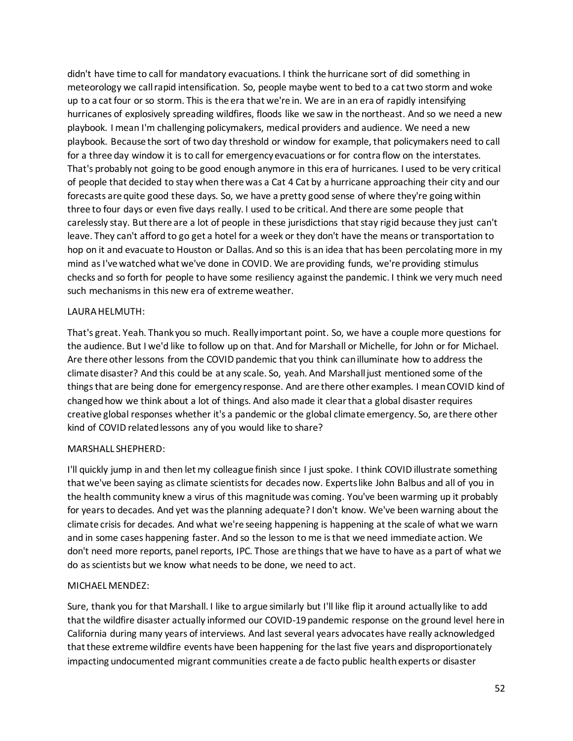didn't have time to call for mandatory evacuations. I think the hurricane sort of did something in meteorology we call rapid intensification. So, people maybe went to bed to a cat two storm and woke up to a cat four or so storm. This is the era that we're in. We are in an era of rapidly intensifying hurricanes of explosively spreading wildfires, floods like we saw in the northeast. And so we need a new playbook. I mean I'm challenging policymakers, medical providers and audience. We need a new playbook. Because the sort of two day threshold or window for example, that policymakers need to call for a three day window it is to call for emergency evacuations or for contra flow on the interstates. That's probably not going to be good enough anymore in this era of hurricanes. I used to be very critical of people that decided to stay when there was a Cat 4 Cat by a hurricane approaching their city and our forecasts are quite good these days. So, we have a pretty good sense of where they're going within three to four days or even five days really. I used to be critical. And there are some people that carelessly stay. But there are a lot of people in these jurisdictions that stay rigid because they just can't leave. They can't afford to go get a hotel for a week or they don't have the means or transportation to hop on it and evacuate to Houston or Dallas. And so this is an idea that has been percolating more in my mind as I've watched what we've done in COVID. We are providing funds, we're providing stimulus checks and so forth for people to have some resiliency against the pandemic. I think we very much need such mechanisms in this new era of extreme weather.

## LAURA HELMUTH:

That's great. Yeah. Thank you so much. Really important point. So, we have a couple more questions for the audience. But I we'd like to follow up on that. And for Marshall or Michelle, for John or for Michael. Are there other lessons from the COVID pandemic that you think can illuminate how to address the climate disaster? And this could be at any scale. So, yeah. And Marshall just mentioned some of the things that are being done for emergency response. And are there other examples. I mean COVID kind of changed how we think about a lot of things. And also made it clear that a global disaster requires creative global responses whether it's a pandemic or the global climate emergency. So, are there other kind of COVID related lessons any of you would like to share?

# MARSHALL SHEPHERD:

I'll quickly jump in and then let my colleague finish since I just spoke. I think COVID illustrate something that we've been saying as climate scientists for decades now. Experts like John Balbus and all of you in the health community knew a virus of this magnitude was coming. You've been warming up it probably for years to decades. And yet was the planning adequate? I don't know. We've been warning about the climate crisis for decades. And what we're seeing happening is happening at the scale of what we warn and in some cases happening faster. And so the lesson to me is that we need immediate action. We don't need more reports, panel reports, IPC. Those are things that we have to have as a part of what we do as scientists but we know what needs to be done, we need to act.

# MICHAEL MENDEZ:

Sure, thank you for that Marshall. I like to argue similarly but I'll like flip it around actually like to add that the wildfire disaster actually informed our COVID-19 pandemic response on the ground level here in California during many years of interviews. And last several years advocates have really acknowledged that these extreme wildfire events have been happening for the last five years and disproportionately impacting undocumented migrant communities create a de facto public health experts or disaster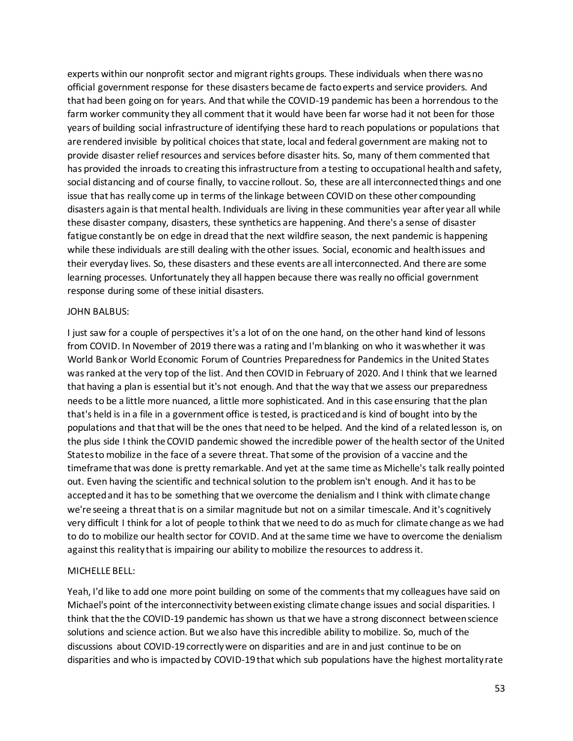experts within our nonprofit sector and migrant rights groups. These individuals when there was no official government response for these disasters became de facto experts and service providers. And that had been going on for years. And that while the COVID-19 pandemic has been a horrendous to the farm worker community they all comment that it would have been far worse had it not been for those years of building social infrastructure of identifying these hard to reach populations or populations that are rendered invisible by political choices that state, local and federal government are making not to provide disaster relief resources and services before disaster hits. So, many of them commented that has provided the inroads to creating this infrastructure from a testing to occupational health and safety, social distancing and of course finally, to vaccine rollout. So, these are all interconnected things and one issue that has really come up in terms of the linkage between COVID on these other compounding disasters again is that mental health. Individuals are living in these communities year after year all while these disaster company, disasters, these synthetics are happening. And there's a sense of disaster fatigue constantly be on edge in dread that the next wildfire season, the next pandemic is happening while these individuals are still dealing with the other issues. Social, economic and health issues and their everyday lives. So, these disasters and these events are all interconnected. And there are some learning processes. Unfortunately they all happen because there was really no official government response during some of these initial disasters.

### JOHN BALBUS:

I just saw for a couple of perspectives it's a lot of on the one hand, on the other hand kind of lessons from COVID. In November of 2019 there was a rating and I'm blanking on who it was whether it was World Bank or World Economic Forum of Countries Preparedness for Pandemics in the United States was ranked at the very top of the list. And then COVID in February of 2020. And I think that we learned that having a plan is essential but it's not enough. And that the way that we assess our preparedness needs to be a little more nuanced, a little more sophisticated. And in this case ensuring that the plan that's held is in a file in a government office is tested, is practiced and is kind of bought into by the populations and that that will be the ones that need to be helped. And the kind of a related lesson is, on the plus side I think the COVID pandemic showed the incredible power of the health sector of the United States to mobilize in the face of a severe threat. That some of the provision of a vaccine and the timeframe that was done is pretty remarkable. And yet at the same time as Michelle's talk really pointed out. Even having the scientific and technical solution to the problem isn't enough. And it has to be accepted and it has to be something that we overcome the denialism and I think with climate change we're seeing a threat that is on a similar magnitude but not on a similar timescale. And it's cognitively very difficult I think for a lot of people to think that we need to do as much for climate change as we had to do to mobilize our health sector for COVID. And at the same time we have to overcome the denialism against this reality that is impairing our ability to mobilize the resources to address it.

## MICHELLE BELL:

Yeah, I'd like to add one more point building on some of the comments that my colleagues have said on Michael's point of the interconnectivity between existing climate change issues and social disparities. I think that the the COVID-19 pandemic has shown us that we have a strong disconnect between science solutions and science action. But we also have this incredible ability to mobilize. So, much of the discussions about COVID-19 correctly were on disparities and are in and just continue to be on disparities and who is impacted by COVID-19 that which sub populations have the highest mortality rate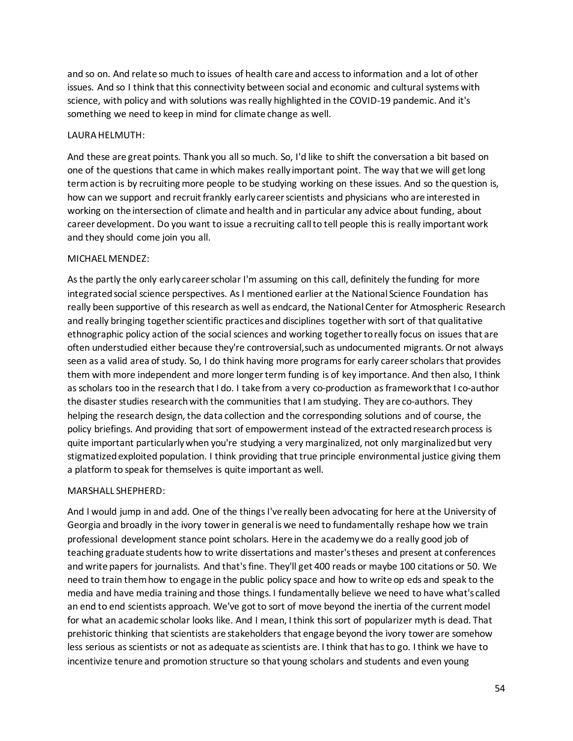and so on. And relate so much to issues of health care and access to information and a lot of other issues. And so I think that this connectivity between social and economic and cultural systems with science, with policy and with solutions was really highlighted in the COVID-19 pandemic. And it's something we need to keep in mind for climate change as well.

## LAURA HELMUTH:

And these are great points. Thank you all so much. So, I'd like to shift the conversation a bit based on one of the questions that came in which makes really important point. The way that we will get long term action is by recruiting more people to be studying working on these issues. And so the question is, how can we support and recruit frankly early career scientists and physicians who are interested in working on the intersection of climate and health and in particular any advice about funding, about career development. Do you want to issue a recruiting call to tell people this is really important work and they should come join you all.

## MICHAEL MENDEZ:

As the partly the only early career scholar I'm assuming on this call, definitely the funding for more integrated social science perspectives. As I mentioned earlier at the National Science Foundation has really been supportive of this research as well as endcard, the National Center for Atmospheric Research and really bringing together scientific practices and disciplines together with sort of that qualitative ethnographic policy action of the social sciences and working together to really focus on issues that are often understudied either because they're controversial,such as undocumented migrants. Or not always seen as a valid area of study. So, I do think having more programs for early career scholars that provides them with more independent and more longer term funding is of key importance. And then also, I think as scholars too in the research that I do. I take from a very co-production as framework that I co-author the disaster studies research with the communities that I am studying. They are co-authors. They helping the research design, the data collection and the corresponding solutions and of course, the policy briefings. And providing that sort of empowerment instead of the extracted research process is quite important particularly when you're studying a very marginalized, not only marginalized but very stigmatized exploited population. I think providing that true principle environmental justice giving them a platform to speak for themselves is quite important as well.

# MARSHALL SHEPHERD:

And I would jump in and add. One of the things I've really been advocating for here at the University of Georgia and broadly in the ivory tower in general is we need to fundamentally reshape how we train professional development stance point scholars. Here in the academy we do a really good job of teaching graduate students how to write dissertations and master's theses and present at conferences and write papers for journalists. And that's fine. They'll get 400 reads or maybe 100 citations or 50. We need to train them how to engage in the public policy space and how to write op eds and speak to the media and have media training and those things. I fundamentally believe we need to have what's called an end to end scientists approach. We've got to sort of move beyond the inertia of the current model for what an academic scholar looks like. And I mean, I think this sort of popularizer myth is dead. That prehistoric thinking that scientists are stakeholders that engage beyond the ivory tower are somehow less serious as scientists or not as adequate as scientists are. I think that has to go. I think we have to incentivize tenure and promotion structure so that young scholars and students and even young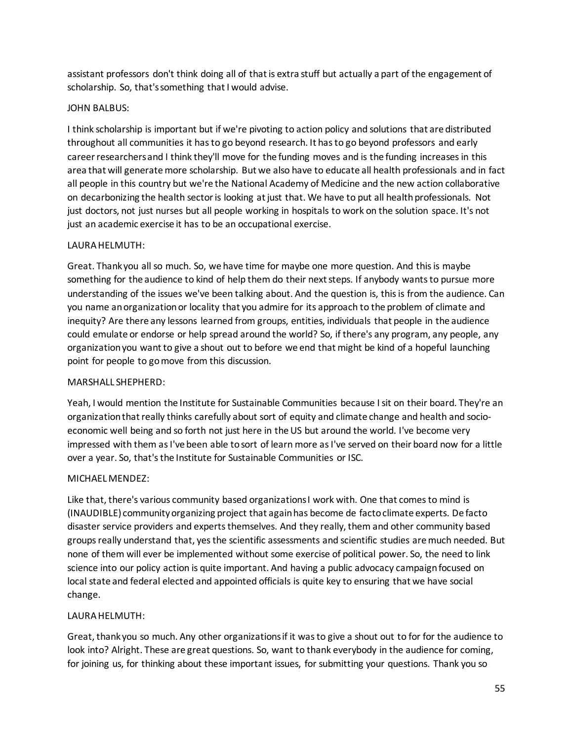assistant professors don't think doing all of that is extra stuff but actually a part of the engagement of scholarship. So, that's something that I would advise.

## JOHN BALBUS:

I think scholarship is important but if we're pivoting to action policy and solutions that are distributed throughout all communities it has to go beyond research. It has to go beyond professors and early career researchers and I think they'll move for the funding moves and is the funding increases in this area that will generate more scholarship. But we also have to educate all health professionals and in fact all people in this country but we're the National Academy of Medicine and the new action collaborative on decarbonizing the health sector is looking at just that. We have to put all health professionals. Not just doctors, not just nurses but all people working in hospitals to work on the solution space. It's not just an academic exercise it has to be an occupational exercise.

## LAURA HELMUTH:

Great. Thank you all so much. So, we have time for maybe one more question. And this is maybe something for the audience to kind of help them do their next steps. If anybody wants to pursue more understanding of the issues we've been talking about. And the question is, this is from the audience. Can you name an organization or locality that you admire for its approach to the problem of climate and inequity? Are there any lessons learned from groups, entities, individuals that people in the audience could emulate or endorse or help spread around the world? So, if there's any program, any people, any organization you want to give a shout out to before we end that might be kind of a hopeful launching point for people to go move from this discussion.

## MARSHALL SHEPHERD:

Yeah, I would mention the Institute for Sustainable Communities because I sit on their board. They're an organization that really thinks carefully about sort of equity and climate change and health and socioeconomic well being and so forth not just here in the US but around the world. I've become very impressed with them as I've been able to sort of learn more as I've served on their board now for a little over a year. So, that's the Institute for Sustainable Communities or ISC.

# MICHAEL MENDEZ:

Like that, there's various community based organizations I work with. One that comes to mind is (INAUDIBLE) community organizing project that again has become de facto climate experts. De facto disaster service providers and experts themselves. And they really, them and other community based groups really understand that, yes the scientific assessments and scientific studies are much needed. But none of them will ever be implemented without some exercise of political power. So, the need to link science into our policy action is quite important. And having a public advocacy campaign focused on local state and federal elected and appointed officials is quite key to ensuring that we have social change.

## LAURA HELMUTH:

Great, thank you so much. Any other organizations if it was to give a shout out to for for the audience to look into? Alright. These are great questions. So, want to thank everybody in the audience for coming, for joining us, for thinking about these important issues, for submitting your questions. Thank you so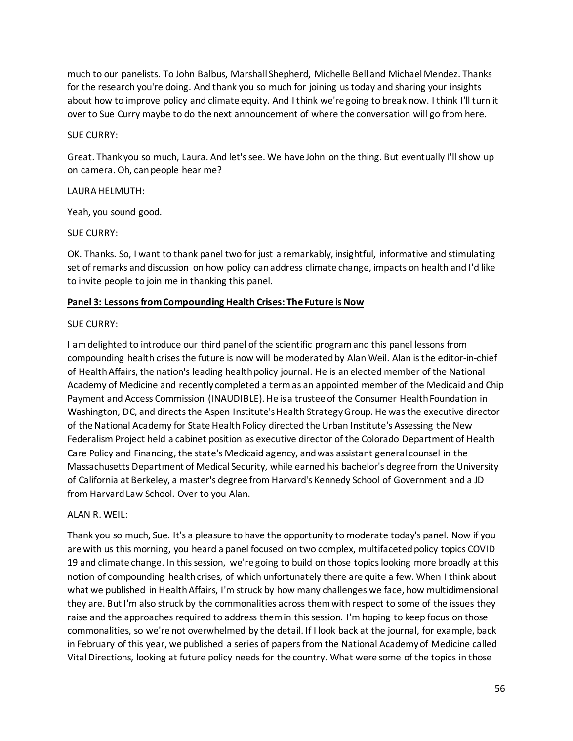much to our panelists. To John Balbus, Marshall Shepherd, Michelle Bell and Michael Mendez. Thanks for the research you're doing. And thank you so much for joining us today and sharing your insights about how to improve policy and climate equity. And I think we're going to break now. I think I'll turn it over to Sue Curry maybe to do the next announcement of where the conversation will go from here.

## SUE CURRY:

Great. Thank you so much, Laura. And let's see. We have John on the thing. But eventually I'll show up on camera. Oh, can people hear me?

## LAURA HELMUTH:

Yeah, you sound good.

## SUE CURRY:

OK. Thanks. So, I want to thank panel two for just a remarkably, insightful, informative and stimulating set of remarks and discussion on how policy can address climate change, impacts on health and I'd like to invite people to join me in thanking this panel.

# **Panel 3: Lessons from Compounding Health Crises: The Future is Now**

## SUE CURRY:

I am delighted to introduce our third panel of the scientific program and this panel lessons from compounding health crises the future is now will be moderated by Alan Weil. Alan is the editor-in-chief of Health Affairs, the nation's leading health policy journal. He is an elected member of the National Academy of Medicine and recently completed a term as an appointed member of the Medicaid and Chip Payment and Access Commission (INAUDIBLE). He is a trustee of the Consumer Health Foundation in Washington, DC, and directs the Aspen Institute's Health Strategy Group. He was the executive director of the National Academy for State Health Policy directed the Urban Institute's Assessing the New Federalism Project held a cabinet position as executive director of the Colorado Department of Health Care Policy and Financing, the state's Medicaid agency, and was assistant general counsel in the Massachusetts Department of Medical Security, while earned his bachelor's degree from the University of California at Berkeley, a master's degree from Harvard's Kennedy School of Government and a JD from Harvard Law School. Over to you Alan.

## ALAN R. WEIL:

Thank you so much, Sue. It's a pleasure to have the opportunity to moderate today's panel. Now if you are with us this morning, you heard a panel focused on two complex, multifaceted policy topics COVID 19 and climate change. In this session, we're going to build on those topics looking more broadly at this notion of compounding health crises, of which unfortunately there are quite a few. When I think about what we published in Health Affairs, I'm struck by how many challenges we face, how multidimensional they are. But I'm also struck by the commonalities across them with respect to some of the issues they raise and the approaches required to address them in this session. I'm hoping to keep focus on those commonalities, so we're not overwhelmed by the detail. If I look back at the journal, for example, back in February of this year, we published a series of papers from the National Academy of Medicine called Vital Directions, looking at future policy needs for the country. What were some of the topics in those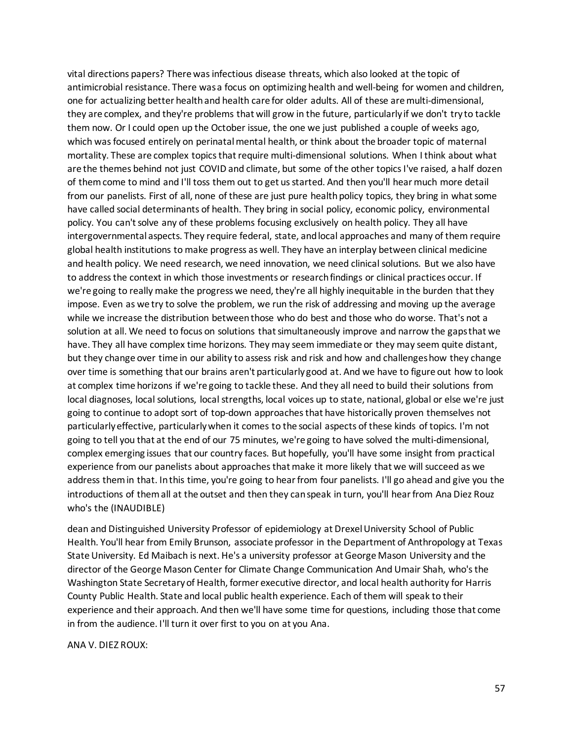vital directions papers? There was infectious disease threats, which also looked at the topic of antimicrobial resistance. There was a focus on optimizing health and well-being for women and children, one for actualizing better health and health care for older adults. All of these are multi-dimensional, they are complex, and they're problems that will grow in the future, particularly if we don't try to tackle them now. Or I could open up the October issue, the one we just published a couple of weeks ago, which was focused entirely on perinatal mental health, or think about the broader topic of maternal mortality. These are complex topics that require multi-dimensional solutions. When I think about what are the themes behind not just COVID and climate, but some of the other topics I've raised, a half dozen of them come to mind and I'll toss them out to get us started. And then you'll hear much more detail from our panelists. First of all, none of these are just pure health policy topics, they bring in what some have called social determinants of health. They bring in social policy, economic policy, environmental policy. You can't solve any of these problems focusing exclusively on health policy. They all have intergovernmental aspects. They require federal, state, and local approaches and many of them require global health institutions to make progress as well. They have an interplay between clinical medicine and health policy. We need research, we need innovation, we need clinical solutions. But we also have to address the context in which those investments or research findings or clinical practices occur. If we're going to really make the progress we need, they're all highly inequitable in the burden that they impose. Even as we try to solve the problem, we run the risk of addressing and moving up the average while we increase the distribution between those who do best and those who do worse. That's not a solution at all. We need to focus on solutions that simultaneously improve and narrow the gaps that we have. They all have complex time horizons. They may seem immediate or they may seem quite distant, but they change over time in our ability to assess risk and risk and how and challenges how they change over time is something that our brains aren't particularly good at. And we have to figure out how to look at complex time horizons if we're going to tackle these. And they all need to build their solutions from local diagnoses, local solutions, local strengths, local voices up to state, national, global or else we're just going to continue to adopt sort of top-down approachesthat have historically proven themselves not particularly effective, particularly when it comes to the social aspects of these kinds of topics. I'm not going to tell you that at the end of our 75 minutes, we're going to have solved the multi-dimensional, complex emerging issues that our country faces. But hopefully, you'll have some insight from practical experience from our panelists about approaches that make it more likely that we will succeed as we address them in that. In this time, you're going to hear from four panelists. I'll go ahead and give you the introductions of them all at the outset and then they can speak in turn, you'll hear from Ana Diez Rouz who's the (INAUDIBLE)

dean and Distinguished University Professor of epidemiology at Drexel University School of Public Health. You'll hear from Emily Brunson, associate professor in the Department of Anthropology at Texas State University. Ed Maibach is next. He's a university professor at George Mason University and the director of the George Mason Center for Climate Change Communication And Umair Shah, who's the Washington State Secretary of Health, former executive director, and local health authority for Harris County Public Health. State and local public health experience. Each of them will speak to their experience and their approach. And then we'll have some time for questions, including those that come in from the audience. I'll turn it over first to you on at you Ana.

#### ANA V. DIEZ ROUX: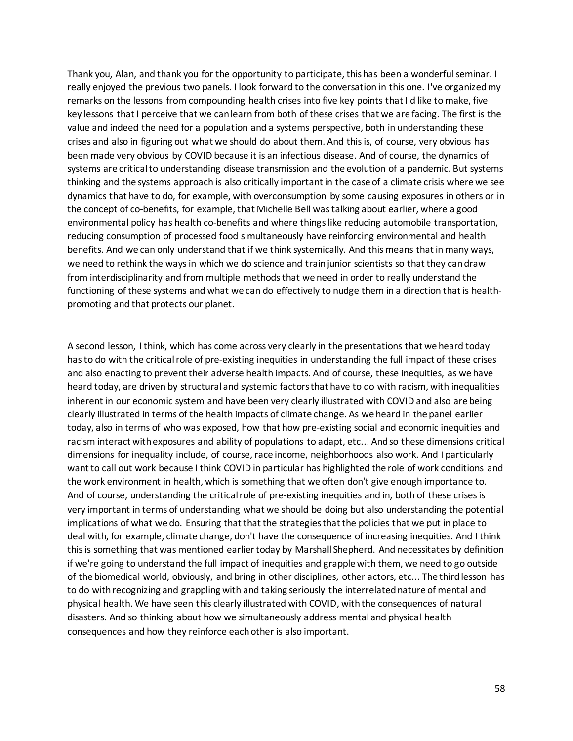Thank you, Alan, and thank you for the opportunity to participate, this has been a wonderful seminar. I really enjoyed the previous two panels. I look forward to the conversation in this one. I've organized my remarks on the lessons from compounding health crises into five key points that I'd like to make, five key lessons that I perceive that we can learn from both of these crises that we are facing. The first is the value and indeed the need for a population and a systems perspective, both in understanding these crises and also in figuring out what we should do about them. And this is, of course, very obvious has been made very obvious by COVID because it is an infectious disease. And of course, the dynamics of systems are critical to understanding disease transmission and the evolution of a pandemic. But systems thinking and the systems approach is also critically important in the case of a climate crisis where we see dynamics that have to do, for example, with overconsumption by some causing exposures in others or in the concept of co-benefits, for example, that Michelle Bell was talking about earlier, where a good environmental policy has health co-benefits and where things like reducing automobile transportation, reducing consumption of processed food simultaneously have reinforcing environmental and health benefits. And we can only understand that if we think systemically. And this means that in many ways, we need to rethink the ways in which we do science and train junior scientists so that they can draw from interdisciplinarity and from multiple methods that we need in order to really understand the functioning of these systems and what we can do effectively to nudge them in a direction that is healthpromoting and that protects our planet.

A second lesson, I think, which has come across very clearly in the presentations that we heard today has to do with the critical role of pre-existing inequities in understanding the full impact of these crises and also enacting to prevent their adverse health impacts. And of course, these inequities, as we have heard today, are driven by structural and systemic factors that have to do with racism, with inequalities inherent in our economic system and have been very clearly illustrated with COVID and also are being clearly illustrated in terms of the health impacts of climate change. As we heard in the panel earlier today, also in terms of who was exposed, how that how pre-existing social and economic inequities and racism interact with exposures and ability of populations to adapt, etc... And so these dimensions critical dimensions for inequality include, of course, race income, neighborhoods also work. And I particularly want to call out work because I think COVID in particular has highlighted the role of work conditions and the work environment in health, which is something that we often don't give enough importance to. And of course, understanding the critical role of pre-existing inequities and in, both of these crises is very important in terms of understanding what we should be doing but also understanding the potential implications of what we do. Ensuring that that the strategies that the policies that we put in place to deal with, for example, climate change, don't have the consequence of increasing inequities. And I think this is something that was mentioned earlier today by Marshall Shepherd. And necessitates by definition if we're going to understand the full impact of inequities and grapple with them, we need to go outside of the biomedical world, obviously, and bring in other disciplines, other actors, etc... The third lesson has to do with recognizing and grappling with and taking seriously the interrelated nature of mental and physical health. We have seen this clearly illustrated with COVID, with the consequences of natural disasters. And so thinking about how we simultaneously address mental and physical health consequences and how they reinforce each other is also important.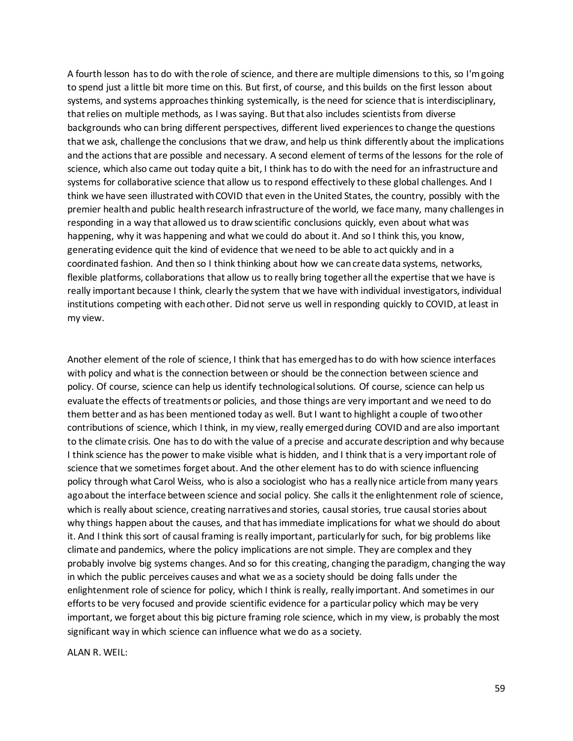A fourth lesson has to do with the role of science, and there are multiple dimensions to this, so I'm going to spend just a little bit more time on this. But first, of course, and this builds on the first lesson about systems, and systems approaches thinking systemically, is the need for science that is interdisciplinary, that relies on multiple methods, as I was saying. But that also includes scientists from diverse backgrounds who can bring different perspectives, different lived experiences to change the questions that we ask, challenge the conclusions that we draw, and help us think differently about the implications and the actions that are possible and necessary. A second element of terms of the lessons for the role of science, which also came out today quite a bit, I think has to do with the need for an infrastructure and systems for collaborative science that allow us to respond effectively to these global challenges. And I think we have seen illustrated with COVID that even in the United States, the country, possibly with the premier health and public health research infrastructure of the world, we face many, many challenges in responding in a way that allowed us to draw scientific conclusions quickly, even about what was happening, why it was happening and what we could do about it. And so I think this, you know, generating evidence quit the kind of evidence that we need to be able to act quickly and in a coordinated fashion. And then so I think thinking about how we can create data systems, networks, flexible platforms, collaborations that allow us to really bring together all the expertise that we have is really important because I think, clearly the system that we have with individual investigators, individual institutions competing with each other. Did not serve us well in responding quickly to COVID, at least in my view.

Another element of the role of science, I think that has emerged has to do with how science interfaces with policy and what is the connection between or should be the connection between science and policy. Of course, science can help us identify technological solutions. Of course, science can help us evaluate the effects of treatments or policies, and those things are very important and we need to do them better and as has been mentioned today as well. But I want to highlight a couple of two other contributions of science, which I think, in my view, really emerged during COVID and are also important to the climate crisis. One has to do with the value of a precise and accurate description and why because I think science has the power to make visible what is hidden, and I think that is a very important role of science that we sometimes forget about. And the other element has to do with science influencing policy through what Carol Weiss, who is also a sociologist who has a really nice article from many years ago about the interface between science and social policy. She calls it the enlightenment role of science, which is really about science, creating narratives and stories, causal stories, true causal stories about why things happen about the causes, and that has immediate implications for what we should do about it. And I think this sort of causal framing is really important, particularly for such, for big problems like climate and pandemics, where the policy implications are not simple. They are complex and they probably involve big systems changes. And so for this creating, changing the paradigm, changing the way in which the public perceives causes and what we as a society should be doing falls under the enlightenment role of science for policy, which I think is really, really important. And sometimes in our efforts to be very focused and provide scientific evidence for a particular policy which may be very important, we forget about this big picture framing role science, which in my view, is probably the most significant way in which science can influence what we do as a society.

ALAN R. WEIL: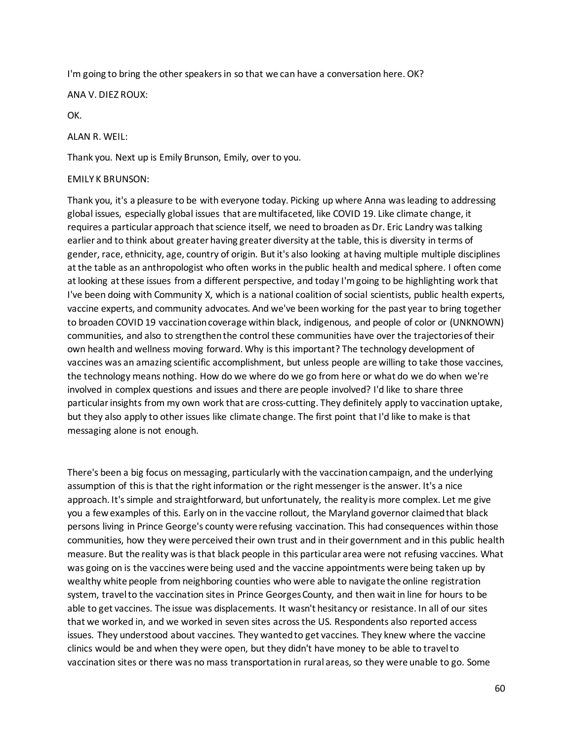I'm going to bring the other speakers in so that we can have a conversation here. OK?

ANA V. DIEZ ROUX:

OK.

ALAN R. WEIL:

Thank you. Next up is Emily Brunson, Emily, over to you.

### EMILY K BRUNSON:

Thank you, it's a pleasure to be with everyone today. Picking up where Anna was leading to addressing global issues, especially global issues that are multifaceted, like COVID 19. Like climate change, it requires a particular approach that science itself, we need to broaden as Dr. Eric Landry was talking earlier and to think about greater having greater diversity at the table, this is diversity in terms of gender, race, ethnicity, age, country of origin. But it's also looking at having multiple multiple disciplines at the table as an anthropologist who often works in the public health and medical sphere. I often come at looking at these issues from a different perspective, and today I'm going to be highlighting work that I've been doing with Community X, which is a national coalition of social scientists, public health experts, vaccine experts, and community advocates. And we've been working for the past year to bring together to broaden COVID 19 vaccination coverage within black, indigenous, and people of color or (UNKNOWN) communities, and also to strengthen the control these communities have over the trajectories of their own health and wellness moving forward. Why is this important? The technology development of vaccines was an amazing scientific accomplishment, but unless people are willing to take those vaccines, the technology means nothing. How do we where do we go from here or what do we do when we're involved in complex questions and issues and there are people involved? I'd like to share three particular insights from my own work that are cross-cutting. They definitely apply to vaccination uptake, but they also apply to other issues like climate change. The first point that I'd like to make is that messaging alone is not enough.

There's been a big focus on messaging, particularly with the vaccination campaign, and the underlying assumption of this is that the right information or the right messenger is the answer. It's a nice approach. It's simple and straightforward, but unfortunately, the reality is more complex. Let me give you a few examples of this. Early on in the vaccine rollout, the Maryland governor claimed that black persons living in Prince George's county were refusing vaccination. This had consequences within those communities, how they were perceived their own trust and in their government and in this public health measure. But the reality was is that black people in this particular area were not refusing vaccines. What was going on is the vaccines were being used and the vaccine appointments were being taken up by wealthy white people from neighboring counties who were able to navigate the online registration system, travel to the vaccination sites in Prince Georges County, and then wait in line for hours to be able to get vaccines. The issue was displacements. It wasn't hesitancy or resistance. In all of our sites that we worked in, and we worked in seven sites across the US. Respondents also reported access issues. They understood about vaccines. They wanted to get vaccines. They knew where the vaccine clinics would be and when they were open, but they didn't have money to be able to travel to vaccination sites or there was no mass transportation in rural areas, so they were unable to go. Some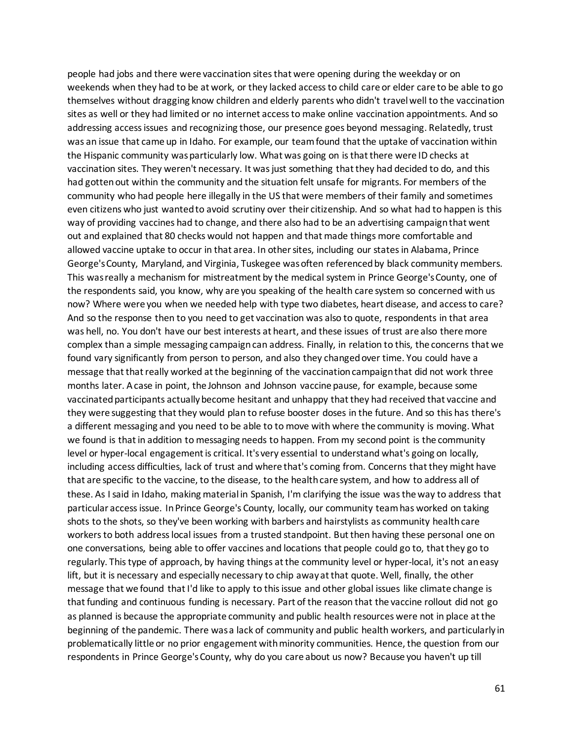people had jobs and there were vaccination sites that were opening during the weekday or on weekends when they had to be at work, or they lacked access to child care or elder care to be able to go themselves without dragging know children and elderly parents who didn't travel well to the vaccination sites as well or they had limited or no internet access to make online vaccination appointments. And so addressing access issues and recognizing those, our presence goes beyond messaging. Relatedly, trust was an issue that came up in Idaho. For example, our team found that the uptake of vaccination within the Hispanic community was particularly low. What was going on is that there were ID checks at vaccination sites. They weren't necessary. It was just something that they had decided to do, and this had gotten out within the community and the situation felt unsafe for migrants. For members of the community who had people here illegally in the US that were members of their family and sometimes even citizens who just wanted to avoid scrutiny over their citizenship. And so what had to happen is this way of providing vaccines had to change, and there also had to be an advertising campaign that went out and explained that 80 checks would not happen and that made things more comfortable and allowed vaccine uptake to occur in that area. In other sites, including our states in Alabama, Prince George's County, Maryland, and Virginia, Tuskegee was often referenced by black community members. This was really a mechanism for mistreatment by the medical system in Prince George's County, one of the respondents said, you know, why are you speaking of the health care system so concerned with us now? Where were you when we needed help with type two diabetes, heart disease, and access to care? And so the response then to you need to get vaccination was also to quote, respondents in that area was hell, no. You don't have our best interests at heart, and these issues of trust are also there more complex than a simple messaging campaign can address. Finally, in relation to this, the concerns that we found vary significantly from person to person, and also they changed over time. You could have a message that that really worked at the beginning of the vaccination campaign that did not work three months later. A case in point, the Johnson and Johnson vaccine pause, for example, because some vaccinated participants actually become hesitant and unhappy that they had received that vaccine and they were suggesting that they would plan to refuse booster doses in the future. And so this has there's a different messaging and you need to be able to to move with where the community is moving. What we found is that in addition to messaging needs to happen. From my second point is the community level or hyper-local engagement is critical. It's very essential to understand what's going on locally, including access difficulties, lack of trust and where that's coming from. Concerns that they might have that are specific to the vaccine, to the disease, to the health care system, and how to address all of these. As I said in Idaho, making material in Spanish, I'm clarifying the issue was the way to address that particular access issue. In Prince George's County, locally, our community team has worked on taking shots to the shots, so they've been working with barbers and hairstylists as community health care workers to both address local issues from a trusted standpoint. But then having these personal one on one conversations, being able to offer vaccines and locations that people could go to, that they go to regularly. This type of approach, by having things at the community level or hyper-local, it's not an easy lift, but it is necessary and especially necessary to chip away at that quote. Well, finally, the other message that we found that I'd like to apply to this issue and other global issues like climate change is that funding and continuous funding is necessary. Part of the reason that the vaccine rollout did not go as planned is because the appropriate community and public health resources were not in place at the beginning of the pandemic. There was a lack of community and public health workers, and particularly in problematically little or no prior engagement with minority communities. Hence, the question from our respondents in Prince George's County, why do you care about us now? Because you haven't up till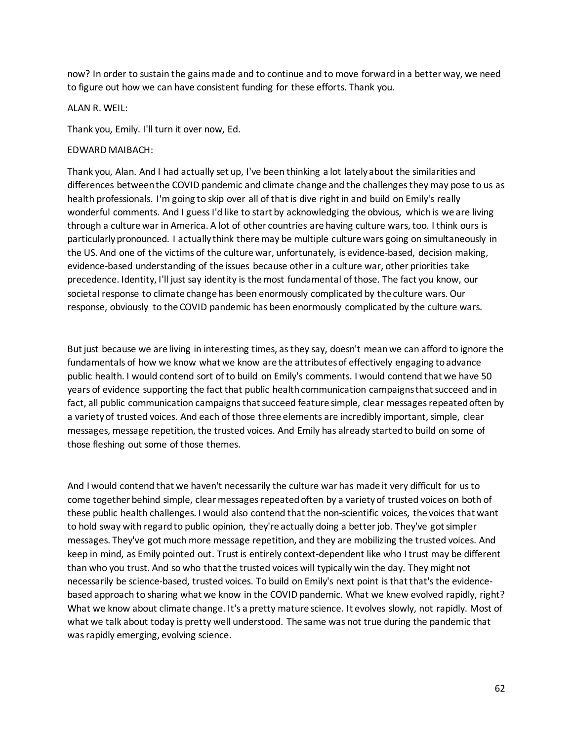now? In order to sustain the gains made and to continue and to move forward in a better way, we need to figure out how we can have consistent funding for these efforts. Thank you.

#### ALAN R. WEIL:

Thank you, Emily. I'll turn it over now, Ed.

#### EDWARD MAIBACH:

Thank you, Alan. And I had actually set up, I've been thinking a lot lately about the similarities and differences between the COVID pandemic and climate change and the challenges they may pose to us as health professionals. I'm going to skip over all of that is dive right in and build on Emily's really wonderful comments. And I guess I'd like to start by acknowledging the obvious, which is we are living through a culture war in America. A lot of other countries are having culture wars, too. I think ours is particularly pronounced. I actually think there may be multiple culture wars going on simultaneously in the US. And one of the victims of the culture war, unfortunately, is evidence-based, decision making, evidence-based understanding of the issues because other in a culture war, other priorities take precedence. Identity, I'll just say identity is the most fundamental of those. The fact you know, our societal response to climate change has been enormously complicated by the culture wars. Our response, obviously to the COVID pandemic has been enormously complicated by the culture wars.

But just because we are living in interesting times, as they say, doesn't mean we can afford to ignore the fundamentals of how we know what we know are the attributes of effectively engaging to advance public health. I would contend sort of to build on Emily's comments. I would contend that we have 50 years of evidence supporting the fact that public health communication campaigns that succeed and in fact, all public communication campaigns that succeed feature simple, clear messages repeated often by a variety of trusted voices. And each of those three elements are incredibly important, simple, clear messages, message repetition, the trusted voices. And Emily has already started to build on some of those fleshing out some of those themes.

And I would contend that we haven't necessarily the culture war has made it very difficult for us to come together behind simple, clear messages repeated often by a variety of trusted voices on both of these public health challenges. I would also contend that the non-scientific voices, the voices that want to hold sway with regard to public opinion, they're actually doing a better job. They've got simpler messages. They've got much more message repetition, and they are mobilizing the trusted voices. And keep in mind, as Emily pointed out. Trust is entirely context-dependent like who I trust may be different than who you trust. And so who that the trusted voices will typically win the day. They might not necessarily be science-based, trusted voices. To build on Emily's next point is that that's the evidencebased approach to sharing what we know in the COVID pandemic. What we knew evolved rapidly, right? What we know about climate change. It's a pretty mature science. It evolves slowly, not rapidly. Most of what we talk about today is pretty well understood. The same was not true during the pandemic that was rapidly emerging, evolving science.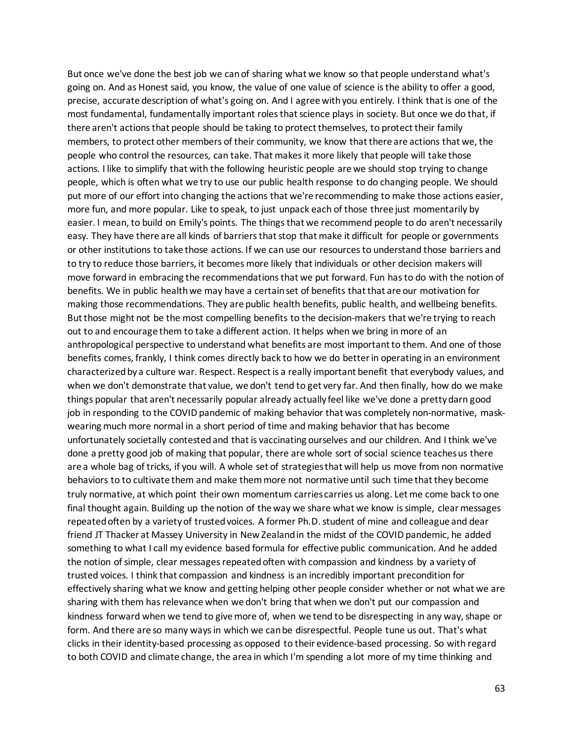But once we've done the best job we can of sharing what we know so that people understand what's going on. And as Honest said, you know, the value of one value of science is the ability to offer a good, precise, accurate description of what's going on. And I agree with you entirely. I think that is one of the most fundamental, fundamentally important roles that science plays in society. But once we do that, if there aren't actions that people should be taking to protect themselves, to protect their family members, to protect other members of their community, we know that there are actions that we, the people who control the resources, can take. That makes it more likely that people will take those actions. I like to simplify that with the following heuristic people are we should stop trying to change people, which is often what we try to use our public health response to do changing people. We should put more of our effort into changing the actions that we're recommending to make those actions easier, more fun, and more popular. Like to speak, to just unpack each of those three just momentarily by easier. I mean, to build on Emily's points. The things that we recommend people to do aren't necessarily easy. They have there are all kinds of barriers that stop that make it difficult for people or governments or other institutions to take those actions. If we can use our resources to understand those barriers and to try to reduce those barriers, it becomes more likely that individuals or other decision makers will move forward in embracing the recommendations that we put forward. Fun has to do with the notion of benefits. We in public health we may have a certain set of benefits that that are our motivation for making those recommendations. They are public health benefits, public health, and wellbeing benefits. But those might not be the most compelling benefits to the decision-makers that we're trying to reach out to and encourage them to take a different action. It helps when we bring in more of an anthropological perspective to understand what benefits are most important to them. And one of those benefits comes, frankly, I think comes directly back to how we do better in operating in an environment characterized by a culture war. Respect. Respect is a really important benefit that everybody values, and when we don't demonstrate that value, we don't tend to get very far. And then finally, how do we make things popular that aren't necessarily popular already actually feel like we've done a pretty darn good job in responding to the COVID pandemic of making behavior that was completely non-normative, maskwearing much more normal in a short period of time and making behavior that has become unfortunately societally contested and that is vaccinating ourselves and our children. And I think we've done a pretty good job of making that popular, there are whole sort of social science teaches us there are a whole bag of tricks, if you will. A whole set of strategies that will help us move from non normative behaviors to to cultivate them and make them more not normative until such time that they become truly normative, at which point their own momentum carries carries us along. Let me come back to one final thought again. Building up the notion of the way we share what we know is simple, clear messages repeated often by a variety of trusted voices. A former Ph.D. student of mine and colleague and dear friend JT Thacker at Massey University in New Zealand in the midst of the COVID pandemic, he added something to what I call my evidence based formula for effective public communication. And he added the notion of simple, clear messages repeated often with compassion and kindness by a variety of trusted voices. I think that compassion and kindness is an incredibly important precondition for effectively sharing what we know and getting helping other people consider whether or not what we are sharing with them has relevance when we don't bring that when we don't put our compassion and kindness forward when we tend to give more of, when we tend to be disrespecting in any way, shape or form. And there are so many ways in which we can be disrespectful. People tune us out. That's what clicks in their identity-based processing as opposed to their evidence-based processing. So with regard to both COVID and climate change, the area in which I'm spending a lot more of my time thinking and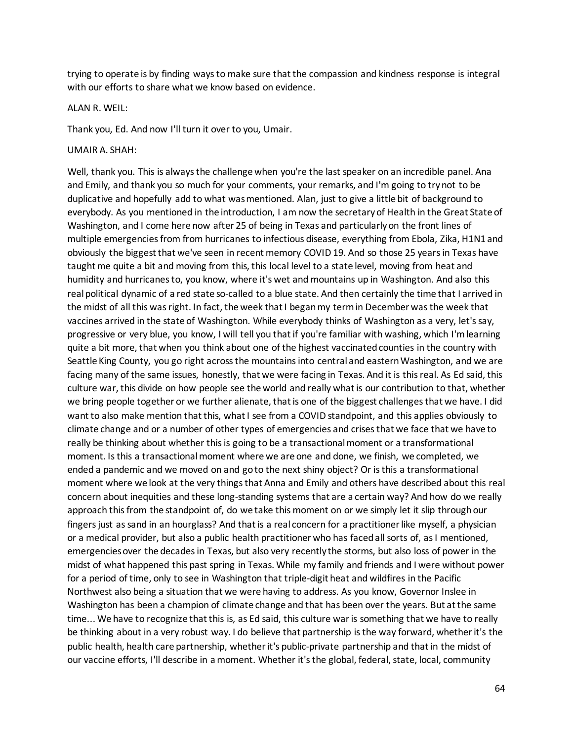trying to operate is by finding ways to make sure that the compassion and kindness response is integral with our efforts to share what we know based on evidence.

#### ALAN R. WEIL:

Thank you, Ed. And now I'll turn it over to you, Umair.

UMAIR A. SHAH:

Well, thank you. This is always the challenge when you're the last speaker on an incredible panel. Ana and Emily, and thank you so much for your comments, your remarks, and I'm going to try not to be duplicative and hopefully add to what was mentioned. Alan, just to give a little bit of background to everybody. As you mentioned in the introduction, I am now the secretary of Health in the Great State of Washington, and I come here now after 25 of being in Texas and particularly on the front lines of multiple emergencies from from hurricanes to infectious disease, everything from Ebola, Zika, H1N1 and obviously the biggest that we've seen in recent memory COVID 19. And so those 25 years in Texas have taught me quite a bit and moving from this, this local level to a state level, moving from heat and humidity and hurricanes to, you know, where it's wet and mountains up in Washington. And also this real political dynamic of a red state so-called to a blue state. And then certainly the time that I arrived in the midst of all this was right. In fact, the week that I began my term in December was the week that vaccines arrived in the state of Washington. While everybody thinks of Washington as a very, let's say, progressive or very blue, you know, I will tell you that if you're familiar with washing, which I'm learning quite a bit more, that when you think about one of the highest vaccinated counties in the country with Seattle King County, you go right across the mountains into central and eastern Washington, and we are facing many of the same issues, honestly, that we were facing in Texas. And it is this real. As Ed said, this culture war, this divide on how people see the world and really what is our contribution to that, whether we bring people together or we further alienate, that is one of the biggest challenges that we have. I did want to also make mention that this, what I see from a COVID standpoint, and this applies obviously to climate change and or a number of other types of emergencies and crises that we face that we have to really be thinking about whether this is going to be a transactional moment or a transformational moment. Is this a transactional moment where we are one and done, we finish, we completed, we ended a pandemic and we moved on and go to the next shiny object? Or is this a transformational moment where we look at the very things that Anna and Emily and others have described about this real concern about inequities and these long-standing systems that are a certain way? And how do we really approach this from the standpoint of, do we take this moment on or we simply let it slip through our fingers just as sand in an hourglass? And that is a real concern for a practitioner like myself, a physician or a medical provider, but also a public health practitioner who has faced all sorts of, as I mentioned, emergencies over the decades in Texas, but also very recently the storms, but also loss of power in the midst of what happened this past spring in Texas. While my family and friends and I were without power for a period of time, only to see in Washington that triple-digit heat and wildfires in the Pacific Northwest also being a situation that we were having to address. As you know, Governor Inslee in Washington has been a champion of climate change and that has been over the years. But at the same time... We have to recognize that this is, as Ed said, this culture war is something that we have to really be thinking about in a very robust way. I do believe that partnership is the way forward, whether it's the public health, health care partnership, whether it's public-private partnership and that in the midst of our vaccine efforts, I'll describe in a moment. Whether it's the global, federal, state, local, community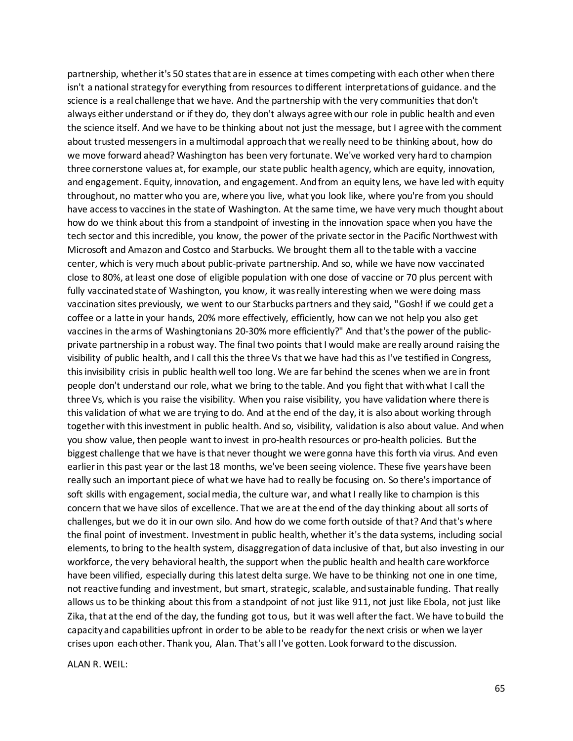partnership, whether it's 50 states that are in essence at times competing with each other when there isn't a national strategy for everything from resources to different interpretations of guidance. and the science is a real challenge that we have. And the partnership with the very communities that don't always either understand or if they do, they don't always agree with our role in public health and even the science itself. And we have to be thinking about not just the message, but I agree with the comment about trusted messengers in a multimodal approach that we really need to be thinking about, how do we move forward ahead? Washington has been very fortunate. We've worked very hard to champion three cornerstone values at, for example, our state public health agency, which are equity, innovation, and engagement. Equity, innovation, and engagement. And from an equity lens, we have led with equity throughout, no matter who you are, where you live, what you look like, where you're from you should have access to vaccines in the state of Washington. At the same time, we have very much thought about how do we think about this from a standpoint of investing in the innovation space when you have the tech sector and this incredible, you know, the power of the private sector in the Pacific Northwest with Microsoft and Amazon and Costco and Starbucks. We brought them all to the table with a vaccine center, which is very much about public-private partnership. And so, while we have now vaccinated close to 80%, at least one dose of eligible population with one dose of vaccine or 70 plus percent with fully vaccinated state of Washington, you know, it was really interesting when we were doing mass vaccination sites previously, we went to our Starbucks partners and they said, "Gosh! if we could get a coffee or a latte in your hands, 20% more effectively, efficiently, how can we not help you also get vaccines in the arms of Washingtonians 20-30% more efficiently?" And that's the power of the publicprivate partnership in a robust way. The final two points that I would make are really around raising the visibility of public health, and I call this the three Vs that we have had this as I've testified in Congress, this invisibility crisis in public health well too long. We are far behind the scenes when we are in front people don't understand our role, what we bring to the table. And you fight that with what I call the three Vs, which is you raise the visibility. When you raise visibility, you have validation where there is this validation of what we are trying to do. And at the end of the day, it is also about working through together with this investment in public health. And so, visibility, validation is also about value. And when you show value, then people want to invest in pro-health resources or pro-health policies. But the biggest challenge that we have is that never thought we were gonna have this forth via virus. And even earlier in this past year or the last 18 months, we've been seeing violence. These five years have been really such an important piece of what we have had to really be focusing on. So there's importance of soft skills with engagement, social media, the culture war, and what I really like to champion is this concern that we have silos of excellence. That we are at the end of the day thinking about all sorts of challenges, but we do it in our own silo. And how do we come forth outside of that? And that's where the final point of investment. Investment in public health, whether it's the data systems, including social elements, to bring to the health system, disaggregation of data inclusive of that, but also investing in our workforce, the very behavioral health, the support when the public health and health care workforce have been vilified, especially during this latest delta surge. We have to be thinking not one in one time, not reactive funding and investment, but smart, strategic, scalable, and sustainable funding. That really allows us to be thinking about this from a standpoint of not just like 911, not just like Ebola, not just like Zika, that at the end of the day, the funding got to us, but it was well after the fact. We have to build the capacity and capabilities upfront in order to be able to be ready for the next crisis or when we layer crises upon each other. Thank you, Alan. That's all I've gotten. Look forward to the discussion.

ALAN R. WEIL: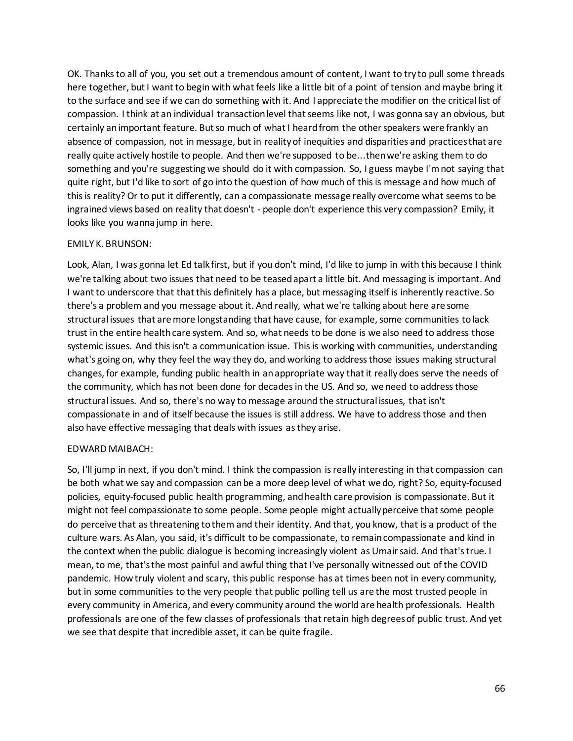OK. Thanks to all of you, you set out a tremendous amount of content, I want to try to pull some threads here together, but I want to begin with what feels like a little bit of a point of tension and maybe bring it to the surface and see if we can do something with it. And I appreciate the modifier on the critical list of compassion. I think at an individual transaction level that seems like not, I was gonna say an obvious, but certainly an important feature. But so much of what I heard from the other speakers were frankly an absence of compassion, not in message, but in reality of inequities and disparities and practices that are really quite actively hostile to people. And then we're supposed to be...then we're asking them to do something and you're suggesting we should do it with compassion. So, I guess maybe I'm not saying that quite right, but I'd like to sort of go into the question of how much of this is message and how much of this is reality? Or to put it differently, can a compassionate message really overcome what seems to be ingrained views based on reality that doesn't - people don't experience this very compassion? Emily, it looks like you wanna jump in here.

## EMILY K. BRUNSON:

Look, Alan, I was gonna let Ed talk first, but if you don't mind, I'd like to jump in with this because I think we're talking about two issues that need to be teased apart a little bit. And messaging is important. And I want to underscore that that this definitely has a place, but messaging itself is inherently reactive. So there's a problem and you message about it. And really, what we're talking about here are some structural issues that are more longstanding that have cause, for example, some communities to lack trust in the entire health care system. And so, what needs to be done is we also need to address those systemic issues. And this isn't a communication issue. This is working with communities, understanding what's going on, why they feel the way they do, and working to address those issues making structural changes, for example, funding public health in an appropriate way that it really does serve the needs of the community, which has not been done for decades in the US. And so, we need to address those structural issues. And so, there's no way to message around the structural issues, that isn't compassionate in and of itself because the issues is still address. We have to address those and then also have effective messaging that deals with issues as they arise.

### EDWARD MAIBACH:

So, I'll jump in next, if you don't mind. I think the compassion is really interesting in that compassion can be both what we say and compassion can be a more deep level of what we do, right? So, equity-focused policies, equity-focused public health programming, and health care provision is compassionate. But it might not feel compassionate to some people. Some people might actually perceive that some people do perceive that as threatening to them and their identity. And that, you know, that is a product of the culture wars. As Alan, you said, it's difficult to be compassionate, to remain compassionate and kind in the context when the public dialogue is becoming increasingly violent as Umair said. And that's true. I mean, to me, that's the most painful and awful thing that I've personally witnessed out of the COVID pandemic. How truly violent and scary, this public response has at times been not in every community, but in some communities to the very people that public polling tell us are the most trusted people in every community in America, and every community around the world are health professionals. Health professionals are one of the few classes of professionals that retain high degrees of public trust. And yet we see that despite that incredible asset, it can be quite fragile.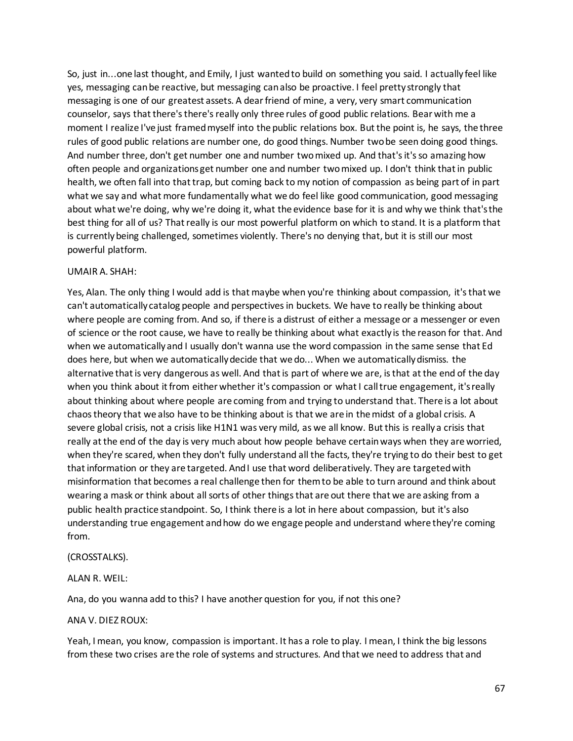So, just in...one last thought, and Emily, I just wanted to build on something you said. I actually feel like yes, messaging can be reactive, but messaging can also be proactive. I feel pretty strongly that messaging is one of our greatest assets. A dear friend of mine, a very, very smart communication counselor, says that there's there's really only three rules of good public relations. Bear with me a moment I realize I've just framed myself into the public relations box. But the point is, he says, the three rules of good public relations are number one, do good things. Number two be seen doing good things. And number three, don't get number one and number two mixed up. And that's it's so amazing how often people and organizations get number one and number two mixed up. I don't think that in public health, we often fall into that trap, but coming back to my notion of compassion as being part of in part what we say and what more fundamentally what we do feel like good communication, good messaging about what we're doing, why we're doing it, what the evidence base for it is and why we think that's the best thing for all of us? That really is our most powerful platform on which to stand. It is a platform that is currently being challenged, sometimes violently. There's no denying that, but it is still our most powerful platform.

### UMAIR A. SHAH:

Yes, Alan. The only thing I would add is that maybe when you're thinking about compassion, it's that we can't automatically catalog people and perspectives in buckets. We have to really be thinking about where people are coming from. And so, if there is a distrust of either a message or a messenger or even of science or the root cause, we have to really be thinking about what exactly is the reason for that. And when we automatically and I usually don't wanna use the word compassion in the same sense that Ed does here, but when we automatically decide that we do... When we automatically dismiss. the alternative that is very dangerous as well. And that is part of where we are, is that at the end of the day when you think about it from either whether it's compassion or what I call true engagement, it's really about thinking about where people are coming from and trying to understand that. There is a lot about chaos theory that we also have to be thinking about is that we are in the midst of a global crisis. A severe global crisis, not a crisis like H1N1 was very mild, as we all know. But this is really a crisis that really at the end of the day is very much about how people behave certain ways when they are worried, when they're scared, when they don't fully understand all the facts, they're trying to do their best to get that information or they are targeted. And I use that word deliberatively. They are targeted with misinformation that becomes a real challenge then for them to be able to turn around and think about wearing a mask or think about all sorts of other things that are out there that we are asking from a public health practice standpoint. So, I think there is a lot in here about compassion, but it's also understanding true engagement and how do we engage people and understand where they're coming from.

### (CROSSTALKS).

## ALAN R. WEIL:

Ana, do you wanna add to this? I have another question for you, if not this one?

### ANA V. DIEZ ROUX:

Yeah, I mean, you know, compassion is important. It has a role to play. I mean, I think the big lessons from these two crises are the role of systems and structures. And that we need to address that and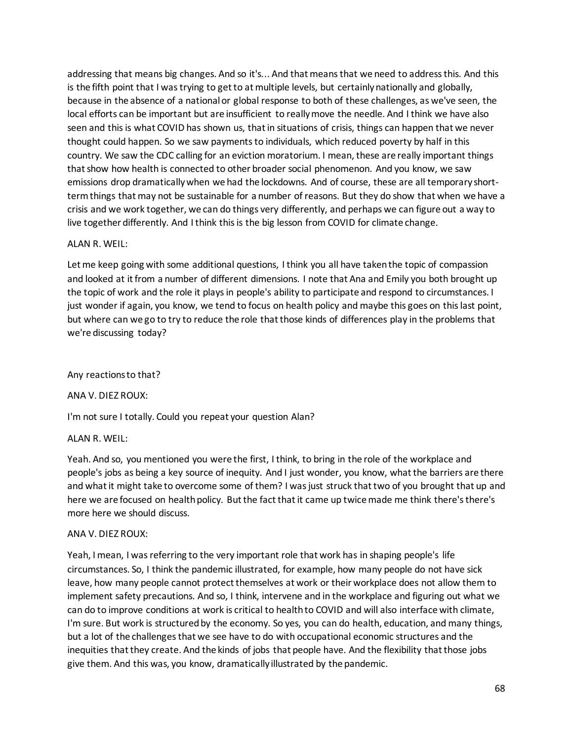addressing that means big changes. And so it's... And that means that we need to address this. And this is the fifth point that I was trying to get to at multiple levels, but certainly nationally and globally, because in the absence of a national or global response to both of these challenges, as we've seen, the local efforts can be important but are insufficient to really move the needle. And I think we have also seen and this is what COVID has shown us, that in situations of crisis, things can happen that we never thought could happen. So we saw payments to individuals, which reduced poverty by half in this country. We saw the CDC calling for an eviction moratorium. I mean, these are really important things that show how health is connected to other broader social phenomenon. And you know, we saw emissions drop dramatically when we had the lockdowns. And of course, these are all temporary shortterm things that may not be sustainable for a number of reasons. But they do show that when we have a crisis and we work together, we can do things very differently, and perhaps we can figure out a way to live together differently. And I think this is the big lesson from COVID for climate change.

### ALAN R. WEIL:

Let me keep going with some additional questions, I think you all have taken the topic of compassion and looked at it from a number of different dimensions. I note that Ana and Emily you both brought up the topic of work and the role it plays in people's ability to participate and respond to circumstances. I just wonder if again, you know, we tend to focus on health policy and maybe this goes on this last point, but where can we go to try to reduce the role that those kinds of differences play in the problems that we're discussing today?

### Any reactions to that?

ANA V. DIEZ ROUX:

I'm not sure I totally. Could you repeat your question Alan?

### ALAN R. WEIL:

Yeah. And so, you mentioned you were the first, I think, to bring in the role of the workplace and people's jobs as being a key source of inequity. And I just wonder, you know, what the barriers are there and what it might take to overcome some of them? I was just struck that two of you brought that up and here we are focused on health policy. But the fact that it came up twice made me think there's there's more here we should discuss.

### ANA V. DIEZ ROUX:

Yeah, I mean, I was referring to the very important role that work has in shaping people's life circumstances. So, I think the pandemic illustrated, for example, how many people do not have sick leave, how many people cannot protect themselves at work or their workplace does not allow them to implement safety precautions. And so, I think, intervene and in the workplace and figuring out what we can do to improve conditions at work is critical to health to COVID and will also interface with climate, I'm sure. But work is structured by the economy. So yes, you can do health, education, and many things, but a lot of the challenges that we see have to do with occupational economic structures and the inequities that they create. And the kinds of jobs that people have. And the flexibility that those jobs give them. And this was, you know, dramatically illustrated by the pandemic.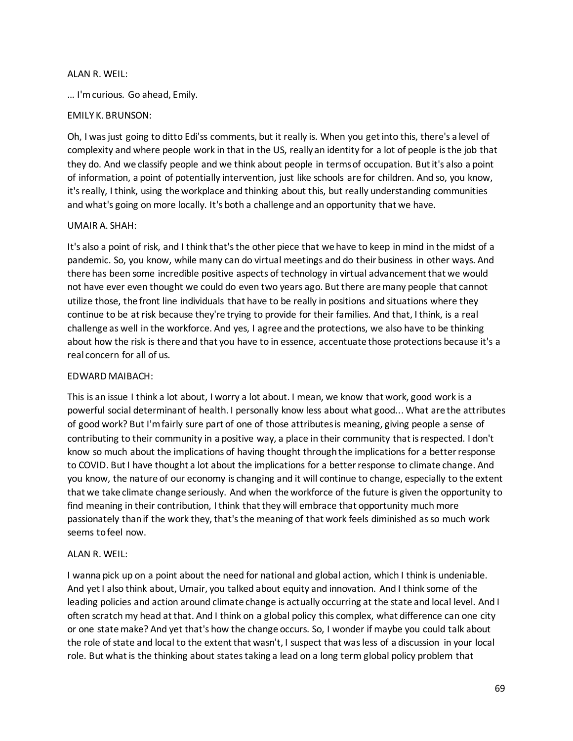## ALAN R. WEIL:

… I'm curious. Go ahead, Emily.

## EMILY K. BRUNSON:

Oh, I was just going to ditto Edi'ss comments, but it really is. When you get into this, there's a level of complexity and where people work in that in the US, really an identity for a lot of people is the job that they do. And we classify people and we think about people in terms of occupation. But it's also a point of information, a point of potentially intervention, just like schools are for children. And so, you know, it's really, I think, using the workplace and thinking about this, but really understanding communities and what's going on more locally. It's both a challenge and an opportunity that we have.

## UMAIR A. SHAH:

It's also a point of risk, and I think that's the other piece that we have to keep in mind in the midst of a pandemic. So, you know, while many can do virtual meetings and do their business in other ways. And there has been some incredible positive aspects of technology in virtual advancement that we would not have ever even thought we could do even two years ago. But there are many people that cannot utilize those, the front line individuals that have to be really in positions and situations where they continue to be at risk because they're trying to provide for their families. And that, I think, is a real challenge as well in the workforce. And yes, I agree and the protections, we also have to be thinking about how the risk is there and that you have to in essence, accentuate those protections because it's a real concern for all of us.

## EDWARD MAIBACH:

This is an issue I think a lot about, I worry a lot about. I mean, we know that work, good work is a powerful social determinant of health. I personally know less about what good... What are the attributes of good work? But I'm fairly sure part of one of those attributes is meaning, giving people a sense of contributing to their community in a positive way, a place in their community that is respected. I don't know so much about the implications of having thought through the implications for a better response to COVID. But I have thought a lot about the implications for a better response to climate change. And you know, the nature of our economy is changing and it will continue to change, especially to the extent that we take climate change seriously. And when the workforce of the future is given the opportunity to find meaning in their contribution, I think that they will embrace that opportunity much more passionately than if the work they, that's the meaning of that work feels diminished as so much work seems to feel now.

## ALAN R. WEIL:

I wanna pick up on a point about the need for national and global action, which I think is undeniable. And yet I also think about, Umair, you talked about equity and innovation. And I think some of the leading policies and action around climate change is actually occurring at the state and local level. And I often scratch my head at that. And I think on a global policy this complex, what difference can one city or one state make? And yet that's how the change occurs. So, I wonder if maybe you could talk about the role of state and local to the extent that wasn't, I suspect that was less of a discussion in your local role. But what is the thinking about states taking a lead on a long term global policy problem that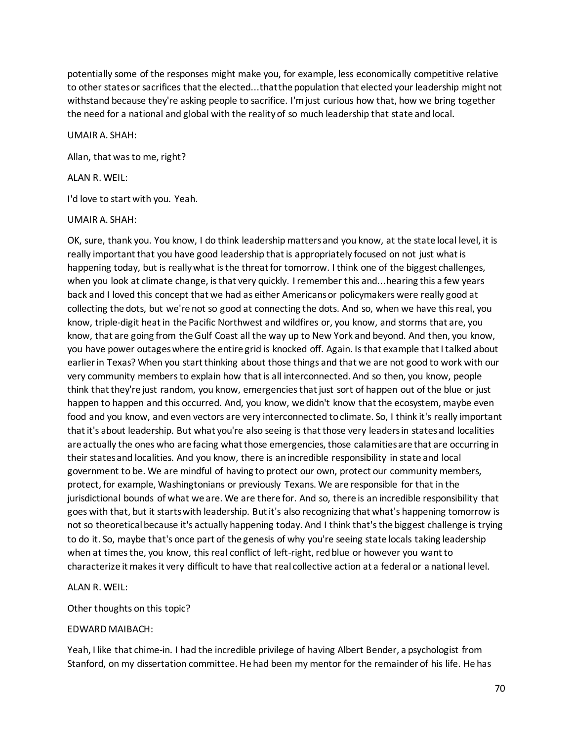potentially some of the responses might make you, for example, less economically competitive relative to other states or sacrifices that the elected...that the population that elected your leadership might not withstand because they're asking people to sacrifice. I'm just curious how that, how we bring together the need for a national and global with the reality of so much leadership that state and local.

UMAIR A. SHAH:

Allan, that was to me, right?

### ALAN R. WEIL:

I'd love to start with you. Yeah.

### UMAIR A. SHAH:

OK, sure, thank you. You know, I do think leadership matters and you know, at the state local level, it is really important that you have good leadership that is appropriately focused on not just what is happening today, but is really what is the threat for tomorrow. I think one of the biggest challenges, when you look at climate change, is that very quickly. I remember this and...hearing this a few years back and I loved this concept that we had as either Americans or policymakers were really good at collecting the dots, but we're not so good at connecting the dots. And so, when we have this real, you know, triple-digit heat in the Pacific Northwest and wildfires or, you know, and storms that are, you know, that are going from the Gulf Coast all the way up to New York and beyond. And then, you know, you have power outages where the entire grid is knocked off. Again. Is that example that I talked about earlier in Texas? When you start thinking about those things and that we are not good to work with our very community members to explain how that is all interconnected. And so then, you know, people think that they're just random, you know, emergencies that just sort of happen out of the blue or just happen to happen and this occurred. And, you know, we didn't know that the ecosystem, maybe even food and you know, and even vectors are very interconnected to climate. So, I think it's really important that it's about leadership. But what you're also seeing is that those very leaders in states and localities are actually the ones who are facing what those emergencies, those calamities are that are occurring in their states and localities. And you know, there is an incredible responsibility in state and local government to be. We are mindful of having to protect our own, protect our community members, protect, for example, Washingtonians or previously Texans. We are responsible for that in the jurisdictional bounds of what we are. We are there for. And so, there is an incredible responsibility that goes with that, but it starts with leadership. But it's also recognizing that what's happening tomorrow is not so theoretical because it's actually happening today. And I think that's the biggest challenge is trying to do it. So, maybe that's once part of the genesis of why you're seeing state locals taking leadership when at times the, you know, this real conflict of left-right, red blue or however you want to characterize it makes it very difficult to have that real collective action at a federal or a national level.

## ALAN R. WEIL:

Other thoughts on this topic?

### EDWARD MAIBACH:

Yeah, I like that chime-in. I had the incredible privilege of having Albert Bender, a psychologist from Stanford, on my dissertation committee. He had been my mentor for the remainder of his life. He has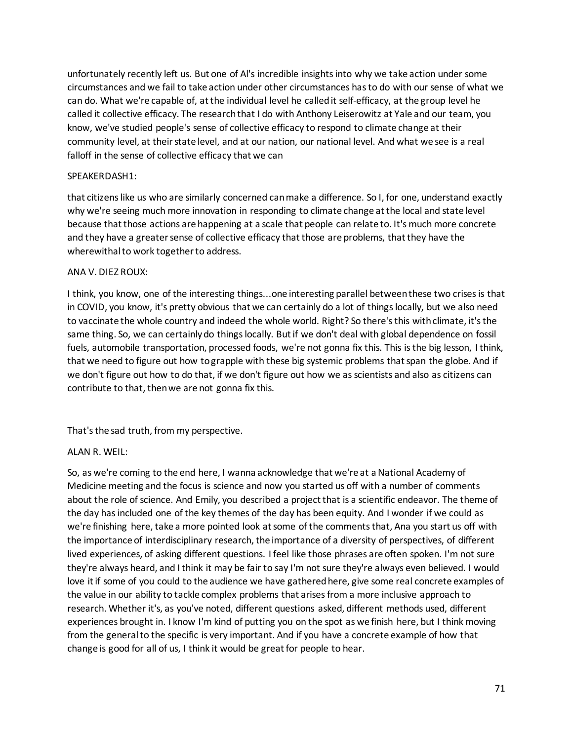unfortunately recently left us. But one of Al's incredible insights into why we take action under some circumstances and we fail to take action under other circumstances has to do with our sense of what we can do. What we're capable of, at the individual level he called it self-efficacy, at the group level he called it collective efficacy. The research that I do with Anthony Leiserowitz at Yale and our team, you know, we've studied people's sense of collective efficacy to respond to climate change at their community level, at their state level, and at our nation, our national level. And what we see is a real falloff in the sense of collective efficacy that we can

## SPEAKERDASH1:

that citizens like us who are similarly concerned can make a difference. So I, for one, understand exactly why we're seeing much more innovation in responding to climate change at the local and state level because that those actions are happening at a scale that people can relate to. It's much more concrete and they have a greater sense of collective efficacy that those are problems, that they have the wherewithal to work together to address.

## ANA V. DIEZ ROUX:

I think, you know, one of the interesting things...one interesting parallel between these two crises is that in COVID, you know, it's pretty obvious that we can certainly do a lot of things locally, but we also need to vaccinate the whole country and indeed the whole world. Right? So there's this with climate, it's the same thing. So, we can certainly do things locally. But if we don't deal with global dependence on fossil fuels, automobile transportation, processed foods, we're not gonna fix this. This is the big lesson, I think, that we need to figure out how to grapple with these big systemic problems that span the globe. And if we don't figure out how to do that, if we don't figure out how we as scientists and also as citizens can contribute to that, then we are not gonna fix this.

That's the sad truth, from my perspective.

## ALAN R. WEIL:

So, as we're coming to the end here, I wanna acknowledge that we're at a National Academy of Medicine meeting and the focus is science and now you started us off with a number of comments about the role of science. And Emily, you described a project that is a scientific endeavor. The theme of the day has included one of the key themes of the day has been equity. And I wonder if we could as we're finishing here, take a more pointed look at some of the comments that, Ana you start us off with the importance of interdisciplinary research, the importance of a diversity of perspectives, of different lived experiences, of asking different questions. I feel like those phrases are often spoken. I'm not sure they're always heard, and I think it may be fair to say I'm not sure they're always even believed. I would love it if some of you could to the audience we have gathered here, give some real concrete examples of the value in our ability to tackle complex problems that arises from a more inclusive approach to research. Whether it's, as you've noted, different questions asked, different methods used, different experiences brought in. I know I'm kind of putting you on the spot as we finish here, but I think moving from the general to the specific is very important. And if you have a concrete example of how that change is good for all of us, I think it would be great for people to hear.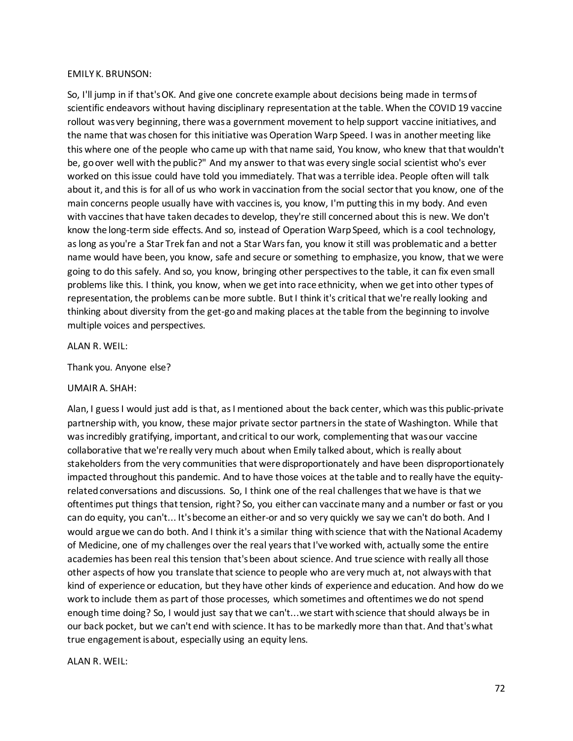### EMILY K. BRUNSON:

So, I'll jump in if that's OK. And give one concrete example about decisions being made in terms of scientific endeavors without having disciplinary representation at the table. When the COVID 19 vaccine rollout was very beginning, there was a government movement to help support vaccine initiatives, and the name that was chosen for this initiative was Operation Warp Speed. I was in another meeting like this where one of the people who came up with that name said, You know, who knew that that wouldn't be, go over well with the public?" And my answer to that was every single social scientist who's ever worked on this issue could have told you immediately. That was a terrible idea. People often will talk about it, and this is for all of us who work in vaccination from the social sector that you know, one of the main concerns people usually have with vaccines is, you know, I'm putting this in my body. And even with vaccines that have taken decades to develop, they're still concerned about this is new. We don't know the long-term side effects. And so, instead of Operation Warp Speed, which is a cool technology, as long as you're a Star Trek fan and not a Star Wars fan, you know it still was problematic and a better name would have been, you know, safe and secure or something to emphasize, you know, that we were going to do this safely. And so, you know, bringing other perspectives to the table, it can fix even small problems like this. I think, you know, when we get into race ethnicity, when we get into other types of representation, the problems can be more subtle. But I think it's critical that we're really looking and thinking about diversity from the get-go and making places at the table from the beginning to involve multiple voices and perspectives.

#### ALAN R. WEIL:

Thank you. Anyone else?

### UMAIR A. SHAH:

Alan, I guess I would just add is that, as I mentioned about the back center, which was this public-private partnership with, you know, these major private sector partners in the state of Washington. While that was incredibly gratifying, important, and critical to our work, complementing that was our vaccine collaborative that we're really very much about when Emily talked about, which is really about stakeholders from the very communities that were disproportionately and have been disproportionately impacted throughout this pandemic. And to have those voices at the table and to really have the equityrelated conversations and discussions. So, I think one of the real challenges that we have is that we oftentimes put things that tension, right? So, you either can vaccinate many and a number or fast or you can do equity, you can't... It's become an either-or and so very quickly we say we can't do both. And I would argue we can do both. And I think it's a similar thing with science that with the National Academy of Medicine, one of my challenges over the real years that I've worked with, actually some the entire academies has been real this tension that'sbeen about science. And true science with really all those other aspects of how you translate that science to people who are very much at, not always with that kind of experience or education, but they have other kinds of experience and education. And how do we work to include them as part of those processes, which sometimes and oftentimes we do not spend enough time doing? So, I would just say that we can't...we start with science that should always be in our back pocket, but we can't end with science. It has to be markedly more than that. And that's what true engagement is about, especially using an equity lens.

### ALAN R. WEIL: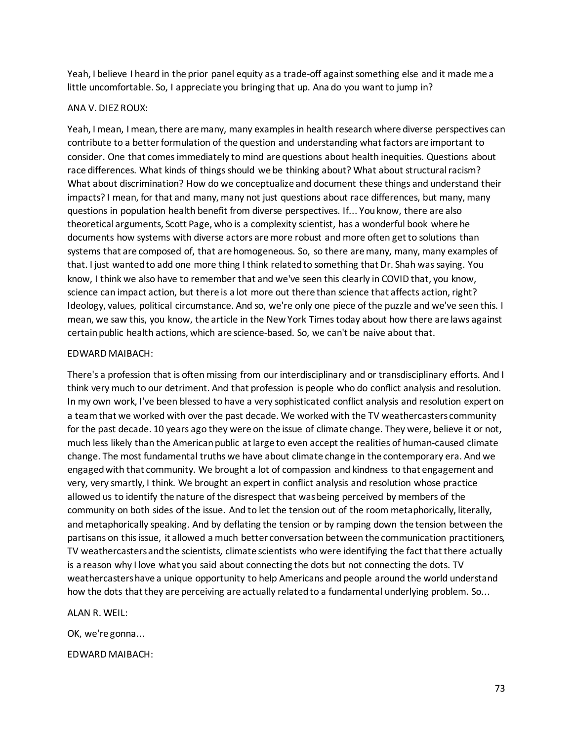Yeah, I believe I heard in the prior panel equity as a trade-off against something else and it made me a little uncomfortable. So, I appreciate you bringing that up. Ana do you want to jump in?

#### ANA V. DIEZ ROUX:

Yeah, I mean, I mean, there are many, many examples in health research where diverse perspectives can contribute to a better formulation of the question and understanding what factors are important to consider. One that comes immediately to mind are questions about health inequities. Questions about race differences. What kinds of things should we be thinking about? What about structural racism? What about discrimination? How do we conceptualize and document these things and understand their impacts? I mean, for that and many, many not just questions about race differences, but many, many questions in population health benefit from diverse perspectives. If... You know, there are also theoretical arguments, Scott Page, who is a complexity scientist, has a wonderful book where he documents how systems with diverse actors are more robust and more often get to solutions than systems that are composed of, that are homogeneous. So, so there are many, many, many examples of that. I just wanted to add one more thing I think related to something that Dr. Shah was saying. You know, I think we also have to remember that and we've seen this clearly in COVID that, you know, science can impact action, but there is a lot more out there than science that affects action, right? Ideology, values, political circumstance. And so, we're only one piece of the puzzle and we've seen this. I mean, we saw this, you know, the article in the New York Times today about how there are laws against certain public health actions, which are science-based. So, we can't be naive about that.

#### EDWARD MAIBACH:

There's a profession that is often missing from our interdisciplinary and or transdisciplinary efforts. And I think very much to our detriment. And that profession is people who do conflict analysis and resolution. In my own work, I've been blessed to have a very sophisticated conflict analysis and resolution expert on a team that we worked with over the past decade. We worked with the TV weathercasters community for the past decade. 10 years ago they were on the issue of climate change. They were, believe it or not, much less likely than the American public at large to even accept the realities of human-caused climate change. The most fundamental truths we have about climate change in the contemporary era. And we engaged with that community. We brought a lot of compassion and kindness to that engagement and very, very smartly, I think. We brought an expert in conflict analysis and resolution whose practice allowed us to identify the nature of the disrespect that was being perceived by members of the community on both sides of the issue. And to let the tension out of the room metaphorically, literally, and metaphorically speaking. And by deflating the tension or by ramping down the tension between the partisans on this issue, it allowed a much better conversation between the communication practitioners, TV weathercasters and the scientists, climate scientists who were identifying the fact that there actually is a reason why I love what you said about connecting the dots but not connecting the dots. TV weathercasters have a unique opportunity to help Americans and people around the world understand how the dots that they are perceiving are actually related to a fundamental underlying problem. So...

### ALAN R. WEIL:

OK, we're gonna...

EDWARD MAIBACH: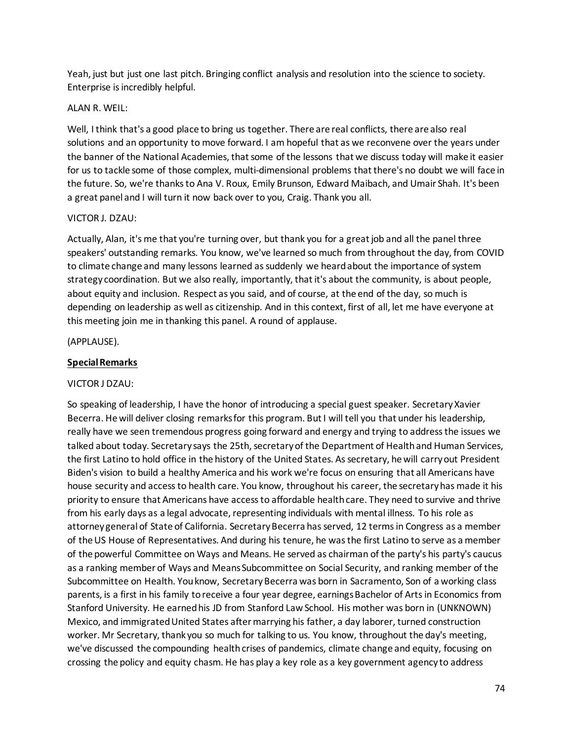Yeah, just but just one last pitch. Bringing conflict analysis and resolution into the science to society. Enterprise is incredibly helpful.

## ALAN R. WEIL:

Well, I think that's a good place to bring us together. There are real conflicts, there are also real solutions and an opportunity to move forward. I am hopeful that as we reconvene over the years under the banner of the National Academies, that some of the lessons that we discuss today will make it easier for us to tackle some of those complex, multi-dimensional problems that there's no doubt we will face in the future. So, we're thanks to Ana V. Roux, Emily Brunson, Edward Maibach, and Umair Shah. It's been a great panel and I will turn it now back over to you, Craig. Thank you all.

# VICTOR J. DZAU:

Actually, Alan, it's me that you're turning over, but thank you for a great job and all the panel three speakers' outstanding remarks. You know, we've learned so much from throughout the day, from COVID to climate change and many lessons learned as suddenly we heard about the importance of system strategy coordination. But we also really, importantly, that it's about the community, is about people, about equity and inclusion. Respect as you said, and of course, at the end of the day, so much is depending on leadership as well as citizenship. And in this context, first of all, let me have everyone at this meeting join me in thanking this panel. A round of applause.

(APPLAUSE).

# **Special Remarks**

### VICTOR J DZAU:

So speaking of leadership, I have the honor of introducing a special guest speaker. Secretary Xavier Becerra. He will deliver closing remarks for this program. But I will tell you that under his leadership, really have we seen tremendous progress going forward and energy and trying to address the issues we talked about today. Secretary says the 25th, secretary of the Department of Health and Human Services, the first Latino to hold office in the history of the United States. As secretary, he will carry out President Biden's vision to build a healthy America and his work we're focus on ensuring that all Americans have house security and access to health care. You know, throughout his career, the secretary has made it his priority to ensure that Americans have access to affordable health care. They need to survive and thrive from his early days as a legal advocate, representing individuals with mental illness. To his role as attorney general of State of California. Secretary Becerra has served, 12 terms in Congress as a member of the US House of Representatives. And during his tenure, he was the first Latino to serve as a member of the powerful Committee on Ways and Means. He served as chairman of the party's his party's caucus as a ranking member of Ways and Means Subcommittee on Social Security, and ranking member of the Subcommittee on Health. You know, Secretary Becerra was born in Sacramento, Son of a working class parents, is a first in his family to receive a four year degree, earnings Bachelor of Arts in Economics from Stanford University. He earned his JD from Stanford Law School. His mother was born in (UNKNOWN) Mexico, and immigrated United States after marrying his father, a day laborer, turned construction worker. Mr Secretary, thank you so much for talking to us. You know, throughout the day's meeting, we've discussed the compounding health crises of pandemics, climate change and equity, focusing on crossing the policy and equity chasm. He has play a key role as a key government agency to address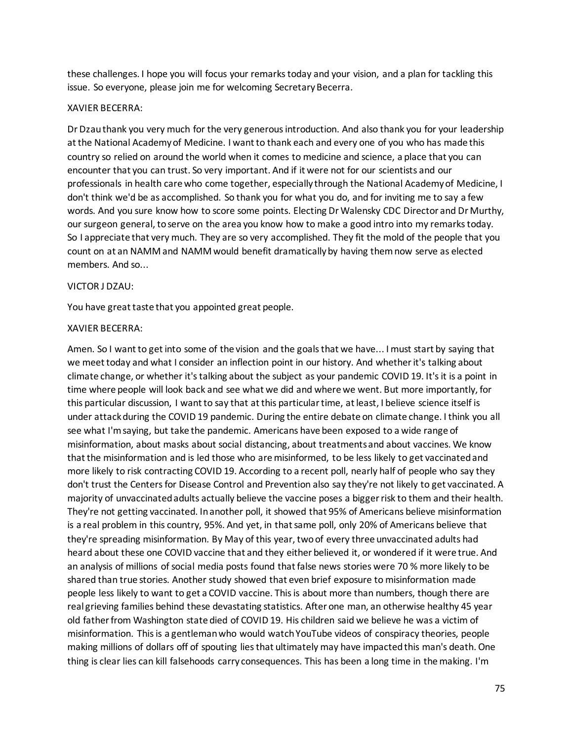these challenges. I hope you will focus your remarks today and your vision, and a plan for tackling this issue. So everyone, please join me for welcoming Secretary Becerra.

### XAVIER BECERRA:

Dr Dzau thank you very much for the very generous introduction. And also thank you for your leadership at the National Academy of Medicine. I want to thank each and every one of you who has made this country so relied on around the world when it comes to medicine and science, a place that you can encounter that you can trust. So very important. And if it were not for our scientists and our professionals in health care who come together, especially through the National Academy of Medicine, I don't think we'd be as accomplished. So thank you for what you do, and for inviting me to say a few words. And you sure know how to score some points. Electing Dr Walensky CDC Director and Dr Murthy, our surgeon general, to serve on the area you know how to make a good intro into my remarks today. So I appreciate that very much. They are so very accomplished. They fit the mold of the people that you count on at an NAMM and NAMM would benefit dramatically by having them now serve as elected members. And so...

### VICTOR J DZAU:

You have great taste that you appointed great people.

### XAVIER BECERRA:

Amen. So I want to get into some of the vision and the goals that we have... I must start by saying that we meet today and what I consider an inflection point in our history. And whetherit's talking about climate change, or whether it's talking about the subject as your pandemic COVID 19. It's it is a point in time where people will look back and see what we did and where we went. But more importantly, for this particular discussion, I want to say that at this particular time, at least, I believe science itself is under attack during the COVID 19 pandemic. During the entire debate on climate change. I think you all see what I'm saying, but take the pandemic. Americans have been exposed to a wide range of misinformation, about masks about social distancing, about treatments and about vaccines. We know that the misinformation and is led those who are misinformed, to be less likely to get vaccinated and more likely to risk contracting COVID 19. According to a recent poll, nearly half of people who say they don't trust the Centers for Disease Control and Prevention also say they're not likely to get vaccinated. A majority of unvaccinated adults actually believe the vaccine poses a bigger risk to them and their health. They're not getting vaccinated. In another poll, it showed that 95% of Americans believe misinformation is a real problem in this country, 95%. And yet, in that same poll, only 20% of Americans believe that they're spreading misinformation. By May of this year, two of every three unvaccinated adults had heard about these one COVID vaccine that and they either believed it, or wondered if it were true. And an analysis of millions of social media posts found that false news stories were 70 % more likely to be shared than true stories. Another study showed that even brief exposure to misinformation made people less likely to want to get a COVID vaccine. This is about more than numbers, though there are real grieving families behind these devastating statistics. After one man, an otherwise healthy 45 year old father from Washington state died of COVID 19. His children said we believe he was a victim of misinformation. This is a gentleman who would watch YouTube videos of conspiracy theories, people making millions of dollars off of spouting lies that ultimately may have impacted this man's death. One thing is clear lies can kill falsehoods carry consequences. This has been a long time in the making. I'm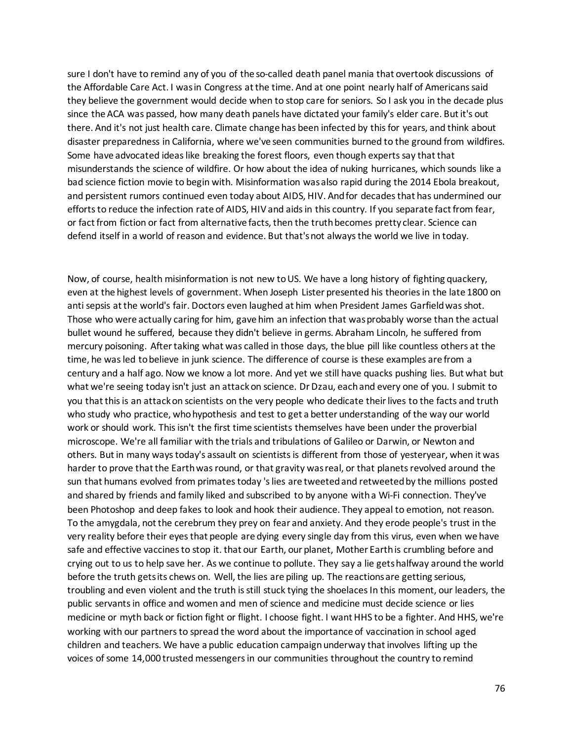sure I don't have to remind any of you of the so-called death panel mania that overtook discussions of the Affordable Care Act. I was in Congress at the time. And at one point nearly half of Americans said they believe the government would decide when to stop care for seniors. So I ask you in the decade plus since the ACA was passed, how many death panels have dictated your family's elder care. But it's out there. And it's not just health care. Climate change has been infected by this for years, and think about disaster preparedness in California, where we've seen communities burned to the ground from wildfires. Some have advocated ideas like breaking the forest floors, even though experts say that that misunderstands the science of wildfire. Or how about the idea of nuking hurricanes, which sounds like a bad science fiction movie to begin with. Misinformation was also rapid during the 2014 Ebola breakout, and persistent rumors continued even today about AIDS, HIV. And for decades that has undermined our efforts to reduce the infection rate of AIDS, HIV and aids in this country. If you separate fact from fear, or fact from fiction or fact from alternative facts, then the truth becomes pretty clear. Science can defend itself in a world of reason and evidence. But that's not always the world we live in today.

Now, of course, health misinformation is not new to US. We have a long history of fighting quackery, even at the highest levels of government. When Joseph Lister presented his theories in the late 1800 on anti sepsis at the world's fair. Doctors even laughed at him when President James Garfield was shot. Those who were actually caring for him, gave him an infection that was probably worse than the actual bullet wound he suffered, because they didn't believe in germs. Abraham Lincoln, he suffered from mercury poisoning. After taking what was called in those days, the blue pill like countless others at the time, he was led to believe in junk science. The difference of course is these examples are from a century and a half ago. Now we know a lot more. And yet we still have quacks pushing lies. But what but what we're seeing today isn't just an attack on science. Dr Dzau, each and every one of you. I submit to you that this is an attack on scientists on the very people who dedicate their lives to the facts and truth who study who practice, who hypothesis and test to get a better understanding of the way our world work or should work. This isn't the first time scientists themselves have been under the proverbial microscope. We're all familiar with the trials and tribulations of Galileo or Darwin, or Newton and others. But in many ways today's assault on scientists is different from those of yesteryear, when it was harder to prove that the Earth was round, or that gravity was real, or that planets revolved around the sun that humans evolved from primates today 's lies are tweeted and retweeted by the millions posted and shared by friends and family liked and subscribed to by anyone with a Wi-Fi connection. They've been Photoshop and deep fakes to look and hook their audience. They appeal to emotion, not reason. To the amygdala, not the cerebrum they prey on fear and anxiety. And they erode people's trust in the very reality before their eyes that people are dying every single day from this virus, even when we have safe and effective vaccines to stop it. that our Earth, our planet, Mother Earth is crumbling before and crying out to us to help save her. As we continue to pollute. They say a lie gets halfway around the world before the truth gets its chews on. Well, the lies are piling up. The reactions are getting serious, troubling and even violent and the truth is still stuck tying the shoelaces In this moment, our leaders, the public servants in office and women and men of science and medicine must decide science or lies medicine or myth back or fiction fight or flight. I choose fight. I want HHS to be a fighter. And HHS, we're working with our partners to spread the word about the importance of vaccination in school aged children and teachers. We have a public education campaign underway that involves lifting up the voices of some 14,000 trusted messengers in our communities throughout the country to remind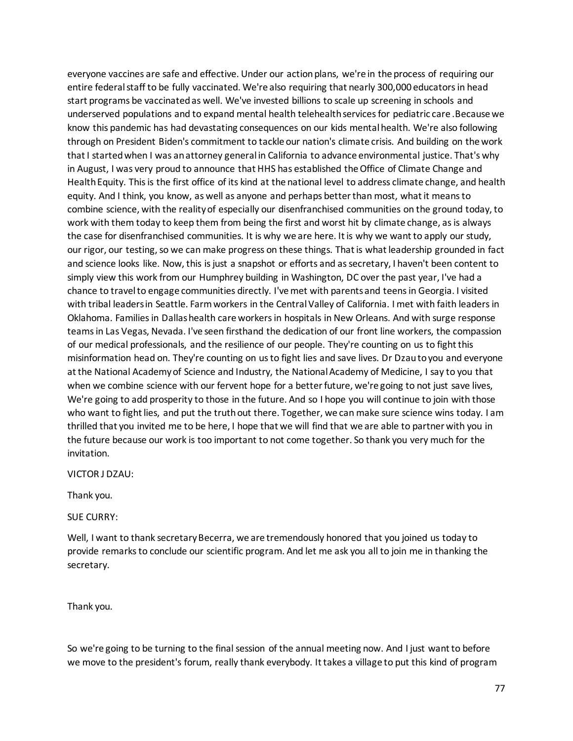everyone vaccines are safe and effective. Under our action plans, we're in the process of requiring our entire federal staff to be fully vaccinated. We're also requiring that nearly 300,000 educators in head start programs be vaccinated as well. We've invested billions to scale up screening in schools and underserved populations and to expand mental health telehealth services for pediatric care .Because we know this pandemic has had devastating consequences on our kids mental health. We're also following through on President Biden's commitment to tackle our nation's climate crisis. And building on the work that I started when I was an attorney general in California to advance environmental justice. That's why in August, I was very proud to announce that HHS has established the Office of Climate Change and Health Equity. This is the first office of its kind at the national level to address climate change, and health equity. And I think, you know, as well as anyone and perhaps better than most, what it means to combine science, with the reality of especially our disenfranchised communities on the ground today, to work with them today to keep them from being the first and worst hit by climate change, as is always the case for disenfranchised communities. It is why we are here. It is why we want to apply our study, our rigor, our testing, so we can make progress on these things. That is what leadership grounded in fact and science looks like. Now, this is just a snapshot or efforts and as secretary, I haven't been content to simply view this work from our Humphrey building in Washington, DC over the past year, I've had a chance to travel to engage communities directly. I've met with parents and teens in Georgia. I visited with tribal leaders in Seattle. Farm workers in the Central Valley of California. I met with faith leaders in Oklahoma. Families in Dallas health care workers in hospitals in New Orleans. And with surge response teams in Las Vegas, Nevada. I've seen firsthand the dedication of our front line workers, the compassion of our medical professionals, and the resilience of our people. They're counting on us to fight this misinformation head on. They're counting on us to fight lies and save lives. Dr Dzau to you and everyone at the National Academy of Science and Industry, the National Academy of Medicine, I say to you that when we combine science with our fervent hope for a better future, we're going to not just save lives, We're going to add prosperity to those in the future. And so I hope you will continue to join with those who want to fight lies, and put the truth out there. Together, we can make sure science wins today. I am thrilled that you invited me to be here, I hope that we will find that we are able to partner with you in the future because our work is too important to not come together. So thank you very much for the invitation.

VICTOR J DZAU:

Thank you.

SUE CURRY:

Well, I want to thank secretary Becerra, we are tremendously honored that you joined us today to provide remarks to conclude our scientific program. And let me ask you all to join me in thanking the secretary.

Thank you.

So we're going to be turning to the final session of the annual meeting now. And I just want to before we move to the president's forum, really thank everybody. It takes a village to put this kind of program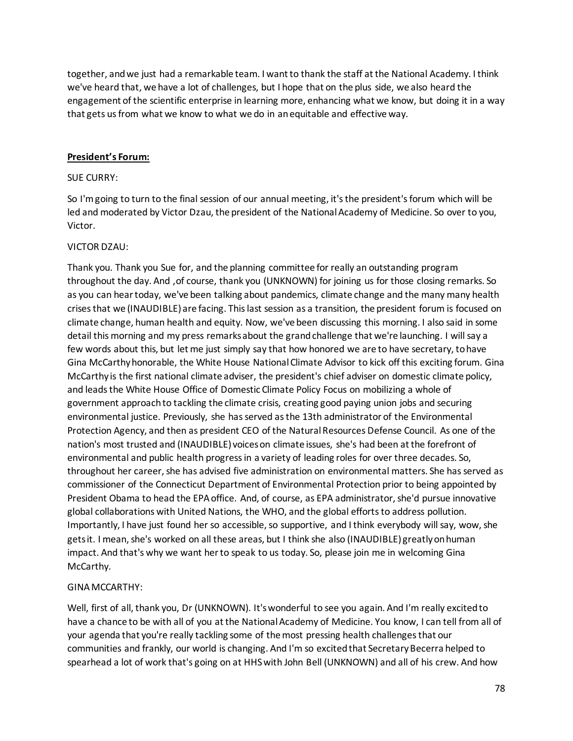together, and we just had a remarkable team. I want to thank the staff at the National Academy. I think we've heard that, we have a lot of challenges, but I hope that on the plus side, we also heard the engagement of the scientific enterprise in learning more, enhancing what we know, but doing it in a way that gets us from what we know to what we do in an equitable and effective way.

# **President's Forum:**

### SUE CURRY:

So I'm going to turn to the final session of our annual meeting, it's the president's forum which will be led and moderated by Victor Dzau, the president of the National Academy of Medicine. So over to you, Victor.

# VICTOR DZAU:

Thank you. Thank you Sue for, and the planning committee for really an outstanding program throughout the day. And ,of course, thank you (UNKNOWN) for joining us for those closing remarks. So as you can hear today, we've been talking about pandemics, climate change and the many many health crises that we (INAUDIBLE) are facing. This last session as a transition, the president forum is focused on climate change, human health and equity. Now, we've been discussing this morning. I also said in some detail this morning and my press remarks about the grand challenge that we're launching. I will say a few words about this, but let me just simply say that how honored we are to have secretary, to have Gina McCarthy honorable, the White House National Climate Advisor to kick off this exciting forum. Gina McCarthy is the first national climate adviser, the president's chief adviser on domestic climate policy, and leads the White House Office of Domestic Climate Policy Focus on mobilizing a whole of government approach to tackling the climate crisis, creating good paying union jobs and securing environmental justice. Previously, she has served as the 13th administrator of the Environmental Protection Agency, and then as president CEO of the Natural Resources Defense Council. As one of the nation's most trusted and (INAUDIBLE) voices on climate issues, she's had been at the forefront of environmental and public health progress in a variety of leading roles for over three decades. So, throughout her career, she has advised five administration on environmental matters. She has served as commissioner of the Connecticut Department of Environmental Protection prior to being appointed by President Obama to head the EPA office. And, of course, as EPA administrator, she'd pursue innovative global collaborations with United Nations, the WHO, and the global efforts to address pollution. Importantly, I have just found her so accessible, so supportive, and I think everybody will say, wow, she gets it. I mean, she's worked on all these areas, but I think she also (INAUDIBLE) greatly on human impact. And that's why we want her to speak to us today. So, please join me in welcoming Gina McCarthy.

# GINA MCCARTHY:

Well, first of all, thank you, Dr (UNKNOWN). It's wonderful to see you again. And I'm really excited to have a chance to be with all of you at the National Academy of Medicine. You know, I can tell from all of your agenda that you're really tackling some of the most pressing health challenges that our communities and frankly, our world is changing. And I'm so excited that Secretary Becerra helped to spearhead a lot of work that's going on at HHS with John Bell (UNKNOWN) and all of his crew. And how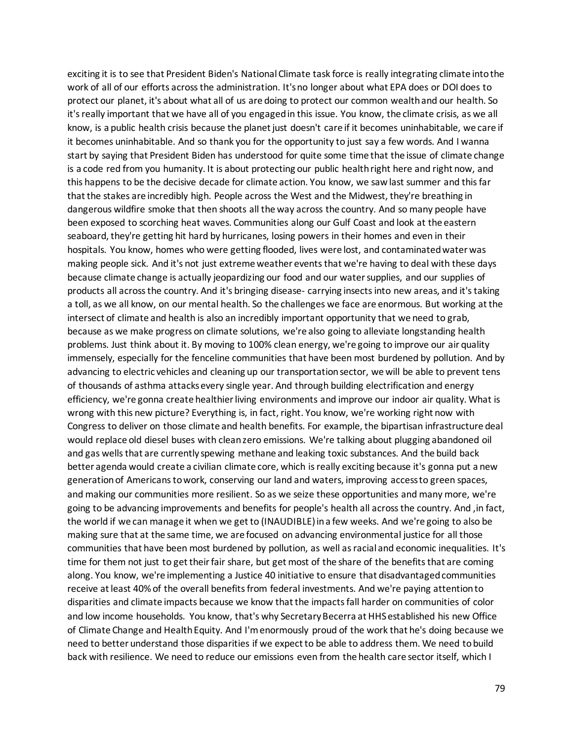exciting it is to see that President Biden's National Climate task force is really integrating climate into the work of all of our efforts across the administration. It's no longer about what EPA does or DOI does to protect our planet, it's about what all of us are doing to protect our common wealth and our health. So it's really important that we have all of you engaged in this issue. You know, the climate crisis, as we all know, is a public health crisis because the planet just doesn't care if it becomes uninhabitable, we care if it becomes uninhabitable. And so thank you for the opportunity to just say a few words. And I wanna start by saying that President Biden has understood for quite some time that the issue of climate change is a code red from you humanity. It is about protecting our public health right here and right now, and this happens to be the decisive decade for climate action. You know, we saw last summer and this far that the stakes are incredibly high. People across the West and the Midwest, they're breathing in dangerous wildfire smoke that then shoots all the way across the country. And so many people have been exposed to scorching heat waves. Communities along our Gulf Coast and look at the eastern seaboard, they're getting hit hard by hurricanes, losing powers in their homes and even in their hospitals. You know, homes who were getting flooded, lives were lost, and contaminated water was making people sick. And it's not just extreme weather events that we're having to deal with these days because climate change is actually jeopardizing our food and our water supplies, and our supplies of products all across the country. And it's bringing disease- carrying insects into new areas, and it's taking a toll, as we all know, on our mental health. So the challenges we face are enormous. But working at the intersect of climate and health is also an incredibly important opportunity that we need to grab, because as we make progress on climate solutions, we're also going to alleviate longstanding health problems. Just think about it. By moving to 100% clean energy, we're going to improve our air quality immensely, especially for the fenceline communities that have been most burdened by pollution. And by advancing to electric vehicles and cleaning up our transportation sector, we will be able to prevent tens of thousands of asthma attacks every single year. And through building electrification and energy efficiency, we're gonna create healthier living environments and improve our indoor air quality. What is wrong with this new picture? Everything is, in fact, right. You know, we're working right now with Congress to deliver on those climate and health benefits. For example, the bipartisan infrastructure deal would replace old diesel buses with clean zero emissions. We're talking about plugging abandoned oil and gas wells that are currently spewing methane and leaking toxic substances. And the build back better agenda would create a civilian climate core, which is really exciting because it's gonna put a new generation of Americans to work, conserving our land and waters, improving access to green spaces, and making our communities more resilient. So as we seize these opportunities and many more, we're going to be advancing improvements and benefits for people's health all across the country. And ,in fact, the world if we can manage it when we get to (INAUDIBLE) in a few weeks. And we're going to also be making sure that at the same time, we are focused on advancing environmental justice for all those communities that have been most burdened by pollution, as well as racial and economic inequalities. It's time for them not just to get their fair share, but get most of the share of the benefits that are coming along. You know, we're implementing a Justice 40 initiative to ensure that disadvantaged communities receive at least 40% of the overall benefits from federal investments. And we're paying attention to disparities and climate impacts because we know that the impacts fall harder on communities of color and low income households. You know, that's why Secretary Becerra at HHS established his new Office of Climate Change and Health Equity. And I'm enormously proud of the work that he's doing because we need to better understand those disparities if we expect to be able to address them. We need to build back with resilience. We need to reduce our emissions even from the health care sector itself, which I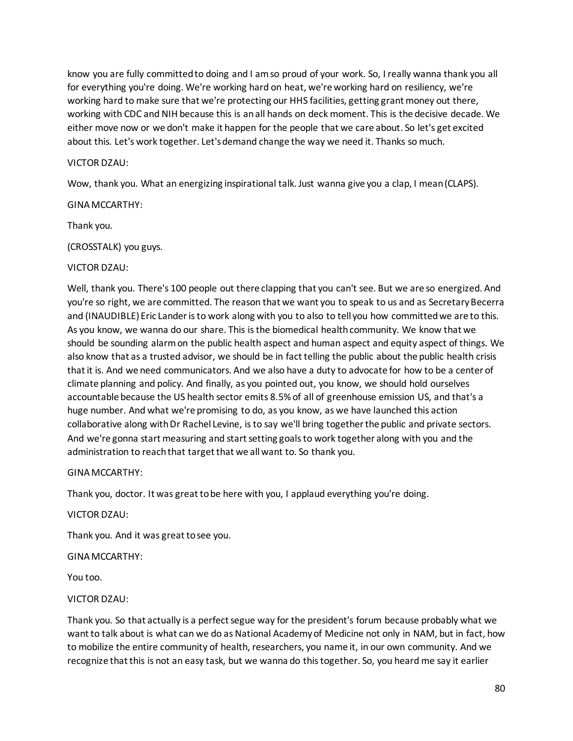know you are fully committed to doing and I am so proud of your work. So, I really wanna thank you all for everything you're doing. We're working hard on heat, we're working hard on resiliency, we're working hard to make sure that we're protecting our HHS facilities, getting grant money out there, working with CDC and NIH because this is an all hands on deck moment. This is the decisive decade. We either move now or we don't make it happen for the people that we care about. So let's get excited about this. Let's work together. Let's demand change the way we need it. Thanks so much.

## VICTOR DZAU:

Wow, thank you. What an energizing inspirational talk. Just wanna give you a clap, I mean (CLAPS).

# GINA MCCARTHY:

Thank you.

(CROSSTALK) you guys.

# VICTOR DZAU:

Well, thank you. There's 100 people out there clapping that you can't see. But we are so energized. And you're so right, we are committed. The reason that we want you to speak to us and as Secretary Becerra and (INAUDIBLE) Eric Lander is to work along with you to also to tell you how committed we are to this. As you know, we wanna do our share. This is the biomedical health community. We know that we should be sounding alarm on the public health aspect and human aspect and equity aspect of things. We also know that as a trusted advisor, we should be in fact telling the public about the public health crisis that it is. And we need communicators. And we also have a duty to advocate for how to be a center of climate planning and policy. And finally, as you pointed out, you know, we should hold ourselves accountable because the US health sector emits 8.5% of all of greenhouse emission US, and that's a huge number. And what we're promising to do, as you know, as we have launched this action collaborative along with Dr Rachel Levine, is to say we'll bring together the public and private sectors. And we're gonna start measuring and start setting goals to work together along with you and the administration to reach that target that we all want to. So thank you.

### GINA MCCARTHY:

Thank you, doctor. It was great to be here with you, I applaud everything you're doing.

### VICTOR DZAU:

Thank you. And it was great to see you.

### GINA MCCARTHY:

You too.

# VICTOR DZAU:

Thank you. So that actually is a perfect segue way for the president's forum because probably what we want to talk about is what can we do as National Academy of Medicine not only in NAM, but in fact, how to mobilize the entire community of health, researchers, you name it, in our own community. And we recognize that this is not an easy task, but we wanna do this together. So, you heard me say it earlier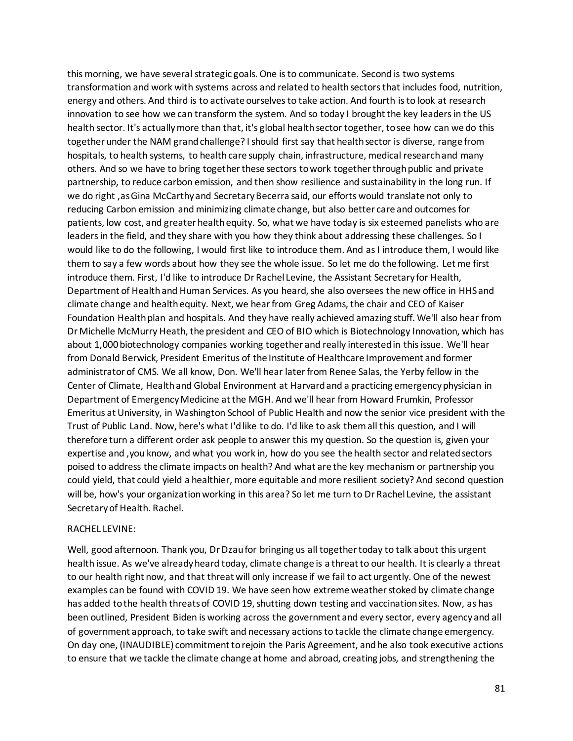this morning, we have several strategic goals. One is to communicate. Second is two systems transformation and work with systems across and related to health sectors that includes food, nutrition, energy and others. And third is to activate ourselves to take action. And fourth is to look at research innovation to see how we can transform the system. And so today I brought the key leaders in the US health sector. It's actually more than that, it's global health sector together, to see how can we do this together under the NAM grand challenge? I should first say that health sector is diverse, range from hospitals, to health systems, to health care supply chain, infrastructure, medical research and many others. And so we have to bring together these sectors to work together through public and private partnership, to reduce carbon emission, and then show resilience and sustainability in the long run. If we do right ,as Gina McCarthy and Secretary Becerra said, our efforts would translate not only to reducing Carbon emission and minimizing climate change, but also better care and outcomes for patients, low cost, and greater health equity. So, what we have today is six esteemed panelists who are leaders in the field, and they share with you how they think about addressing these challenges. So I would like to do the following, I would first like to introduce them. And as I introduce them, I would like them to say a few words about how they see the whole issue. So let me do the following. Let me first introduce them. First, I'd like to introduce Dr Rachel Levine, the Assistant Secretary for Health, Department of Health and Human Services. As you heard, she also oversees the new office in HHS and climate change and health equity. Next, we hear from Greg Adams, the chair and CEO of Kaiser Foundation Health plan and hospitals. And they have really achieved amazing stuff. We'll also hear from Dr Michelle McMurry Heath, the president and CEO of BIO which is Biotechnology Innovation, which has about 1,000 biotechnology companies working together and really interested in this issue. We'll hear from Donald Berwick, President Emeritus of the Institute of Healthcare Improvement and former administrator of CMS. We all know, Don. We'll hear later from Renee Salas, the Yerby fellow in the Center of Climate, Health and Global Environment at Harvard and a practicing emergency physician in Department of Emergency Medicine at the MGH. And we'll hear from Howard Frumkin, Professor Emeritus at University, in Washington School of Public Health and now the senior vice president with the Trust of Public Land. Now, here's what I'd like to do. I'd like to ask them all this question, and I will therefore turn a different order ask people to answer this my question. So the question is, given your expertise and ,you know, and what you work in, how do you see the health sector and related sectors poised to address the climate impacts on health? And what are the key mechanism or partnership you could yield, that could yield a healthier, more equitable and more resilient society? And second question will be, how's your organization working in this area? So let me turn to Dr Rachel Levine, the assistant Secretary of Health. Rachel.

#### RACHEL LEVINE:

Well, good afternoon. Thank you, Dr Dzau for bringing us all together today to talk about this urgent health issue. As we've already heard today, climate change is a threat to our health. It is clearly a threat to our health right now, and that threat will only increase if we fail to act urgently. One of the newest examples can be found with COVID 19. We have seen how extreme weather stoked by climate change has added to the health threats of COVID 19, shutting down testing and vaccination sites. Now, as has been outlined, President Biden is working across the government and every sector, every agency and all of government approach, to take swift and necessary actions to tackle the climate change emergency. On day one, (INAUDIBLE) commitment to rejoin the Paris Agreement, and he also took executive actions to ensure that we tackle the climate change at home and abroad, creating jobs, and strengthening the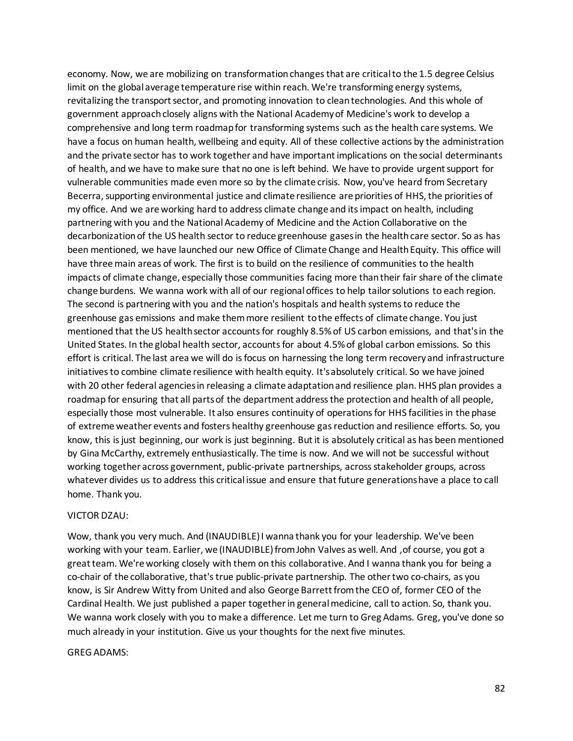economy. Now, we are mobilizing on transformation changes that are critical to the 1.5 degree Celsius limit on the global average temperature rise within reach. We're transforming energy systems, revitalizing the transport sector, and promoting innovation to clean technologies. And this whole of government approach closely aligns with the National Academy of Medicine's work to develop a comprehensive and long term roadmap for transforming systems such as the health care systems. We have a focus on human health, wellbeing and equity. All of these collective actions by the administration and the private sector has to work together and have important implications on the social determinants of health, and we have to make sure that no one is left behind. We have to provide urgent support for vulnerable communities made even more so by the climate crisis. Now, you've heard from Secretary Becerra, supporting environmental justice and climate resilience are priorities of HHS, the priorities of my office. And we are working hard to address climate change and its impact on health, including partnering with you and the National Academy of Medicine and the Action Collaborative on the decarbonization of the US health sector to reduce greenhouse gases in the health care sector. So as has been mentioned, we have launched our new Office of Climate Change and Health Equity. This office will have three main areas of work. The first is to build on the resilience of communities to the health impacts of climate change, especially those communities facing more than their fair share of the climate change burdens. We wanna work with all of our regional offices to help tailor solutions to each region. The second is partnering with you and the nation's hospitals and health systems to reduce the greenhouse gas emissions and make them more resilient to the effects of climate change. You just mentioned that the US health sector accounts for roughly 8.5% of US carbon emissions, and that's in the United States. In the global health sector, accounts for about 4.5% of global carbon emissions. So this effort is critical. The last area we will do is focus on harnessing the long term recovery and infrastructure initiatives to combine climate resilience with health equity. It's absolutely critical. So we have joined with 20 other federal agencies in releasing a climate adaptation and resilience plan. HHS plan provides a roadmap for ensuring that all parts of the department address the protection and health of all people, especially those most vulnerable. It also ensures continuity of operations for HHS facilities in the phase of extreme weather events and fosters healthy greenhouse gas reduction and resilience efforts. So, you know, this is just beginning, our work is just beginning. But it is absolutely critical as has been mentioned by Gina McCarthy, extremely enthusiastically. The time is now. And we will not be successful without working together across government, public-private partnerships, across stakeholder groups, across whatever divides us to address this critical issue and ensure that future generations have a place to call home. Thank you.

#### VICTOR DZAU:

Wow, thank you very much. And (INAUDIBLE) I wanna thank you for your leadership. We've been working with your team. Earlier, we (INAUDIBLE) from John Valves as well. And , of course, you got a great team. We're working closely with them on this collaborative. And I wanna thank you for being a co-chair of the collaborative, that's true public-private partnership. The other two co-chairs, as you know, is Sir Andrew Witty from United and also George Barrett from the CEO of, former CEO of the Cardinal Health. We just published a paper together in general medicine, call to action. So, thank you. We wanna work closely with you to make a difference. Let me turn to Greg Adams. Greg, you've done so much already in your institution. Give us your thoughts for the next five minutes.

#### GREG ADAMS: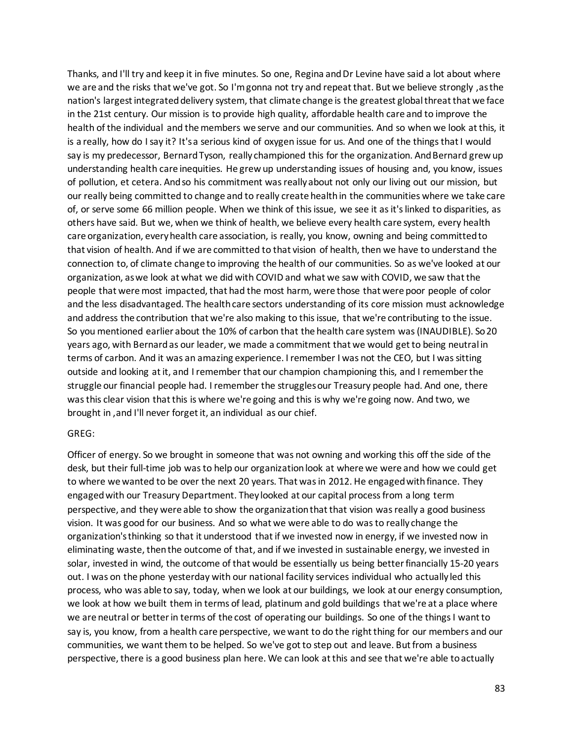Thanks, and I'll try and keep it in five minutes. So one, Regina and Dr Levine have said a lot about where we are and the risks that we've got. So I'm gonna not try and repeat that. But we believe strongly, as the nation's largest integrated delivery system, that climate change is the greatest global threat that we face in the 21st century. Our mission is to provide high quality, affordable health care and to improve the health of the individual and the members we serve and our communities. And so when we look at this, it is a really, how do I say it? It's a serious kind of oxygen issue for us. And one of the things that I would say is my predecessor, Bernard Tyson, really championed this for the organization. And Bernard grew up understanding health care inequities. He grew up understanding issues of housing and, you know, issues of pollution, et cetera. And so his commitment was really about not only our living out our mission, but our really being committed to change and to really create health in the communities where we take care of, or serve some 66 million people. When we think of this issue, we see it as it's linked to disparities, as others have said. But we, when we think of health, we believe every health care system, every health care organization, every health care association, is really, you know, owning and being committed to that vision of health. And if we are committed to that vision of health, then we have to understand the connection to, of climate change to improving the health of our communities. So as we've looked at our organization, as we look at what we did with COVID and what we saw with COVID, we saw that the people that were most impacted, that had the most harm, were those that were poor people of color and the less disadvantaged. The health care sectors understanding of its core mission must acknowledge and address the contribution that we're also making to this issue, that we're contributing to the issue. So you mentioned earlier about the 10% of carbon that the health care system was (INAUDIBLE). So 20 years ago, with Bernard as our leader, we made a commitment that we would get to being neutral in terms of carbon. And it was an amazing experience. I remember I was not the CEO, but I was sitting outside and looking at it, and I remember that our champion championing this, and I remember the struggle our financial people had. I remember the struggles our Treasury people had. And one, there was this clear vision that this is where we're going and this is why we're going now. And two, we brought in ,and I'll never forget it, an individual as our chief.

#### GREG:

Officer of energy. So we brought in someone that was not owning and working this off the side of the desk, but their full-time job was to help our organization look at where we were and how we could get to where we wanted to be over the next 20 years. That was in 2012. He engaged with finance. They engaged with our Treasury Department. They looked at our capital process from a long term perspective, and they were able to show the organization that that vision was really a good business vision. It was good for our business. And so what we were able to do was to really change the organization's thinking so that it understood that if we invested now in energy, if we invested now in eliminating waste, then the outcome of that, and if we invested in sustainable energy, we invested in solar, invested in wind, the outcome of that would be essentially us being better financially 15-20 years out. I was on the phone yesterday with our national facility services individual who actually led this process, who was able to say, today, when we look at our buildings, we look at our energy consumption, we look at how we built them in terms of lead, platinum and gold buildings that we're at a place where we are neutral or better in terms of the cost of operating our buildings. So one of the things I want to say is, you know, from a health care perspective, we want to do the right thing for our members and our communities, we want them to be helped. So we've got to step out and leave. But from a business perspective, there is a good business plan here. We can look at this and see that we're able to actually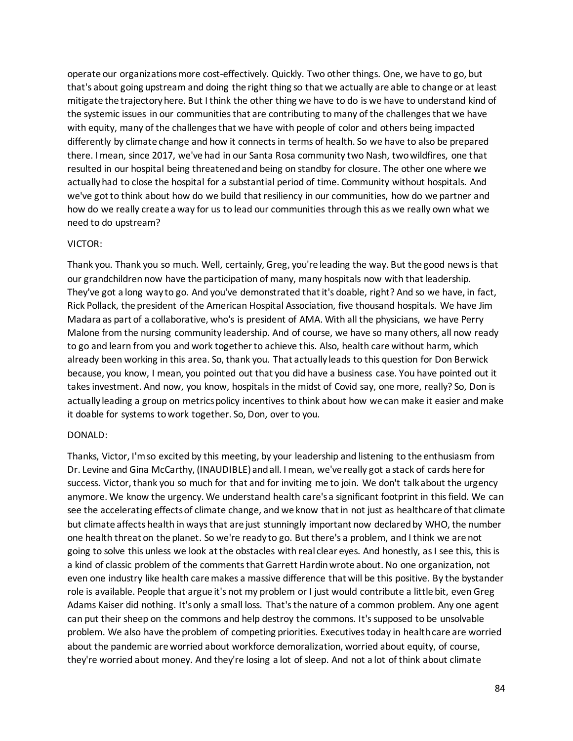operate our organizations more cost-effectively. Quickly. Two other things. One, we have to go, but that's about going upstream and doing the right thing so that we actually are able to change or at least mitigate the trajectory here. But I think the other thing we have to do is we have to understand kind of the systemic issues in our communities that are contributing to many of the challenges that we have with equity, many of the challenges that we have with people of color and others being impacted differently by climate change and how it connects in terms of health. So we have to also be prepared there. I mean, since 2017, we've had in our Santa Rosa community two Nash, two wildfires, one that resulted in our hospital being threatened and being on standby for closure. The other one where we actually had to close the hospital for a substantial period of time. Community without hospitals. And we've got to think about how do we build that resiliency in our communities, how do we partner and how do we really create a way for us to lead our communities through this as we really own what we need to do upstream?

#### VICTOR:

Thank you. Thank you so much. Well, certainly, Greg, you're leading the way. But the good news is that our grandchildren now have the participation of many, many hospitals now with that leadership. They've got a long way to go. And you've demonstrated that it's doable, right? And so we have, in fact, Rick Pollack, the president of the American Hospital Association, five thousand hospitals. We have Jim Madara as part of a collaborative, who's is president of AMA. With all the physicians, we have Perry Malone from the nursing community leadership. And of course, we have so many others, all now ready to go and learn from you and work together to achieve this. Also, health care without harm, which already been working in this area. So, thank you. That actually leads to this question for Don Berwick because, you know, I mean, you pointed out that you did have a business case. You have pointed out it takes investment. And now, you know, hospitals in the midst of Covid say, one more, really? So, Don is actually leading a group on metrics policy incentives to think about how we can make it easier and make it doable for systems to work together. So, Don, over to you.

### DONALD:

Thanks, Victor, I'm so excited by this meeting, by your leadership and listening to the enthusiasm from Dr. Levine and Gina McCarthy, (INAUDIBLE) and all. I mean, we've really got a stack of cards here for success. Victor, thank you so much for that and for inviting me to join. We don't talk about the urgency anymore. We know the urgency. We understand health care's a significant footprint in this field. We can see the accelerating effects of climate change, and we know that in not just as healthcare of that climate but climate affects health in ways that are just stunningly important now declared by WHO, the number one health threat on the planet. So we're ready to go. But there's a problem, and I think we are not going to solve this unless we look at the obstacles with real clear eyes. And honestly, as I see this, this is a kind of classic problem of the comments that Garrett Hardin wrote about. No one organization, not even one industry like health care makes a massive difference that will be this positive. By the bystander role is available. People that argue it's not my problem or I just would contribute a little bit, even Greg Adams Kaiser did nothing. It's only a small loss. That's the nature of a common problem. Any one agent can put their sheep on the commons and help destroy the commons. It's supposed to be unsolvable problem. We also have the problem of competing priorities. Executives today in health care are worried about the pandemic are worried about workforce demoralization, worried about equity, of course, they're worried about money. And they're losing a lot of sleep. And not a lot of think about climate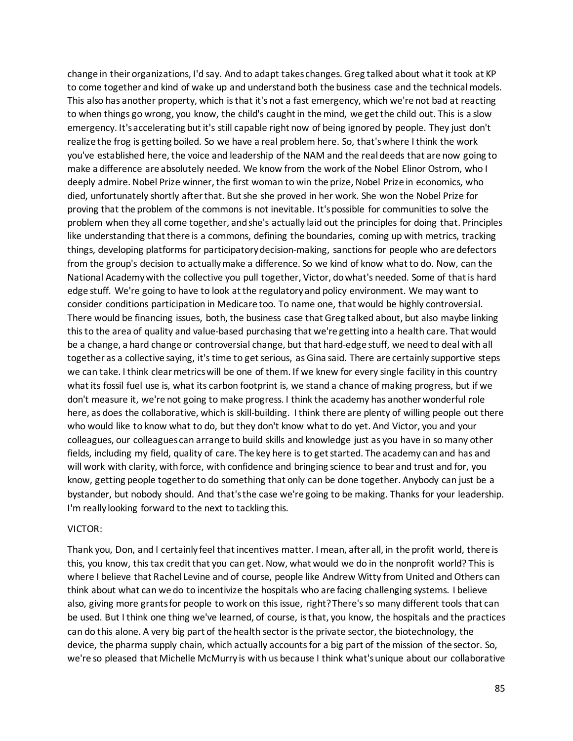change in their organizations, I'd say. And to adapt takes changes. Greg talked about what it took at KP to come together and kind of wake up and understand both the business case and the technical models. This also has another property, which is that it's not a fast emergency, which we're not bad at reacting to when things go wrong, you know, the child's caught in the mind, we get the child out. This is a slow emergency. It's accelerating but it's still capable right now of being ignored by people. They just don't realize the frog is getting boiled. So we have a real problem here. So, that's where I think the work you've established here, the voice and leadership of the NAM and the real deeds that are now going to make a difference are absolutely needed. We know from the work of the Nobel Elinor Ostrom, who I deeply admire. Nobel Prize winner, the first woman to win the prize, Nobel Prize in economics, who died, unfortunately shortly after that. But she she proved in her work. She won the Nobel Prize for proving that the problem of the commons is not inevitable. It's possible for communities to solve the problem when they all come together, and she's actually laid out the principles for doing that. Principles like understanding that there is a commons, defining the boundaries, coming up with metrics, tracking things, developing platforms for participatory decision-making, sanctions for people who are defectors from the group's decision to actually make a difference. So we kind of know what to do. Now, can the National Academy with the collective you pull together, Victor, do what's needed. Some of that is hard edge stuff. We're going to have to look at the regulatory and policy environment. We may want to consider conditions participation in Medicare too. To name one, that would be highly controversial. There would be financing issues, both, the business case that Greg talked about, but also maybe linking this to the area of quality and value-based purchasing that we're getting into a health care. That would be a change, a hard change or controversial change, but that hard-edge stuff, we need to deal with all together as a collective saying, it's time to get serious, as Gina said. There are certainly supportive steps we can take. I think clear metrics will be one of them. If we knew for every single facility in this country what its fossil fuel use is, what its carbon footprint is, we stand a chance of making progress, but if we don't measure it, we're not going to make progress. I think the academy has another wonderful role here, as does the collaborative, which is skill-building. I think there are plenty of willing people out there who would like to know what to do, but they don't know what to do yet. And Victor, you and your colleagues, our colleagues can arrange to build skills and knowledge just as you have in so many other fields, including my field, quality of care. The key here is to get started. The academy can and has and will work with clarity, with force, with confidence and bringing science to bear and trust and for, you know, getting people together to do something that only can be done together. Anybody can just be a bystander, but nobody should. And that's the case we're going to be making. Thanks for your leadership. I'm really looking forward to the next to tackling this.

#### VICTOR:

Thank you, Don, and I certainly feel that incentives matter. I mean, after all, in the profit world, there is this, you know, this tax credit that you can get. Now, what would we do in the nonprofit world? This is where I believe that Rachel Levine and of course, people like Andrew Witty from United and Others can think about what can we do to incentivize the hospitals who are facing challenging systems. I believe also, giving more grants for people to work on this issue, right? There's so many different tools that can be used. But I think one thing we've learned, of course, is that, you know, the hospitals and the practices can do this alone. A very big part of the health sector is the private sector, the biotechnology, the device, the pharma supply chain, which actually accounts for a big part of the mission of the sector. So, we're so pleased that Michelle McMurry is with us because I think what's unique about our collaborative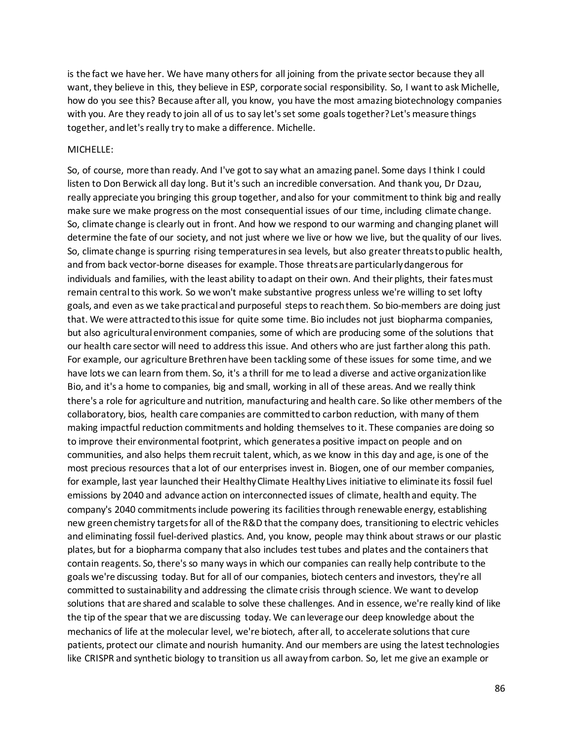is the fact we have her. We have many others for all joining from the private sector because they all want, they believe in this, they believe in ESP, corporate social responsibility. So, I want to ask Michelle, how do you see this? Because after all, you know, you have the most amazing biotechnology companies with you. Are they ready to join all of us to say let's set some goals together? Let's measure things together, and let's really try to make a difference. Michelle.

#### MICHELLE:

So, of course, more than ready. And I've got to say what an amazing panel. Some days I think I could listen to Don Berwick all day long. But it's such an incredible conversation. And thank you, Dr Dzau, really appreciate you bringing this group together, and also for your commitment to think big and really make sure we make progress on the most consequential issues of our time, including climate change. So, climate change is clearly out in front. And how we respond to our warming and changing planet will determine the fate of our society, and not just where we live or how we live, but the quality of our lives. So, climate change is spurring rising temperatures in sea levels, but also greater threats to public health, and from back vector-borne diseases for example. Those threats are particularly dangerous for individuals and families, with the least ability to adapt on their own. And their plights, their fates must remain central to this work. So we won't make substantive progress unless we're willing to set lofty goals, and even as we take practical and purposeful steps to reach them. So bio-members are doing just that. We were attracted to this issue for quite some time. Bio includes not just biopharma companies, but also agricultural environment companies, some of which are producing some of the solutions that our health care sector will need to address this issue. And others who are just farther along this path. For example, our agriculture Brethren have been tackling some of these issues for some time, and we have lots we can learn from them. So, it's a thrill for me to lead a diverse and active organization like Bio, and it's a home to companies, big and small, working in all of these areas. And we really think there's a role for agriculture and nutrition, manufacturing and health care. So like other members of the collaboratory, bios, health care companies are committed to carbon reduction, with many of them making impactful reduction commitments and holding themselves to it. These companies are doing so to improve their environmental footprint, which generates a positive impact on people and on communities, and also helps them recruit talent, which, as we know in this day and age, is one of the most precious resources that a lot of our enterprises invest in. Biogen, one of our member companies, for example, last year launched their Healthy Climate Healthy Lives initiative to eliminate its fossil fuel emissions by 2040 and advance action on interconnected issues of climate, health and equity. The company's 2040 commitments include powering its facilities through renewable energy, establishing new green chemistry targets for all of the R&D that the company does, transitioning to electric vehicles and eliminating fossil fuel-derived plastics. And, you know, people may think about straws or our plastic plates, but for a biopharma company that also includes test tubes and plates and the containers that contain reagents. So, there's so many ways in which our companies can really help contribute to the goals we're discussing today. But for all of our companies, biotech centers and investors, they're all committed to sustainability and addressing the climate crisis through science. We want to develop solutions that are shared and scalable to solve these challenges. And in essence, we're really kind of like the tip of the spear that we are discussing today. We can leverage our deep knowledge about the mechanics of life at the molecular level, we're biotech, after all, to accelerate solutions that cure patients, protect our climate and nourish humanity. And our members are using the latest technologies like CRISPR and synthetic biology to transition us all away from carbon. So, let me give an example or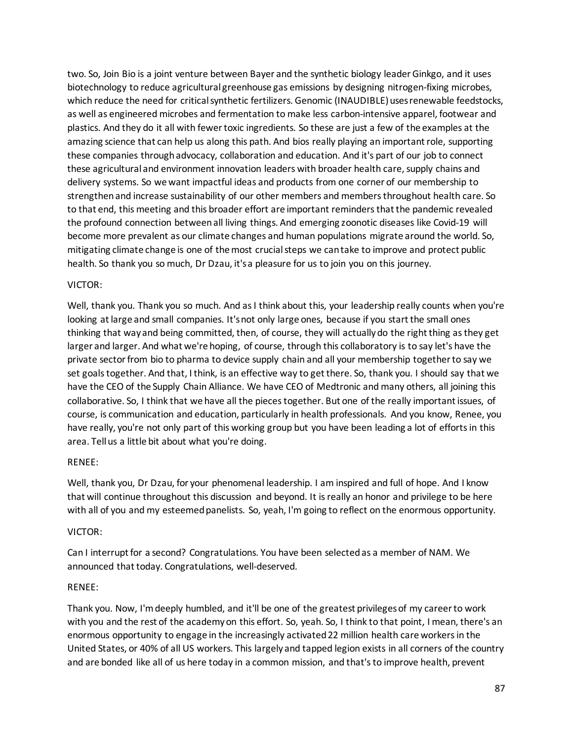two. So, Join Bio is a joint venture between Bayer and the synthetic biology leader Ginkgo, and it uses biotechnology to reduce agricultural greenhouse gas emissions by designing nitrogen-fixing microbes, which reduce the need for critical synthetic fertilizers. Genomic (INAUDIBLE) uses renewable feedstocks, as well as engineered microbes and fermentation to make less carbon-intensive apparel, footwear and plastics. And they do it all with fewer toxic ingredients. So these are just a few of the examples at the amazing science that can help us along this path. And bios really playing an important role, supporting these companies through advocacy, collaboration and education. And it's part of our job to connect these agricultural and environment innovation leaders with broader health care, supply chains and delivery systems. So we want impactful ideas and products from one corner of our membership to strengthen and increase sustainability of our other members and members throughout health care. So to that end, this meeting and this broader effort are important reminders that the pandemic revealed the profound connection between all living things. And emerging zoonotic diseases like Covid-19 will become more prevalent as our climate changes and human populations migrate around the world. So, mitigating climate change is one of the most crucial steps we can take to improve and protect public health. So thank you so much, Dr Dzau, it's a pleasure for us to join you on this journey.

# VICTOR:

Well, thank you. Thank you so much. And as I think about this, your leadership really counts when you're looking at large and small companies. It's not only large ones, because if you start the small ones thinking that way and being committed, then, of course, they will actually do the right thing as they get larger and larger. And what we're hoping, of course, through this collaboratory is to say let's have the private sector from bio to pharma to device supply chain and all your membership together to say we set goals together. And that, I think, is an effective way to get there. So, thank you. I should say that we have the CEO of the Supply Chain Alliance. We have CEO of Medtronic and many others, all joining this collaborative. So, I think that we have all the pieces together. But one of the really important issues, of course, is communication and education, particularly in health professionals. And you know, Renee, you have really, you're not only part of this working group but you have been leading a lot of efforts in this area. Tell us a little bit about what you're doing.

### RENEE:

Well, thank you, Dr Dzau, for your phenomenal leadership. I am inspired and full of hope. And I know that will continue throughout this discussion and beyond. It is really an honor and privilege to be here with all of you and my esteemed panelists. So, yeah, I'm going to reflect on the enormous opportunity.

### VICTOR:

Can I interrupt for a second? Congratulations. You have been selected as a member of NAM. We announced that today. Congratulations, well-deserved.

### RENEE:

Thank you. Now, I'm deeply humbled, and it'll be one of the greatest privileges of my career to work with you and the rest of the academy on this effort. So, yeah. So, I think to that point, I mean, there's an enormous opportunity to engage in the increasingly activated 22 million health care workers in the United States, or 40% of all US workers. This largely and tapped legion exists in all corners of the country and are bonded like all of us here today in a common mission, and that's to improve health, prevent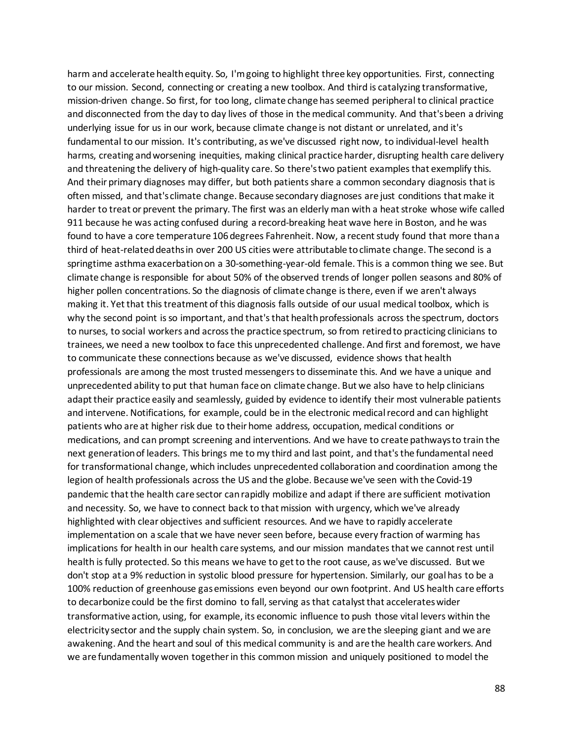harm and accelerate health equity. So, I'm going to highlight three key opportunities. First, connecting to our mission. Second, connecting or creating a new toolbox. And third is catalyzing transformative, mission-driven change. So first, for too long, climate change has seemed peripheral to clinical practice and disconnected from the day to day lives of those in the medical community. And that's been a driving underlying issue for us in our work, because climate change is not distant or unrelated, and it's fundamental to our mission. It's contributing, as we've discussed right now, to individual-level health harms, creating and worsening inequities, making clinical practice harder, disrupting health care delivery and threatening the delivery of high-quality care. So there's two patient examples that exemplify this. And their primary diagnoses may differ, but both patients share a common secondary diagnosis that is often missed, and that's climate change. Because secondary diagnoses are just conditions that make it harder to treat or prevent the primary. The first was an elderly man with a heat stroke whose wife called 911 because he was acting confused during a record-breaking heat wave here in Boston, and he was found to have a core temperature 106 degrees Fahrenheit. Now, a recent study found that more than a third of heat-related deaths in over 200 US cities were attributable to climate change. The second is a springtime asthma exacerbation on a 30-something-year-old female. This is a common thing we see. But climate change is responsible for about 50% of the observed trends of longer pollen seasons and 80% of higher pollen concentrations. So the diagnosis of climate change is there, even if we aren't always making it. Yet that this treatment of this diagnosis falls outside of our usual medical toolbox, which is why the second point is so important, and that's that health professionals across the spectrum, doctors to nurses, to social workers and across the practice spectrum, so from retired to practicing clinicians to trainees, we need a new toolbox to face this unprecedented challenge. And first and foremost, we have to communicate these connections because as we've discussed, evidence shows that health professionals are among the most trusted messengers to disseminate this. And we have a unique and unprecedented ability to put that human face on climate change. But we also have to help clinicians adapt their practice easily and seamlessly, guided by evidence to identify their most vulnerable patients and intervene. Notifications, for example, could be in the electronic medical record and can highlight patients who are at higher risk due to their home address, occupation, medical conditions or medications, and can prompt screening and interventions. And we have to create pathways to train the next generation of leaders. This brings me to my third and last point, and that's the fundamental need for transformational change, which includes unprecedented collaboration and coordination among the legion of health professionals across the US and the globe. Because we've seen with the Covid-19 pandemic that the health care sector can rapidly mobilize and adapt if there are sufficient motivation and necessity. So, we have to connect back to that mission with urgency, which we've already highlighted with clear objectives and sufficient resources. And we have to rapidly accelerate implementation on a scale that we have never seen before, because every fraction of warming has implications for health in our health care systems, and our mission mandates that we cannot rest until health is fully protected. So this means we have to get to the root cause, as we've discussed. But we don't stop at a 9% reduction in systolic blood pressure for hypertension. Similarly, our goal has to be a 100% reduction of greenhouse gas emissions even beyond our own footprint. And US health care efforts to decarbonize could be the first domino to fall, serving as that catalyst that accelerates wider transformative action, using, for example, its economic influence to push those vital levers within the electricity sector and the supply chain system. So, in conclusion, we are the sleeping giant and we are awakening. And the heart and soul of this medical community is and are the health care workers. And we are fundamentally woven together in this common mission and uniquely positioned to model the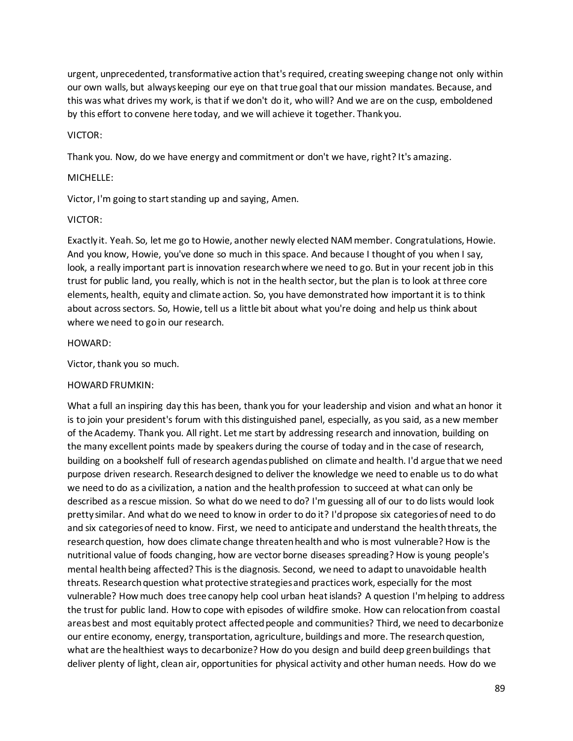urgent, unprecedented, transformative action that's required, creating sweeping change not only within our own walls, but always keeping our eye on that true goal that our mission mandates. Because, and this was what drives my work, is that if we don't do it, who will? And we are on the cusp, emboldened by this effort to convene here today, and we will achieve it together. Thank you.

#### VICTOR:

Thank you. Now, do we have energy and commitment or don't we have, right? It's amazing.

### MICHELLE:

Victor, I'm going to start standing up and saying, Amen.

#### VICTOR:

Exactly it. Yeah. So, let me go to Howie, another newly elected NAM member. Congratulations, Howie. And you know, Howie, you've done so much in this space. And because I thought of you when I say, look, a really important part is innovation research where we need to go. But in your recent job in this trust for public land, you really, which is not in the health sector, but the plan is to look at three core elements, health, equity and climate action. So, you have demonstrated how important it is to think about across sectors. So, Howie, tell us a little bit about what you're doing and help us think about where we need to go in our research.

#### HOWARD:

Victor, thank you so much.

### HOWARD FRUMKIN:

What a full an inspiring day this has been, thank you for your leadership and vision and what an honor it is to join your president's forum with this distinguished panel, especially, as you said, as a new member of the Academy. Thank you. All right. Let me start by addressing research and innovation, building on the many excellent points made by speakers during the course of today and in the case of research, building on a bookshelf full of research agendas published on climate and health. I'd argue that we need purpose driven research. Research designed to deliver the knowledge we need to enable us to do what we need to do as a civilization, a nation and the health profession to succeed at what can only be described as a rescue mission. So what do we need to do? I'm guessing all of our to do lists would look pretty similar. And what do we need to know in order to do it? I'd propose six categories of need to do and six categories of need to know. First, we need to anticipate and understand the health threats, the research question, how does climate change threaten health and who is most vulnerable? How is the nutritional value of foods changing, how are vector borne diseases spreading? How is young people's mental health being affected? This is the diagnosis. Second, we need to adapt to unavoidable health threats. Research question what protective strategies and practices work, especially for the most vulnerable? How much does tree canopy help cool urban heat islands? A question I'm helping to address the trust for public land. How to cope with episodes of wildfire smoke. How can relocation from coastal areas best and most equitably protect affected people and communities? Third, we need to decarbonize our entire economy, energy, transportation, agriculture, buildings and more. The research question, what are the healthiest ways to decarbonize? How do you design and build deep green buildings that deliver plenty of light, clean air, opportunities for physical activity and other human needs. How do we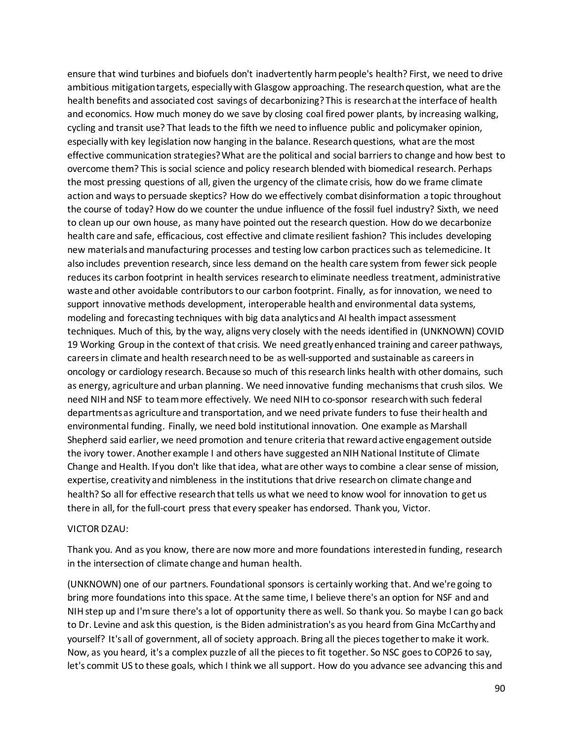ensure that wind turbines and biofuels don't inadvertently harm people's health? First, we need to drive ambitious mitigation targets, especially with Glasgow approaching. The research question, what are the health benefits and associated cost savings of decarbonizing? This is research at the interface of health and economics. How much money do we save by closing coal fired power plants, by increasing walking, cycling and transit use? That leads to the fifth we need to influence public and policymaker opinion, especially with key legislation now hanging in the balance. Research questions, what are the most effective communication strategies? What are the political and social barriers to change and how best to overcome them? This is social science and policy research blended with biomedical research. Perhaps the most pressing questions of all, given the urgency of the climate crisis, how do we frame climate action and ways to persuade skeptics? How do we effectively combat disinformation a topic throughout the course of today? How do we counter the undue influence of the fossil fuel industry? Sixth, we need to clean up our own house, as many have pointed out the research question. How do we decarbonize health care and safe, efficacious, cost effective and climate resilient fashion? This includes developing new materials and manufacturing processes and testing low carbon practices such as telemedicine. It also includes prevention research, since less demand on the health care system from fewer sick people reduces its carbon footprint in health services research to eliminate needless treatment, administrative waste and other avoidable contributors to our carbon footprint. Finally, as for innovation, we need to support innovative methods development, interoperable health and environmental data systems, modeling and forecasting techniques with big data analytics and AI health impact assessment techniques. Much of this, by the way, aligns very closely with the needs identified in (UNKNOWN) COVID 19 Working Group in the context of that crisis. We need greatly enhanced training and career pathways, careers in climate and health research need to be as well-supported and sustainable as careers in oncology or cardiology research. Because so much of this research links health with other domains, such as energy, agriculture and urban planning. We need innovative funding mechanisms that crush silos. We need NIH and NSF to team more effectively. We need NIH to co-sponsor research with such federal departments as agriculture and transportation, and we need private funders to fuse their health and environmental funding. Finally, we need bold institutional innovation. One example as Marshall Shepherd said earlier, we need promotion and tenure criteria that reward active engagement outside the ivory tower. Another example I and others have suggested an NIH National Institute of Climate Change and Health. If you don't like that idea, what are other ways to combine a clear sense of mission, expertise, creativity and nimbleness in the institutions that drive research on climate change and health? So all for effective research that tells us what we need to know wool for innovation to get us there in all, for the full-court press that every speaker has endorsed. Thank you, Victor.

#### VICTOR DZAU:

Thank you. And as you know, there are now more and more foundations interested in funding, research in the intersection of climate change and human health.

(UNKNOWN) one of our partners. Foundational sponsors is certainly working that. And we're going to bring more foundations into this space. At the same time, I believe there's an option for NSF and and NIH step up and I'm sure there's a lot of opportunity there as well. So thank you. So maybe I can go back to Dr. Levine and ask this question, is the Biden administration's as you heard from Gina McCarthy and yourself? It's all of government, all of society approach. Bring all the pieces together to make it work. Now, as you heard, it's a complex puzzle of all the pieces to fit together. So NSC goes to COP26 to say, let's commit US to these goals, which I think we all support. How do you advance see advancing this and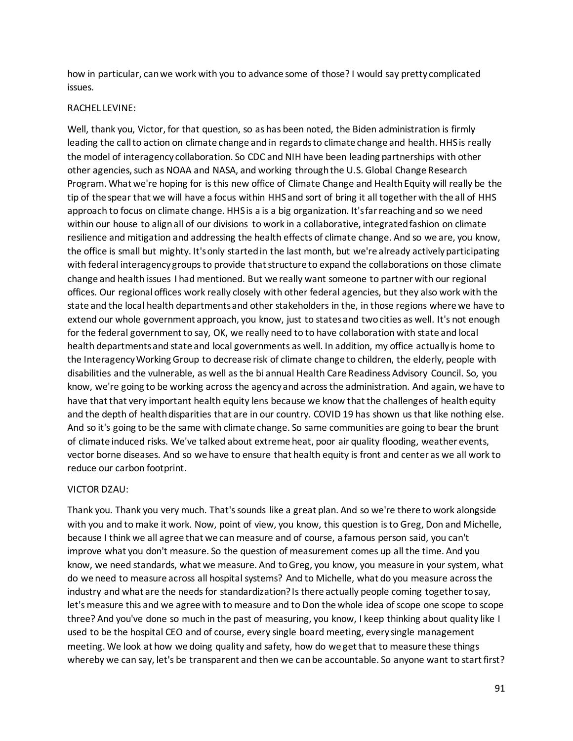how in particular, can we work with you to advance some of those? I would say pretty complicated issues.

#### RACHEL LEVINE:

Well, thank you, Victor, for that question, so as has been noted, the Biden administration is firmly leading the call to action on climate change and in regards to climate change and health. HHS is really the model of interagency collaboration. So CDC and NIH have been leading partnerships with other other agencies, such as NOAA and NASA, and working through the U.S. Global Change Research Program. What we're hoping for is this new office of Climate Change and Health Equity will really be the tip of the spear that we will have a focus within HHS and sort of bring it all together with the all of HHS approach to focus on climate change. HHS is a is a big organization. It's far reaching and so we need within our house to align all of our divisions to work in a collaborative, integrated fashion on climate resilience and mitigation and addressing the health effects of climate change. And so we are, you know, the office is small but mighty. It's only started in the last month, but we're already actively participating with federal interagency groups to provide that structure to expand the collaborations on those climate change and health issues I had mentioned. But we really want someone to partner with our regional offices. Our regional offices work really closely with other federal agencies, but they also work with the state and the local health departments and other stakeholders in the, in those regions where we have to extend our whole government approach, you know, just to states and two cities as well. It's not enough for the federal government to say, OK, we really need to to have collaboration with state and local health departments and state and local governments as well. In addition, my office actually is home to the Interagency Working Group to decrease risk of climate change to children, the elderly, people with disabilities and the vulnerable, as well as the bi annual Health Care Readiness Advisory Council. So, you know, we're going to be working across the agency and across the administration. And again, we have to have that that very important health equity lens because we know that the challenges of health equity and the depth of health disparities that are in our country. COVID 19 has shown us that like nothing else. And so it's going to be the same with climate change. So same communities are going to bear the brunt of climate induced risks. We've talked about extreme heat, poor air quality flooding, weather events, vector borne diseases. And so we have to ensure that health equity is front and center as we all work to reduce our carbon footprint.

### VICTOR DZAU:

Thank you. Thank you very much. That's sounds like a great plan. And so we're there to work alongside with you and to make it work. Now, point of view, you know, this question is to Greg, Don and Michelle, because I think we all agree that we can measure and of course, a famous person said, you can't improve what you don't measure. So the question of measurement comes up all the time. And you know, we need standards, what we measure. And to Greg, you know, you measure in your system, what do we need to measure across all hospital systems? And to Michelle, what do you measure across the industry and what are the needs for standardization? Is there actually people coming together to say, let's measure this and we agree with to measure and to Don the whole idea of scope one scope to scope three? And you've done so much in the past of measuring, you know, I keep thinking about quality like I used to be the hospital CEO and of course, every single board meeting, every single management meeting. We look at how we doing quality and safety, how do we get that to measure these things whereby we can say, let's be transparent and then we can be accountable. So anyone want to start first?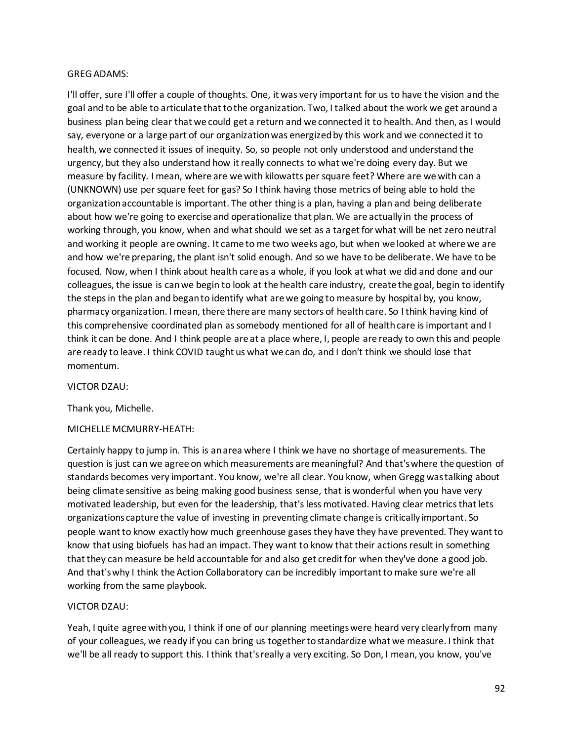### GREG ADAMS:

I'll offer, sure I'll offer a couple of thoughts. One, it was very important for us to have the vision and the goal and to be able to articulate that to the organization. Two, I talked about the work we get around a business plan being clear that we could get a return and we connected it to health. And then, as I would say, everyone or a large part of our organization was energized by this work and we connected it to health, we connected it issues of inequity. So, so people not only understood and understand the urgency, but they also understand how it really connects to what we're doing every day. But we measure by facility. I mean, where are we with kilowatts per square feet? Where are we with can a (UNKNOWN) use per square feet for gas? So I think having those metrics of being able to hold the organization accountable is important. The other thing is a plan, having a plan and being deliberate about how we're going to exercise and operationalize that plan. We are actually in the process of working through, you know, when and what should we set as a target for what will be net zero neutral and working it people are owning. It came to me two weeks ago, but when we looked at where we are and how we're preparing, the plant isn't solid enough. And so we have to be deliberate. We have to be focused. Now, when I think about health care as a whole, if you look at what we did and done and our colleagues, the issue is can we begin to look at the health care industry, create the goal, begin to identify the steps in the plan and began to identify what are we going to measure by hospital by, you know, pharmacy organization. I mean, there there are many sectors of health care. So I think having kind of this comprehensive coordinated plan as somebody mentioned for all of health care is important and I think it can be done. And I think people are at a place where, I, people are ready to own this and people are ready to leave. I think COVID taught us what we can do, and I don't think we should lose that momentum.

#### VICTOR DZAU:

Thank you, Michelle.

### MICHELLE MCMURRY-HEATH:

Certainly happy to jump in. This is an area where I think we have no shortage of measurements. The question is just can we agree on which measurements are meaningful? And that's where the question of standards becomes very important. You know, we're all clear. You know, when Gregg was talking about being climate sensitive as being making good business sense, that is wonderful when you have very motivated leadership, but even for the leadership, that's less motivated. Having clear metrics that lets organizations capture the value of investing in preventing climate change is critically important. So people want to know exactly how much greenhouse gases they have they have prevented. They want to know that using biofuels has had an impact. They want to know that their actions result in something that they can measure be held accountable for and also get credit for when they've done a good job. And that's why I think the Action Collaboratory can be incredibly important to make sure we're all working from the same playbook.

### VICTOR DZAU:

Yeah, I quite agree with you, I think if one of our planning meetings were heard very clearly from many of your colleagues, we ready if you can bring us together to standardize what we measure. I think that we'll be all ready to support this. I think that's really a very exciting. So Don, I mean, you know, you've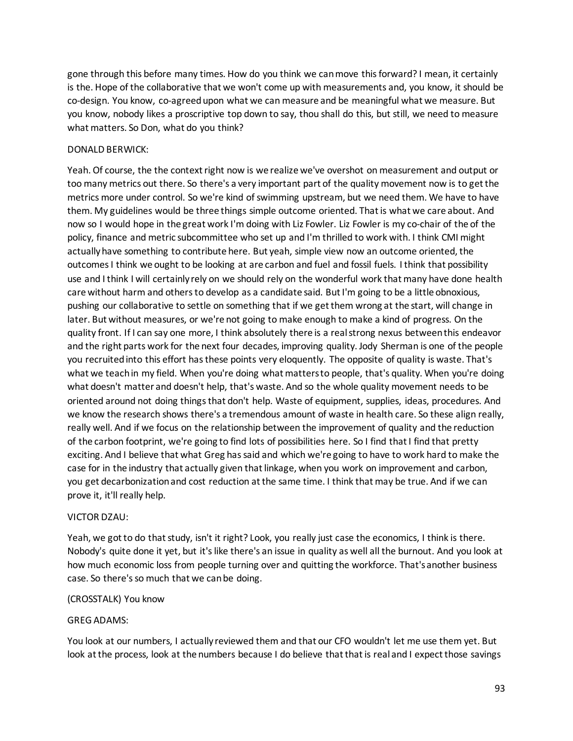gone through this before many times. How do you think we can move this forward? I mean, it certainly is the. Hope of the collaborative that we won't come up with measurements and, you know, it should be co-design. You know, co-agreed upon what we can measure and be meaningful what we measure. But you know, nobody likes a proscriptive top down to say, thou shall do this, but still, we need to measure what matters. So Don, what do you think?

#### DONALD BERWICK:

Yeah. Of course, the the context right now is we realize we've overshot on measurement and output or too many metrics out there. So there's a very important part of the quality movement now is to get the metrics more under control. So we're kind of swimming upstream, but we need them. We have to have them. My guidelines would be three things simple outcome oriented. That is what we care about. And now so I would hope in the great work I'm doing with Liz Fowler. Liz Fowler is my co-chair of the of the policy, finance and metric subcommittee who set up and I'm thrilled to work with. I think CMI might actually have something to contribute here. But yeah, simple view now an outcome oriented, the outcomes I think we ought to be looking at are carbon and fuel and fossil fuels. I think that possibility use and I think I will certainly rely on we should rely on the wonderful work that many have done health care without harm and others to develop as a candidate said. But I'm going to be a little obnoxious, pushing our collaborative to settle on something that if we get them wrong at the start, will change in later. But without measures, or we're not going to make enough to make a kind of progress. On the quality front. If I can say one more, I think absolutely there is a real strong nexus between this endeavor and the right parts work for the next four decades, improving quality. Jody Sherman is one of the people you recruited into this effort has these points very eloquently. The opposite of quality is waste. That's what we teach in my field. When you're doing what matters to people, that's quality. When you're doing what doesn't matter and doesn't help, that's waste. And so the whole quality movement needs to be oriented around not doing things that don't help. Waste of equipment, supplies, ideas, procedures. And we know the research shows there's a tremendous amount of waste in health care. So these align really, really well. And if we focus on the relationship between the improvement of quality and the reduction of the carbon footprint, we're going to find lots of possibilities here. So I find that I find that pretty exciting. And I believe that what Greg has said and which we're going to have to work hard to make the case for in the industry that actually given that linkage, when you work on improvement and carbon, you get decarbonization and cost reduction at the same time. I think that may be true. And if we can prove it, it'll really help.

#### VICTOR DZAU:

Yeah, we got to do that study, isn't it right? Look, you really just case the economics, I think is there. Nobody's quite done it yet, but it's like there's an issue in quality as well all the burnout. And you look at how much economic loss from people turning over and quitting the workforce. That's another business case. So there's so much that we can be doing.

#### (CROSSTALK) You know

### GREG ADAMS:

You look at our numbers, I actually reviewed them and that our CFO wouldn't let me use them yet. But look at the process, look at the numbers because I do believe that that is real and I expect those savings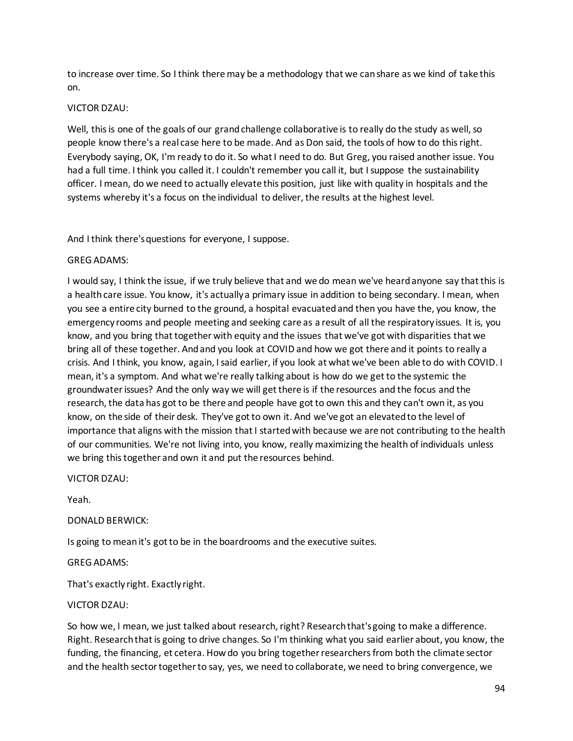to increase over time. So I think there may be a methodology that we can share as we kind of take this on.

# VICTOR DZAU:

Well, this is one of the goals of our grand challenge collaborative is to really do the study as well, so people know there's a real case here to be made. And as Don said, the tools of how to do this right. Everybody saying, OK, I'm ready to do it. So what I need to do. But Greg, you raised another issue. You had a full time. I think you called it. I couldn't remember you call it, but I suppose the sustainability officer. I mean, do we need to actually elevate this position, just like with quality in hospitals and the systems whereby it's a focus on the individual to deliver, the results at the highest level.

And I think there's questions for everyone, I suppose.

# GREG ADAMS:

I would say, I think the issue, if we truly believe that and we do mean we've heard anyone say that this is a health care issue. You know, it's actually a primary issue in addition to being secondary. I mean, when you see a entire city burned to the ground, a hospital evacuated and then you have the, you know, the emergency rooms and people meeting and seeking care as a result of all the respiratory issues. It is, you know, and you bring that together with equity and the issues that we've got with disparities that we bring all of these together. And and you look at COVID and how we got there and it points to really a crisis. And I think, you know, again, I said earlier, if you look at what we've been able to do with COVID. I mean, it's a symptom. And what we're really talking about is how do we get to the systemic the groundwater issues? And the only way we will get there is if the resources and the focus and the research, the data has got to be there and people have got to own this and they can't own it, as you know, on the side of their desk. They've got to own it. And we've got an elevated to the level of importance that aligns with the mission that I started with because we are not contributing to the health of our communities. We're not living into, you know, really maximizing the health of individuals unless we bring this together and own it and put the resources behind.

### VICTOR DZAU:

Yeah.

### DONALD BERWICK:

Is going to mean it's got to be in the boardrooms and the executive suites.

### GREG ADAMS:

That's exactly right. Exactly right.

# VICTOR DZAU:

So how we, I mean, we just talked about research, right? Research that's going to make a difference. Right. Research that is going to drive changes. So I'm thinking what you said earlier about, you know, the funding, the financing, et cetera. How do you bring together researchers from both the climate sector and the health sector together to say, yes, we need to collaborate, we need to bring convergence, we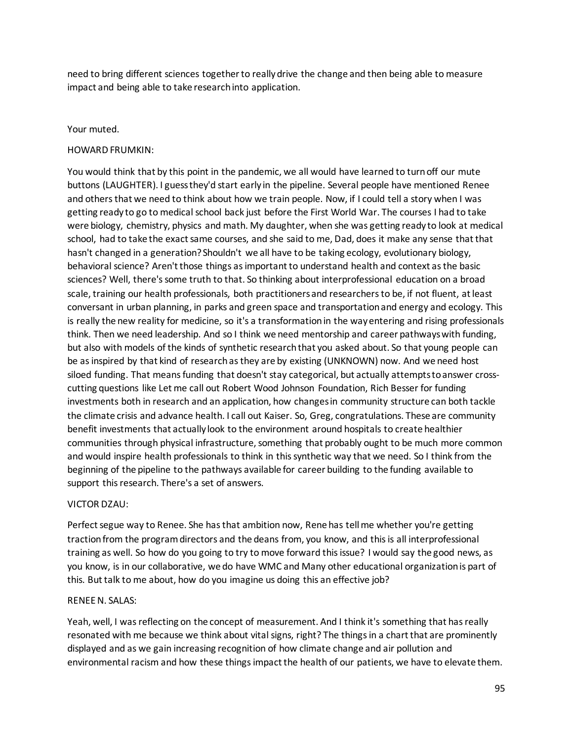need to bring different sciences together to really drive the change and then being able to measure impact and being able to take research into application.

#### Your muted.

#### HOWARD FRUMKIN:

You would think that by this point in the pandemic, we all would have learned to turn off our mute buttons (LAUGHTER). I guess they'd start early in the pipeline. Several people have mentioned Renee and others that we need to think about how we train people. Now, if I could tell a story when I was getting ready to go to medical school back just before the First World War. The courses I had to take were biology, chemistry, physics and math. My daughter, when she was getting ready to look at medical school, had to take the exact same courses, and she said to me, Dad, does it make any sense that that hasn't changed in a generation? Shouldn't we all have to be taking ecology, evolutionary biology, behavioral science? Aren't those things as important to understand health and context as the basic sciences? Well, there's some truth to that. So thinking about interprofessional education on a broad scale, training our health professionals, both practitioners and researchers to be, if not fluent, at least conversant in urban planning, in parks and green space and transportation and energy and ecology. This is really the new reality for medicine, so it's a transformation in the way entering and rising professionals think. Then we need leadership. And so I think we need mentorship and career pathways with funding, but also with models of the kinds of synthetic research that you asked about. So that young people can be as inspired by that kind of research as they are by existing (UNKNOWN) now. And we need host siloed funding. That means funding that doesn't stay categorical, but actually attempts to answer crosscutting questions like Let me call out Robert Wood Johnson Foundation, Rich Besser for funding investments both in research and an application, how changes in community structure can both tackle the climate crisis and advance health. I call out Kaiser. So, Greg, congratulations. These are community benefit investments that actually look to the environment around hospitals to create healthier communities through physical infrastructure, something that probably ought to be much more common and would inspire health professionals to think in this synthetic way that we need. So I think from the beginning of the pipeline to the pathways available for career building to the funding available to support this research. There's a set of answers.

#### VICTOR DZAU:

Perfect segue way to Renee. She has that ambition now, Rene has tell me whether you're getting traction from the program directors and the deans from, you know, and this is all interprofessional training as well. So how do you going to try to move forward this issue? I would say the good news, as you know, is in our collaborative, we do have WMC and Many other educational organization is part of this. But talk to me about, how do you imagine us doing this an effective job?

#### RENEE N. SALAS:

Yeah, well, I was reflecting on the concept of measurement. And I think it's something that has really resonated with me because we think about vital signs, right? The things in a chart that are prominently displayed and as we gain increasing recognition of how climate change and air pollution and environmental racism and how these things impact the health of our patients, we have to elevate them.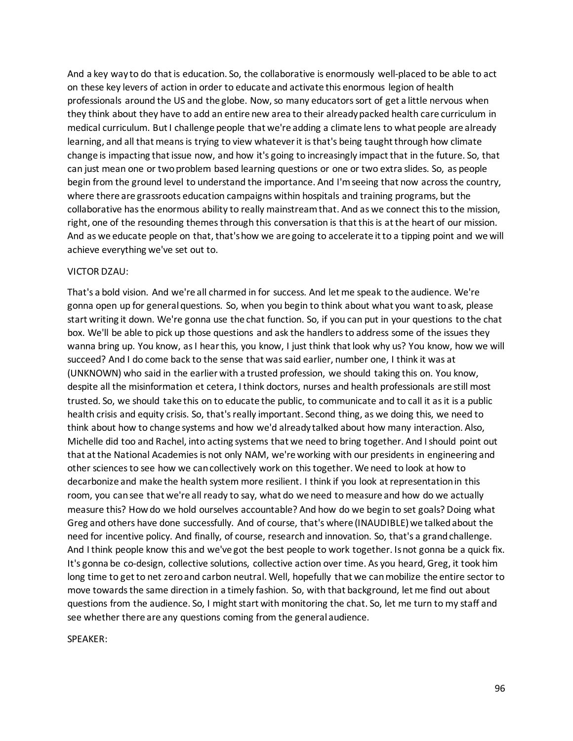And a key way to do that is education. So, the collaborative is enormously well-placed to be able to act on these key levers of action in order to educate and activate this enormous legion of health professionals around the US and the globe. Now, so many educators sort of get a little nervous when they think about they have to add an entire new area to their already packed health care curriculum in medical curriculum. But I challenge people that we're adding a climate lens to what people are already learning, and all that means is trying to view whatever it is that's being taught through how climate change is impacting that issue now, and how it's going to increasingly impact that in the future. So, that can just mean one or two problem based learning questions or one or two extra slides. So, as people begin from the ground level to understand the importance. And I'm seeing that now across the country, where there are grassroots education campaigns within hospitals and training programs, but the collaborative has the enormous ability to really mainstream that. And as we connect this to the mission, right, one of the resounding themes through this conversation is that this is at the heart of our mission. And as we educate people on that, that's how we are going to accelerate it to a tipping point and we will achieve everything we've set out to.

#### VICTOR DZAU:

That's a bold vision. And we're all charmed in for success. And let me speak to the audience. We're gonna open up for general questions. So, when you begin to think about what you want to ask, please start writing it down. We're gonna use the chat function. So, if you can put in your questions to the chat box. We'll be able to pick up those questions and ask the handlers to address some of the issues they wanna bring up. You know, as I hear this, you know, I just think that look why us? You know, how we will succeed? And I do come back to the sense that was said earlier, number one, I think it was at (UNKNOWN) who said in the earlier with a trusted profession, we should taking this on. You know, despite all the misinformation et cetera, I think doctors, nurses and health professionals are still most trusted. So, we should take this on to educate the public, to communicate and to call it as it is a public health crisis and equity crisis. So, that's really important. Second thing, as we doing this, we need to think about how to change systems and how we'd already talked about how many interaction. Also, Michelle did too and Rachel, into acting systems that we need to bring together. And I should point out that at the National Academies is not only NAM, we're working with our presidents in engineering and other sciences to see how we can collectively work on this together. We need to look at how to decarbonize and make the health system more resilient. I think if you look at representation in this room, you can see that we're all ready to say, what do we need to measure and how do we actually measure this? How do we hold ourselves accountable? And how do we begin to set goals? Doing what Greg and others have done successfully. And of course, that's where (INAUDIBLE) we talked about the need for incentive policy. And finally, of course, research and innovation. So, that's a grand challenge. And I think people know this and we've got the best people to work together. Is not gonna be a quick fix. It's gonna be co-design, collective solutions, collective action over time. As you heard, Greg, it took him long time to get to net zero and carbon neutral. Well, hopefully that we can mobilize the entire sector to move towards the same direction in a timely fashion. So, with that background, let me find out about questions from the audience. So, I might start with monitoring the chat. So, let me turn to my staff and see whether there are any questions coming from the general audience.

SPEAKER: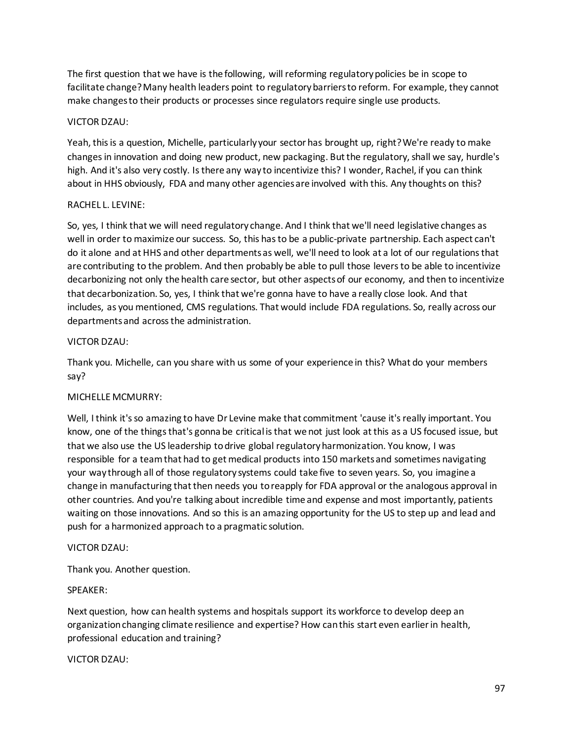The first question that we have is the following, will reforming regulatory policies be in scope to facilitate change? Many health leaders point to regulatory barriers to reform. For example, they cannot make changes to their products or processes since regulators require single use products.

## VICTOR DZAU:

Yeah, this is a question, Michelle, particularly your sector has brought up, right? We're ready to make changes in innovation and doing new product, new packaging. But the regulatory, shall we say, hurdle's high. And it's also very costly. Is there any way to incentivize this? I wonder, Rachel, if you can think about in HHS obviously, FDA and many other agencies are involved with this. Any thoughts on this?

### RACHEL L. LEVINE:

So, yes, I think that we will need regulatory change. And I think that we'll need legislative changes as well in order to maximize our success. So, this has to be a public-private partnership. Each aspect can't do it alone and at HHS and other departments as well, we'll need to look at a lot of our regulations that are contributing to the problem. And then probably be able to pull those levers to be able to incentivize decarbonizing not only the health care sector, but other aspects of our economy, and then to incentivize that decarbonization. So, yes, I think that we're gonna have to have a really close look. And that includes, as you mentioned, CMS regulations. That would include FDA regulations. So, really across our departments and across the administration.

# VICTOR DZAU:

Thank you. Michelle, can you share with us some of your experience in this? What do your members say?

# MICHELLE MCMURRY:

Well, I think it's so amazing to have Dr Levine make that commitment 'cause it's really important. You know, one of the things that's gonna be critical is that we not just look at this as a US focused issue, but that we also use the US leadership to drive global regulatory harmonization. You know, I was responsible for a team that had to get medical products into 150 markets and sometimes navigating your way through all of those regulatory systems could take five to seven years. So, you imagine a change in manufacturing that then needs you to reapply for FDA approval or the analogous approval in other countries. And you're talking about incredible time and expense and most importantly, patients waiting on those innovations. And so this is an amazing opportunity for the US to step up and lead and push for a harmonized approach to a pragmatic solution.

### VICTOR DZAU:

Thank you. Another question.

### SPEAKER:

Next question, how can health systems and hospitals support its workforce to develop deep an organization changing climate resilience and expertise? How can this start even earlier in health, professional education and training?

### VICTOR DZAU: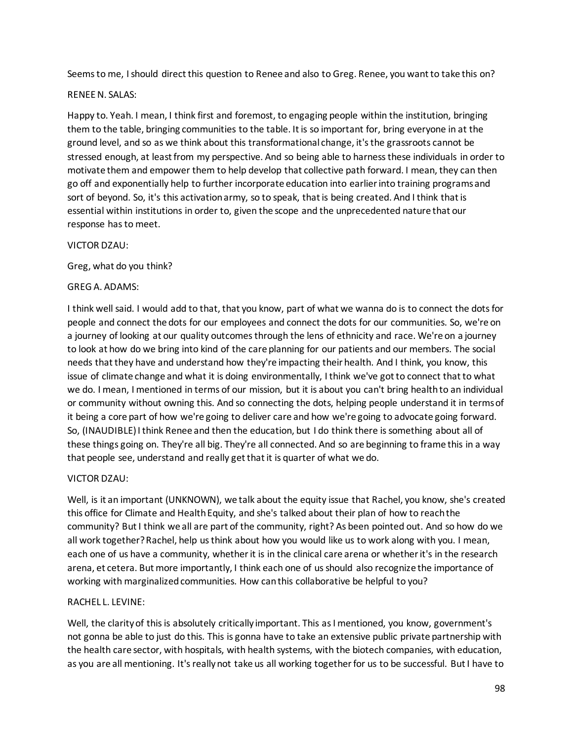Seems to me, I should direct this question to Renee and also to Greg. Renee, you want to take this on?

#### RENEE N. SALAS:

Happy to. Yeah. I mean, I think first and foremost, to engaging people within the institution, bringing them to the table, bringing communities to the table. It is so important for, bring everyone in at the ground level, and so as we think about this transformational change, it's the grassroots cannot be stressed enough, at least from my perspective. And so being able to harness these individuals in order to motivate them and empower them to help develop that collective path forward. I mean, they can then go off and exponentially help to further incorporate education into earlier into training programs and sort of beyond. So, it's this activation army, so to speak, that is being created. And I think that is essential within institutions in order to, given the scope and the unprecedented nature that our response has to meet.

#### VICTOR DZAU:

Greg, what do you think?

#### GREG A. ADAMS:

I think well said. I would add to that, that you know, part of what we wanna do is to connect the dots for people and connect the dots for our employees and connect the dots for our communities. So, we're on a journey of looking at our quality outcomes through the lens of ethnicity and race. We're on a journey to look at how do we bring into kind of the care planning for our patients and our members. The social needs that they have and understand how they're impacting their health. And I think, you know, this issue of climate change and what it is doing environmentally, I think we've got to connect that to what we do. I mean, I mentioned in terms of our mission, but it is about you can't bring health to an individual or community without owning this. And so connecting the dots, helping people understand it in terms of it being a core part of how we're going to deliver care and how we're going to advocate going forward. So, (INAUDIBLE) I think Renee and then the education, but I do think there is something about all of these things going on. They're all big. They're all connected. And so are beginning to frame this in a way that people see, understand and really get that it is quarter of what we do.

### VICTOR DZAU:

Well, is it an important (UNKNOWN), we talk about the equity issue that Rachel, you know, she's created this office for Climate and Health Equity, and she's talked about their plan of how to reach the community? But I think we all are part of the community, right? As been pointed out. And so how do we all work together? Rachel, help us think about how you would like us to work along with you. I mean, each one of us have a community, whether it is in the clinical care arena or whether it's in the research arena, et cetera. But more importantly, I think each one of us should also recognize the importance of working with marginalized communities. How can this collaborative be helpful to you?

### RACHEL L. LEVINE:

Well, the clarity of this is absolutely critically important. This as I mentioned, you know, government's not gonna be able to just do this. This is gonna have to take an extensive public private partnership with the health care sector, with hospitals, with health systems, with the biotech companies, with education, as you are all mentioning. It's really not take us all working together for us to be successful. But I have to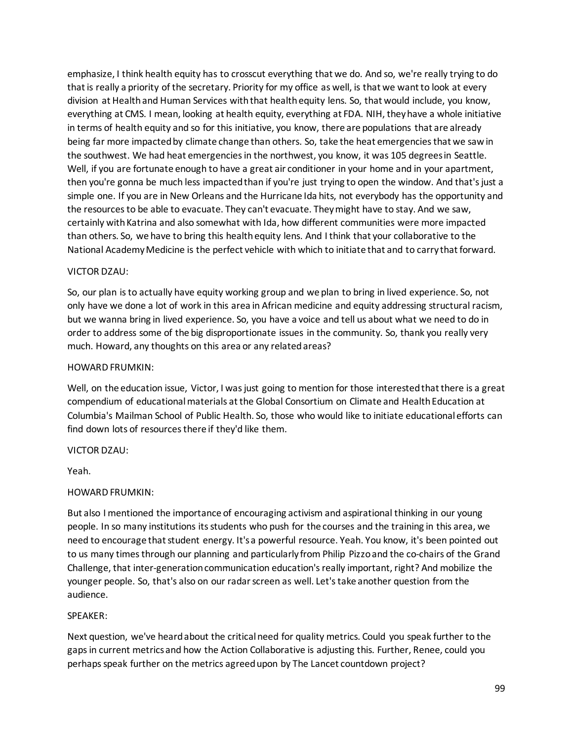emphasize, I think health equity has to crosscut everything that we do. And so, we're really trying to do that is really a priority of the secretary. Priority for my office as well, is that we want to look at every division at Health and Human Services with that health equity lens. So, that would include, you know, everything at CMS. I mean, looking at health equity, everything at FDA. NIH, they have a whole initiative in terms of health equity and so for this initiative, you know, there are populations that are already being far more impacted by climate change than others. So, take the heat emergencies that we saw in the southwest. We had heat emergencies in the northwest, you know, it was 105 degrees in Seattle. Well, if you are fortunate enough to have a great air conditioner in your home and in your apartment, then you're gonna be much less impacted than if you're just trying to open the window. And that's just a simple one. If you are in New Orleans and the Hurricane Ida hits, not everybody has the opportunity and the resources to be able to evacuate. They can't evacuate. They might have to stay. And we saw, certainly with Katrina and also somewhat with Ida, how different communities were more impacted than others. So, we have to bring this health equity lens. And I think that your collaborative to the National Academy Medicine is the perfect vehicle with which to initiate that and to carry that forward.

### VICTOR DZAU:

So, our plan is to actually have equity working group and we plan to bring in lived experience. So, not only have we done a lot of work in this area in African medicine and equity addressing structural racism, but we wanna bring in lived experience. So, you have a voice and tell us about what we need to do in order to address some of the big disproportionate issues in the community. So, thank you really very much. Howard, any thoughts on this area or any related areas?

### HOWARD FRUMKIN:

Well, on the education issue, Victor, I was just going to mention for those interested that there is a great compendium of educational materials at the Global Consortium on Climate and Health Education at Columbia's Mailman School of Public Health. So, those who would like to initiate educational efforts can find down lots of resources there if they'd like them.

VICTOR DZAU:

Yeah.

# HOWARD FRUMKIN:

But also I mentioned the importance of encouraging activism and aspirational thinking in our young people. In so many institutions its students who push for the courses and the training in this area, we need to encourage that student energy. It's a powerful resource. Yeah. You know, it's been pointed out to us many times through our planning and particularly from Philip Pizzo and the co-chairs of the Grand Challenge, that inter-generation communication education's really important, right? And mobilize the younger people. So, that's also on our radar screen as well. Let's take another question from the audience.

### SPEAKER:

Next question, we've heard about the critical need for quality metrics. Could you speak further to the gaps in current metrics and how the Action Collaborative is adjusting this. Further, Renee, could you perhaps speak further on the metrics agreed upon by The Lancet countdown project?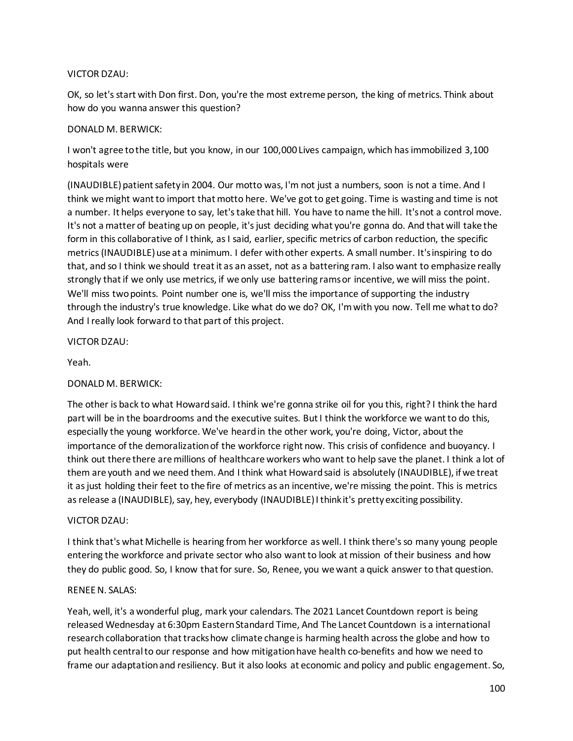### VICTOR DZAU:

OK, so let's start with Don first. Don, you're the most extreme person, the king of metrics. Think about how do you wanna answer this question?

#### DONALD M. BERWICK:

I won't agree to the title, but you know, in our 100,000 Lives campaign, which has immobilized 3,100 hospitals were

(INAUDIBLE) patient safety in 2004. Our motto was, I'm not just a numbers, soon is not a time. And I think we might want to import that motto here. We've got to get going. Time is wasting and time is not a number. It helps everyone to say, let's take that hill. You have to name the hill. It's not a control move. It's not a matter of beating up on people, it's just deciding what you're gonna do. And that will take the form in this collaborative of I think, as I said, earlier, specific metrics of carbon reduction, the specific metrics (INAUDIBLE) use at a minimum. I defer with other experts. A small number. It's inspiring to do that, and so I think we should treat it as an asset, not as a battering ram. I also want to emphasize really strongly that if we only use metrics, if we only use battering rams or incentive, we will miss the point. We'll miss two points. Point number one is, we'll miss the importance of supporting the industry through the industry's true knowledge. Like what do we do? OK, I'm with you now. Tell me what to do? And I really look forward to that part of this project.

VICTOR DZAU:

Yeah.

### DONALD M. BERWICK:

The other is back to what Howard said. I think we're gonna strike oil for you this, right? I think the hard part will be in the boardrooms and the executive suites. But I think the workforce we want to do this, especially the young workforce. We've heard in the other work, you're doing, Victor, about the importance of the demoralization of the workforce right now. This crisis of confidence and buoyancy. I think out there there are millions of healthcare workers who want to help save the planet. I think a lot of them are youth and we need them. And I think what Howard said is absolutely (INAUDIBLE), if we treat it as just holding their feet to the fire of metrics as an incentive, we're missing the point. This is metrics as release a (INAUDIBLE), say, hey, everybody (INAUDIBLE) I think it's pretty exciting possibility.

### VICTOR DZAU:

I think that's what Michelle is hearing from her workforce as well. I think there's so many young people entering the workforce and private sector who also want to look at mission of their business and how they do public good. So, I know that for sure. So, Renee, you we want a quick answer to that question.

#### RENEE N. SALAS:

Yeah, well, it's a wonderful plug, mark your calendars. The 2021 Lancet Countdown report is being released Wednesday at 6:30pm Eastern Standard Time, And The Lancet Countdown is a international research collaboration that tracks how climate change is harming health across the globe and how to put health central to our response and how mitigation have health co-benefits and how we need to frame our adaptation and resiliency. But it also looks at economic and policy and public engagement. So,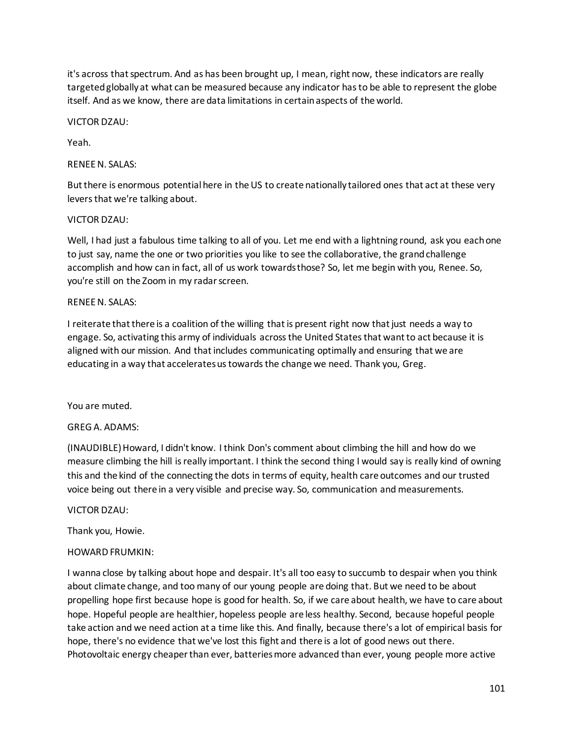it's across that spectrum. And as has been brought up, I mean, right now, these indicators are really targeted globally at what can be measured because any indicator has to be able to represent the globe itself. And as we know, there are data limitations in certain aspects of the world.

## VICTOR DZAU:

Yeah.

# RENEE N. SALAS:

But there is enormous potential here in the US to create nationally tailored ones that act at these very levers that we're talking about.

# VICTOR DZAU:

Well, I had just a fabulous time talking to all of you. Let me end with a lightning round, ask you each one to just say, name the one or two priorities you like to see the collaborative, the grand challenge accomplish and how can in fact, all of us work towards those? So, let me begin with you, Renee. So, you're still on the Zoom in my radar screen.

# RENEE N. SALAS:

I reiterate that there is a coalition of the willing that is present right now that just needs a way to engage. So, activating this army of individuals across the United States that want to act because it is aligned with our mission. And that includes communicating optimally and ensuring that we are educating in a way that accelerates us towards the change we need. Thank you, Greg.

### You are muted.

# GREG A. ADAMS:

(INAUDIBLE) Howard, I didn't know. I think Don's comment about climbing the hill and how do we measure climbing the hill is really important. I think the second thing I would say is really kind of owning this and the kind of the connecting the dots in terms of equity, health care outcomes and our trusted voice being out there in a very visible and precise way. So, communication and measurements.

### VICTOR DZAU:

Thank you, Howie.

### HOWARD FRUMKIN:

I wanna close by talking about hope and despair. It's all too easy to succumb to despair when you think about climate change, and too many of our young people are doing that. But we need to be about propelling hope first because hope is good for health. So, if we care about health, we have to care about hope. Hopeful people are healthier, hopeless people are less healthy. Second, because hopeful people take action and we need action at a time like this. And finally, because there's a lot of empirical basis for hope, there's no evidence that we've lost this fight and there is a lot of good news out there. Photovoltaic energy cheaper than ever, batteries more advanced than ever, young people more active